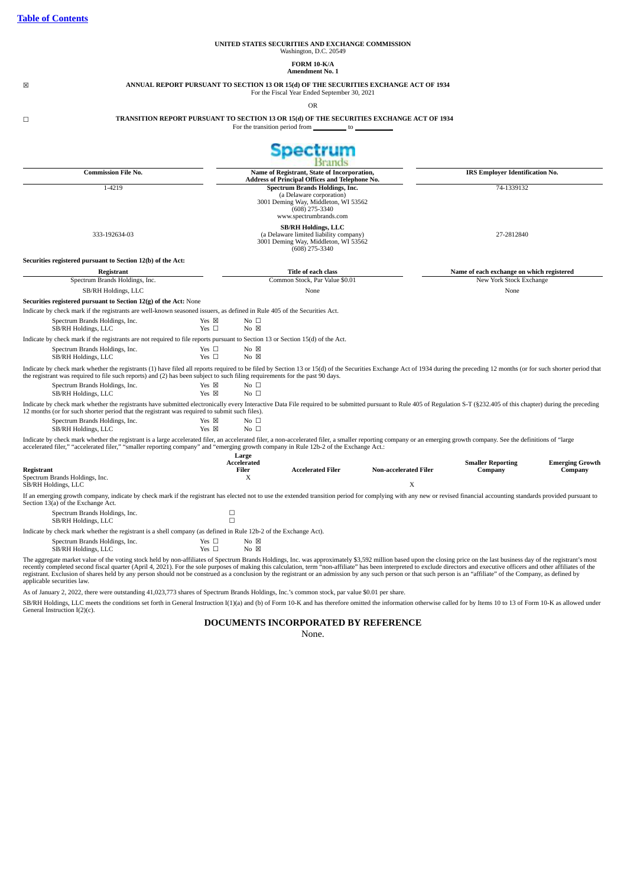SB/RH Holdings, LLC

 $SB/RH$  Holdings, LLC

 $SB/RH$  Holdings, LLC

# **UNITED STATES SECURITIES AND EXCHANGE COMMISSION** Washington, D.C. 20549 **FORM 10-K/A Amendment No. 1** ☒ **ANNUAL REPORT PURSUANT TO SECTION 13 OR 15(d) OF THE SECURITIES EXCHANGE ACT OF 1934** For the Fiscal Year Ended September 30, 2021 OR ☐ **TRANSITION REPORT PURSUANT TO SECTION 13 OR 15(d) OF THE SECURITIES EXCHANGE ACT OF 1934** For the transition period from **Spectrum Brands Commission File No. Name of Registrant, State of Incorporation, IRS Employer Identification No. Address of Principal Offices and Telephone No.** 1-4219 **Spectrum Brands Holdings, Inc.** 74-1339132 (a Delaware corporation) 3001 Deming Way, Middleton, WI 53562 (608) 275-3340 www.spectrumbrands.com **SB/RH Holdings, LLC** 333-192634-03 (a Delaware limited liability company) 27-2812840 3001 Deming Way, Middleton, WI 53562 (608) 275-3340 **Securities registered pursuant to Section 12(b) of the Act: Registrant Title of each class Name of each exchange on which registered** Spectrum Brands Holdings, Inc. **Common Stock, Par Value \$0.01** New York Stock Exchange SB/RH Holdings, LLC None None **Securities registered pursuant to Section 12(g) of the Act:** None Indicate by check mark if the registrants are well-known seasoned issuers, as defined in Rule 405 of the Securities Act.  ${\bf Specrum~Brands~Holdings, Inc.} {\bf Yes} \quad \begin{array}{l} {\bf No} \quad \Box \\ {\bf S}\text{B/RH~Holdings, LLC} \end{array} {\bf No} \quad \begin{array}{l} {\bf No} \quad \Box \\ {\bf No} \quad \boxtimes \\ {\bf No} \quad \end{array}$

 ${\bf Spectrum~Brands~Holdings, Inc.} {\bf Yes} \quad {\bf No \quad \Box} \\ {\bf SB/RH~Holdings, LLC} {\bf Yes} \quad {\bf No \quad \Box} \\ {\bf No \quad \Box}$  $SB/RH$  Holdings, LLC Indicate by check mark whether the registrant is a large accelerated filer, an accelerated filer, a non-accelerated filer, a smaller reporting company or an emerging growth company. See the definitions of "large<br>accelerate

Indicate by check mark whether the registrants (1) have filed all reports required to be filed by Section 13 or 15(d) of the Securities Exchange Act of 1934 during the preceding 12 months (or for such shorter period that<br>t

Indicate by check mark whether the registrants have submitted electronically every Interactive Data File required to be submitted pursuant to Rule 405 of Regulation S-T (§232.405 of this chapter) during the preceding<br>12 mo

| Registrant<br>Spectrum Brands Holdings, Inc.<br>SB/RH Holdings, LLC                                                                                                                                                                                           | Large<br>Accelerated<br>Filer<br>л | <b>Accelerated Filer</b> | <b>Non-accelerated Filer</b><br>X | <b>Smaller Reporting</b><br>Company | <b>Emerging Growth</b><br>Company |
|---------------------------------------------------------------------------------------------------------------------------------------------------------------------------------------------------------------------------------------------------------------|------------------------------------|--------------------------|-----------------------------------|-------------------------------------|-----------------------------------|
| If an emerging growth company, indicate by check mark if the registrant has elected not to use the extended transition period for complying with any new or revised financial accounting standards provided pursuant to<br>Section 13(a) of the Exchange Act. |                                    |                          |                                   |                                     |                                   |
| Spectrum Brands Holdings, Inc.<br>SB/RH Holdings, LLC                                                                                                                                                                                                         |                                    |                          |                                   |                                     |                                   |
|                                                                                                                                                                                                                                                               |                                    |                          |                                   |                                     |                                   |

Indicate by check mark whether the registrant is a shell company (as defined in Rule 12b-2 of the Exchange Act). Spectrum Brands Holdings, Inc. Yes □ No ⊠<br>SB/RH Holdings, I.I.C. Yes □ No ⊠  $SB/RH$  Holdings, LLC

Indicate by check mark if the registrants are not required to file reports pursuant to Section 13 or Section 15(d) of the Act.

 ${\bf Spectrum~Brands~Holdings, Inc.} {\bf Yes~} \quad {\bf No} \quad {\bf No~} \quad {\bf SBNRH~Holdings, LLC} {\bf Ves~} \quad {\bf No} \quad {\bf No~} \quad {\bf No} \quad {\bf No} \quad {\bf No} \quad {\bf No} \quad {\bf No} \quad {\bf No} \quad {\bf No} \quad {\bf No} \quad {\bf No} \quad {\bf No} \quad {\bf No} \quad {\bf No} \quad {\bf No} \quad {\bf No} \quad {\bf No} \quad {\bf No} \quad {\bf No} \quad {\bf No} \quad {\bf No} \quad {\bf No} \quad {\bf No} \quad$ 

Spectrum Brands Holdings, Inc.  $\begin{array}{ccc}\n\bullet & \bullet & \bullet & \bullet \\
\text{S1/RH Holdings, LLC} & \text{Yes } \boxtimes & \text{No } \square\n\end{array}$ 

The aggregate market value of the voting stock held by non-affiliates of Spectrum Brands Holdings, Inc. was approximately \$3,592 million based upon the closing price on the last business day of the registrant's most<br>recent applicable securities law.

As of January 2, 2022, there were outstanding 41,023,773 shares of Spectrum Brands Holdings, Inc.'s common stock, par value \$0.01 per share.

SB/RH Holdings, LLC meets the conditions set forth in General Instruction I(1)(a) and (b) of Form 10-K and has therefore omitted the information otherwise called for by Items 10 to 13 of Form 10-K as allowed under General Instruction I(2)(c).

# **DOCUMENTS INCORPORATED BY REFERENCE**

None.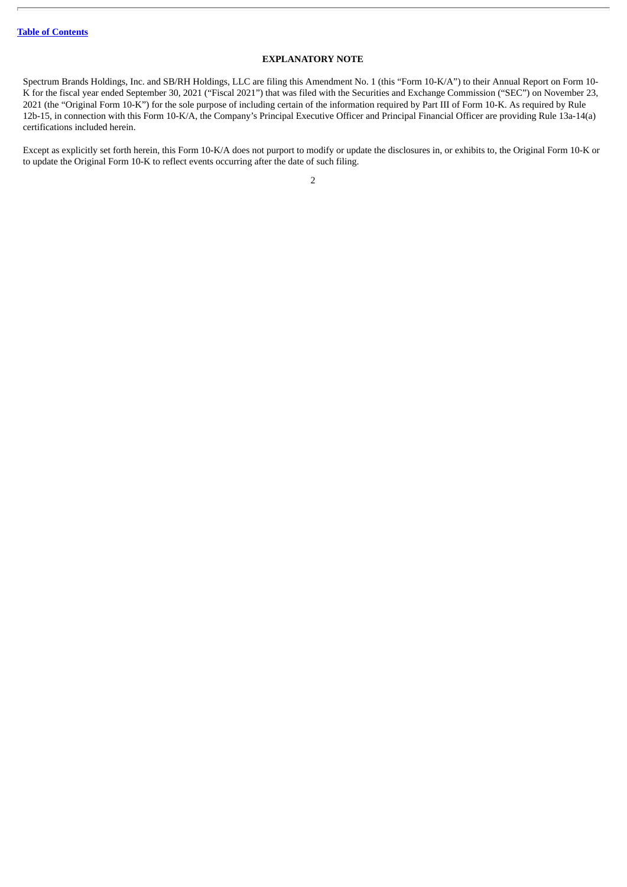### **EXPLANATORY NOTE**

<span id="page-1-0"></span>Spectrum Brands Holdings, Inc. and SB/RH Holdings, LLC are filing this Amendment No. 1 (this "Form 10-K/A") to their Annual Report on Form 10- K for the fiscal year ended September 30, 2021 ("Fiscal 2021") that was filed with the Securities and Exchange Commission ("SEC") on November 23, 2021 (the "Original Form 10-K") for the sole purpose of including certain of the information required by Part III of Form 10-K. As required by Rule 12b-15, in connection with this Form 10-K/A, the Company's Principal Executive Officer and Principal Financial Officer are providing Rule 13a-14(a) certifications included herein.

Except as explicitly set forth herein, this Form 10-K/A does not purport to modify or update the disclosures in, or exhibits to, the Original Form 10-K or to update the Original Form 10-K to reflect events occurring after the date of such filing.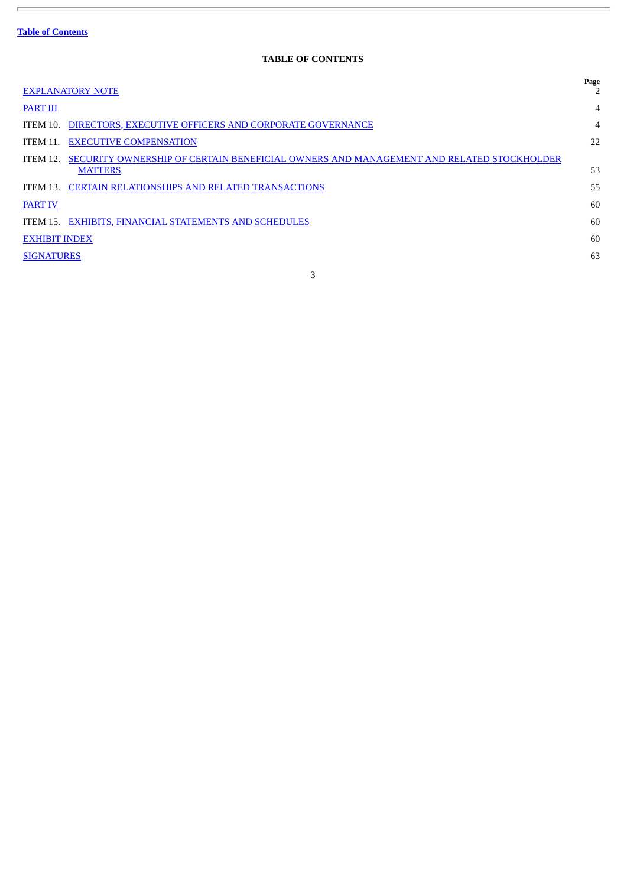$\overline{\phantom{a}}$ 

# **TABLE OF CONTENTS**

 $\overline{\phantom{a}}$ 

<span id="page-2-0"></span>

| <b>EXPLANATORY NOTE</b>                                                                                                     | Page           |
|-----------------------------------------------------------------------------------------------------------------------------|----------------|
| <b>PART III</b>                                                                                                             | $\overline{4}$ |
| DIRECTORS, EXECUTIVE OFFICERS AND CORPORATE GOVERNANCE<br>ITEM 10.                                                          | $\overline{4}$ |
| <b>EXECUTIVE COMPENSATION</b><br>ITEM 11.                                                                                   | 22             |
| SECURITY OWNERSHIP OF CERTAIN BENEFICIAL OWNERS AND MANAGEMENT AND RELATED STOCKHOLDER<br><b>ITEM 12.</b><br><b>MATTERS</b> | 53             |
| <b>CERTAIN RELATIONSHIPS AND RELATED TRANSACTIONS</b><br>ITEM 13.                                                           | 55             |
| <b>PART IV</b>                                                                                                              | 60             |
| ITEM 15. EXHIBITS, FINANCIAL STATEMENTS AND SCHEDULES                                                                       | 60             |
| <b>EXHIBIT INDEX</b>                                                                                                        | 60             |
| <b>SIGNATURES</b>                                                                                                           | 63             |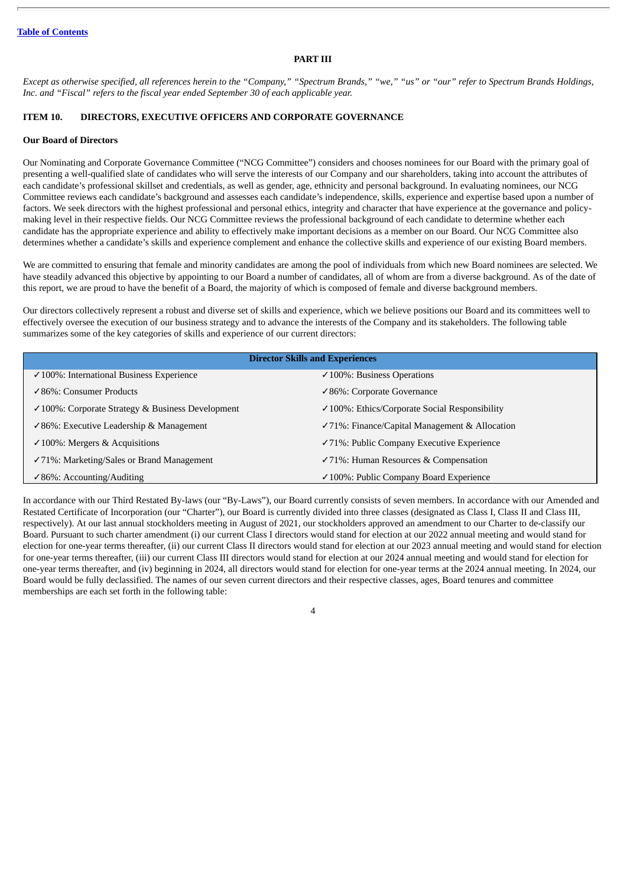## **PART III**

<span id="page-3-0"></span>Except as otherwise specified, all references herein to the "Company," "Spectrum Brands," "we," "us" or "our" refer to Spectrum Brands Holdings, *Inc. and "Fiscal" refers to the fiscal year ended September 30 of each applicable year.*

# <span id="page-3-1"></span>**ITEM 10. DIRECTORS, EXECUTIVE OFFICERS AND CORPORATE GOVERNANCE**

### **Our Board of Directors**

Our Nominating and Corporate Governance Committee ("NCG Committee") considers and chooses nominees for our Board with the primary goal of presenting a well-qualified slate of candidates who will serve the interests of our Company and our shareholders, taking into account the attributes of each candidate's professional skillset and credentials, as well as gender, age, ethnicity and personal background. In evaluating nominees, our NCG Committee reviews each candidate's background and assesses each candidate's independence, skills, experience and expertise based upon a number of factors. We seek directors with the highest professional and personal ethics, integrity and character that have experience at the governance and policymaking level in their respective fields. Our NCG Committee reviews the professional background of each candidate to determine whether each candidate has the appropriate experience and ability to effectively make important decisions as a member on our Board. Our NCG Committee also determines whether a candidate's skills and experience complement and enhance the collective skills and experience of our existing Board members.

We are committed to ensuring that female and minority candidates are among the pool of individuals from which new Board nominees are selected. We have steadily advanced this objective by appointing to our Board a number of candidates, all of whom are from a diverse background. As of the date of this report, we are proud to have the benefit of a Board, the majority of which is composed of female and diverse background members.

Our directors collectively represent a robust and diverse set of skills and experience, which we believe positions our Board and its committees well to effectively oversee the execution of our business strategy and to advance the interests of the Company and its stakeholders. The following table summarizes some of the key categories of skills and experience of our current directors:

| <b>Director Skills and Experiences</b>                       |                                                           |  |  |  |
|--------------------------------------------------------------|-----------------------------------------------------------|--|--|--|
| $\checkmark$ 100%: International Business Experience         | $\checkmark$ 100%: Business Operations                    |  |  |  |
| ✓ 86%: Consumer Products                                     | ✓86%: Corporate Governance                                |  |  |  |
| $\checkmark$ 100%: Corporate Strategy & Business Development | $\checkmark$ 100%: Ethics/Corporate Social Responsibility |  |  |  |
| $\checkmark$ 86%: Executive Leadership & Management          | √71%: Finance/Capital Management & Allocation             |  |  |  |
| $\checkmark$ 100%: Mergers & Acquisitions                    | $\checkmark$ 71%: Public Company Executive Experience     |  |  |  |
| $\checkmark$ 71%: Marketing/Sales or Brand Management        | $\checkmark$ 71%: Human Resources & Compensation          |  |  |  |
| $\checkmark$ 86%: Accounting/Auditing                        | ✓ 100%: Public Company Board Experience                   |  |  |  |

In accordance with our Third Restated By-laws (our "By-Laws"), our Board currently consists of seven members. In accordance with our Amended and Restated Certificate of Incorporation (our "Charter"), our Board is currently divided into three classes (designated as Class I, Class II and Class III, respectively). At our last annual stockholders meeting in August of 2021, our stockholders approved an amendment to our Charter to de-classify our Board. Pursuant to such charter amendment (i) our current Class I directors would stand for election at our 2022 annual meeting and would stand for election for one-year terms thereafter, (ii) our current Class II directors would stand for election at our 2023 annual meeting and would stand for election for one-year terms thereafter, (iii) our current Class III directors would stand for election at our 2024 annual meeting and would stand for election for one-year terms thereafter, and (iv) beginning in 2024, all directors would stand for election for one-year terms at the 2024 annual meeting. In 2024, our Board would be fully declassified. The names of our seven current directors and their respective classes, ages, Board tenures and committee memberships are each set forth in the following table: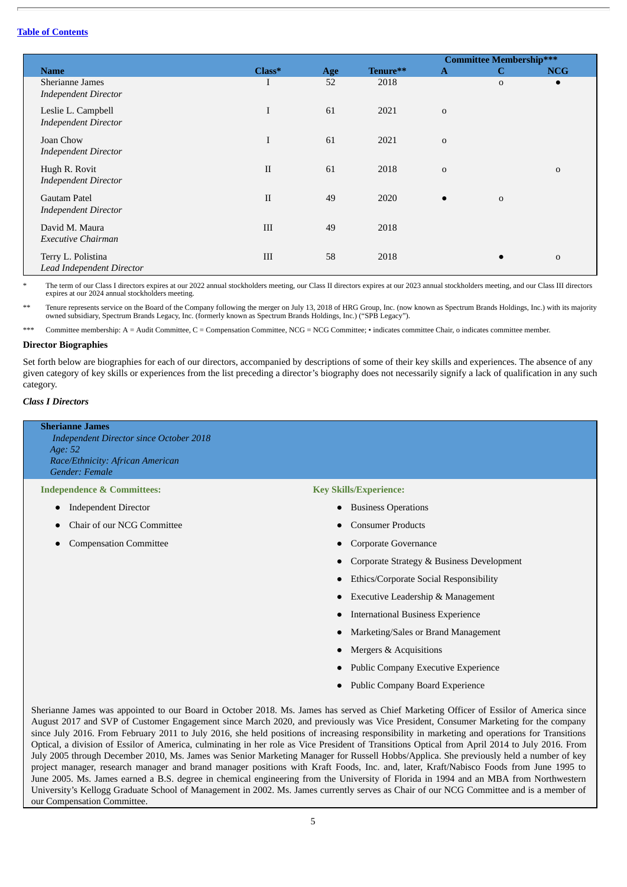|                                                   |              |     |          |              | <b>Committee Membership***</b> |             |
|---------------------------------------------------|--------------|-----|----------|--------------|--------------------------------|-------------|
| <b>Name</b>                                       | Class*       | Age | Tenure** | $\mathbf{A}$ | $\mathbf C$                    | <b>NCG</b>  |
| Sherianne James<br><b>Independent Director</b>    |              | 52  | 2018     |              | $\mathbf 0$                    | $\bullet$   |
| Leslie L. Campbell<br><b>Independent Director</b> | I            | 61  | 2021     | $\mathbf 0$  |                                |             |
| Joan Chow<br><b>Independent Director</b>          | I            | 61  | 2021     | $\mathbf 0$  |                                |             |
| Hugh R. Rovit<br><b>Independent Director</b>      | $\mathbf{I}$ | 61  | 2018     | $\mathbf 0$  |                                | $\mathbf 0$ |
| Gautam Patel<br><b>Independent Director</b>       | $\mathbf{I}$ | 49  | 2020     | $\bullet$    | $\mathbf 0$                    |             |
| David M. Maura<br><b>Executive Chairman</b>       | III          | 49  | 2018     |              |                                |             |
| Terry L. Polistina<br>Lead Independent Director   | III          | 58  | 2018     |              |                                | $\mathbf 0$ |

The term of our Class I directors expires at our 2022 annual stockholders meeting, our Class II directors expires at our 2023 annual stockholders meeting, and our Class III directors expires at our 2024 annual stockholders meeting.

Tenure represents service on the Board of the Company following the merger on July 13, 2018 of HRG Group, Inc. (now known as Spectrum Brands Holdings, Inc.) with its majority owned subsidiary, Spectrum Brands Legacy, Inc. (formerly known as Spectrum Brands Holdings, Inc.) ("SPB Legacy").

\*\*\* Committee membership: A = Audit Committee, C = Compensation Committee, NCG = NCG Committee; • indicates committee Chair, o indicates committee member.

#### **Director Biographies**

Set forth below are biographies for each of our directors, accompanied by descriptions of some of their key skills and experiences. The absence of any given category of key skills or experiences from the list preceding a director's biography does not necessarily signify a lack of qualification in any such category.

# *Class I Directors*

# **Sherianne James** *Independent Director since October 2018 Age: 52 Race/Ethnicity: African American Gender: Female*

# **Independence & Committees:**

- Independent Director
- Chair of our NCG Committee
- **Compensation Committee**

**Key Skills/Experience:**

- Business Operations
- Consumer Products
- Corporate Governance
- Corporate Strategy & Business Development
- Ethics/Corporate Social Responsibility
- Executive Leadership & Management
- International Business Experience
- Marketing/Sales or Brand Management
- Mergers & Acquisitions
- Public Company Executive Experience
- Public Company Board Experience

Sherianne James was appointed to our Board in October 2018. Ms. James has served as Chief Marketing Officer of Essilor of America since August 2017 and SVP of Customer Engagement since March 2020, and previously was Vice President, Consumer Marketing for the company since July 2016. From February 2011 to July 2016, she held positions of increasing responsibility in marketing and operations for Transitions Optical, a division of Essilor of America, culminating in her role as Vice President of Transitions Optical from April 2014 to July 2016. From July 2005 through December 2010, Ms. James was Senior Marketing Manager for Russell Hobbs/Applica. She previously held a number of key project manager, research manager and brand manager positions with Kraft Foods, Inc. and, later, Kraft/Nabisco Foods from June 1995 to June 2005. Ms. James earned a B.S. degree in chemical engineering from the University of Florida in 1994 and an MBA from Northwestern University's Kellogg Graduate School of Management in 2002. Ms. James currently serves as Chair of our NCG Committee and is a member of our Compensation Committee.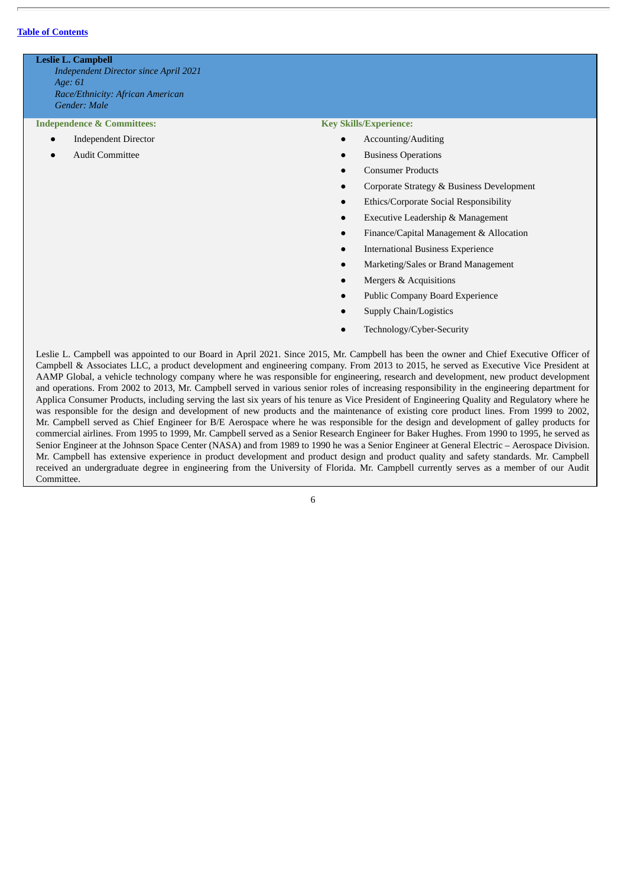**Leslie L. Campbell** *Independent Director since April 2021 Age: 61 Race/Ethnicity: African American Gender: Male*

**Independence & Committees:**

- Independent Director
- **Audit Committee**

#### **Key Skills/Experience:**

- Accounting/Auditing
- **Business Operations**
- Consumer Products
- Corporate Strategy & Business Development
- Ethics/Corporate Social Responsibility
- **Executive Leadership & Management**
- Finance/Capital Management & Allocation
- **International Business Experience**
- Marketing/Sales or Brand Management
- Mergers & Acquisitions
- Public Company Board Experience
- Supply Chain/Logistics
- Technology/Cyber-Security

Leslie L. Campbell was appointed to our Board in April 2021. Since 2015, Mr. Campbell has been the owner and Chief Executive Officer of Campbell & Associates LLC, a product development and engineering company. From 2013 to 2015, he served as Executive Vice President at AAMP Global, a vehicle technology company where he was responsible for engineering, research and development, new product development and operations. From 2002 to 2013, Mr. Campbell served in various senior roles of increasing responsibility in the engineering department for Applica Consumer Products, including serving the last six years of his tenure as Vice President of Engineering Quality and Regulatory where he was responsible for the design and development of new products and the maintenance of existing core product lines. From 1999 to 2002, Mr. Campbell served as Chief Engineer for B/E Aerospace where he was responsible for the design and development of galley products for commercial airlines. From 1995 to 1999, Mr. Campbell served as a Senior Research Engineer for Baker Hughes. From 1990 to 1995, he served as Senior Engineer at the Johnson Space Center (NASA) and from 1989 to 1990 he was a Senior Engineer at General Electric – Aerospace Division. Mr. Campbell has extensive experience in product development and product design and product quality and safety standards. Mr. Campbell received an undergraduate degree in engineering from the University of Florida. Mr. Campbell currently serves as a member of our Audit Committee.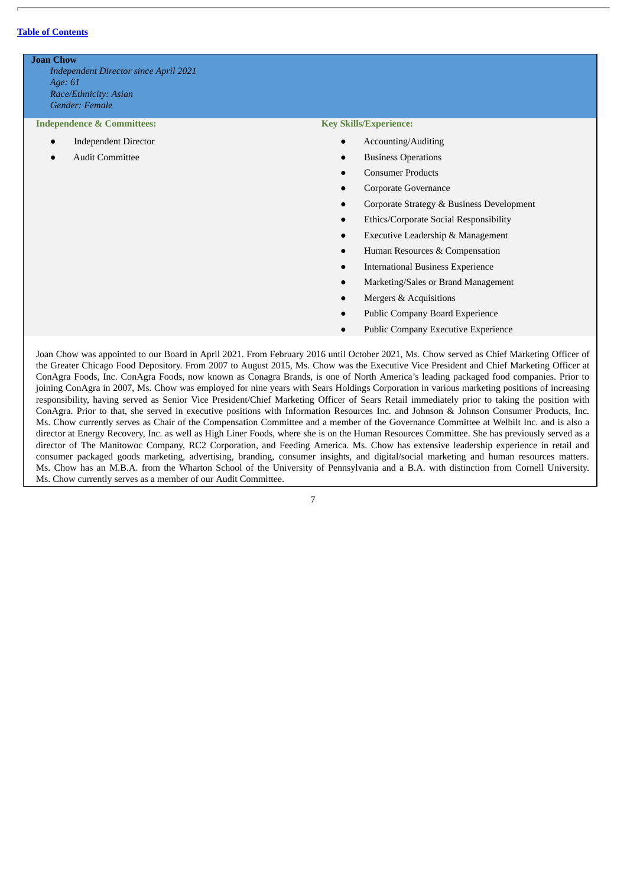**Joan Chow** *Independent Director since April 2021 Age: 61 Race/Ethnicity: Asian Gender: Female*

**Independence & Committees:**

- **Independent Director**
- **Audit Committee**

#### **Key Skills/Experience:**

- Accounting/Auditing
- **Business Operations**
- Consumer Products
- Corporate Governance
- Corporate Strategy & Business Development
- **Ethics/Corporate Social Responsibility**
- **Executive Leadership & Management**
- Human Resources & Compensation
- **International Business Experience**
- Marketing/Sales or Brand Management
- Mergers & Acquisitions
- Public Company Board Experience
- Public Company Executive Experience

Joan Chow was appointed to our Board in April 2021. From February 2016 until October 2021, Ms. Chow served as Chief Marketing Officer of the Greater Chicago Food Depository. From 2007 to August 2015, Ms. Chow was the Executive Vice President and Chief Marketing Officer at ConAgra Foods, Inc. ConAgra Foods, now known as Conagra Brands, is one of North America's leading packaged food companies. Prior to joining ConAgra in 2007, Ms. Chow was employed for nine years with Sears Holdings Corporation in various marketing positions of increasing responsibility, having served as Senior Vice President/Chief Marketing Officer of Sears Retail immediately prior to taking the position with ConAgra. Prior to that, she served in executive positions with Information Resources Inc. and Johnson & Johnson Consumer Products, Inc. Ms. Chow currently serves as Chair of the Compensation Committee and a member of the Governance Committee at Welbilt Inc. and is also a director at Energy Recovery, Inc. as well as High Liner Foods, where she is on the Human Resources Committee. She has previously served as a director of The Manitowoc Company, RC2 Corporation, and Feeding America. Ms. Chow has extensive leadership experience in retail and consumer packaged goods marketing, advertising, branding, consumer insights, and digital/social marketing and human resources matters. Ms. Chow has an M.B.A. from the Wharton School of the University of Pennsylvania and a B.A. with distinction from Cornell University. Ms. Chow currently serves as a member of our Audit Committee.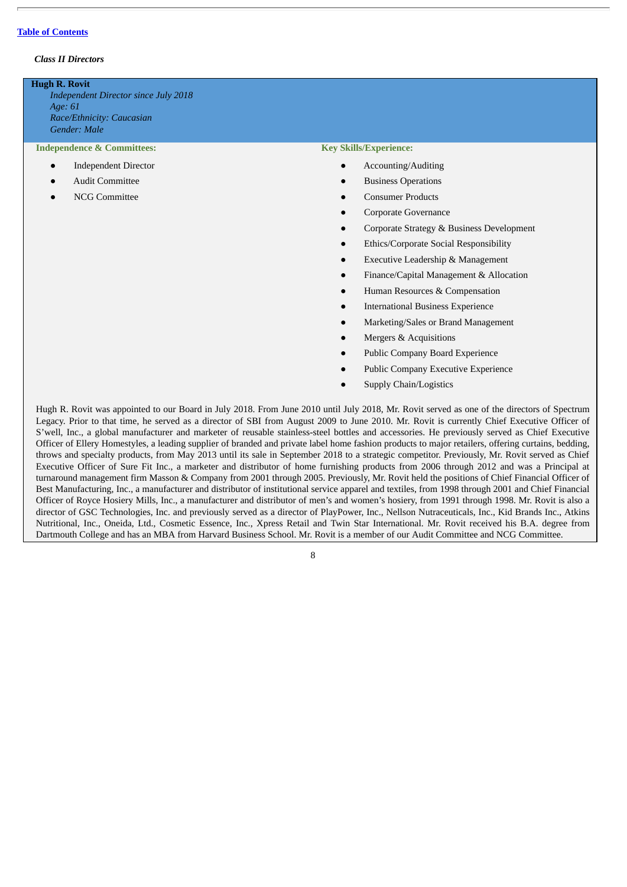### *Class II Directors*

#### **Hugh R. Rovit**

*Independent Director since July 2018 Age: 61 Race/Ethnicity: Caucasian Gender: Male*

#### **Independence & Committees:**

- **Independent Director**
- **Audit Committee**
- NCG Committee

# **Key Skills/Experience:**

- Accounting/Auditing
- Business Operations
- Consumer Products
- Corporate Governance
- Corporate Strategy & Business Development
- Ethics/Corporate Social Responsibility
- **Executive Leadership & Management**
- Finance/Capital Management & Allocation
- Human Resources & Compensation
- **International Business Experience**
- Marketing/Sales or Brand Management
- Mergers & Acquisitions
- Public Company Board Experience
- Public Company Executive Experience
- Supply Chain/Logistics

Hugh R. Rovit was appointed to our Board in July 2018. From June 2010 until July 2018, Mr. Rovit served as one of the directors of Spectrum Legacy. Prior to that time, he served as a director of SBI from August 2009 to June 2010. Mr. Rovit is currently Chief Executive Officer of S'well, Inc., a global manufacturer and marketer of reusable stainless-steel bottles and accessories. He previously served as Chief Executive Officer of Ellery Homestyles, a leading supplier of branded and private label home fashion products to major retailers, offering curtains, bedding, throws and specialty products, from May 2013 until its sale in September 2018 to a strategic competitor. Previously, Mr. Rovit served as Chief Executive Officer of Sure Fit Inc., a marketer and distributor of home furnishing products from 2006 through 2012 and was a Principal at turnaround management firm Masson & Company from 2001 through 2005. Previously, Mr. Rovit held the positions of Chief Financial Officer of Best Manufacturing, Inc., a manufacturer and distributor of institutional service apparel and textiles, from 1998 through 2001 and Chief Financial Officer of Royce Hosiery Mills, Inc., a manufacturer and distributor of men's and women's hosiery, from 1991 through 1998. Mr. Rovit is also a director of GSC Technologies, Inc. and previously served as a director of PlayPower, Inc., Nellson Nutraceuticals, Inc., Kid Brands Inc., Atkins Nutritional, Inc., Oneida, Ltd., Cosmetic Essence, Inc., Xpress Retail and Twin Star International. Mr. Rovit received his B.A. degree from Dartmouth College and has an MBA from Harvard Business School. Mr. Rovit is a member of our Audit Committee and NCG Committee.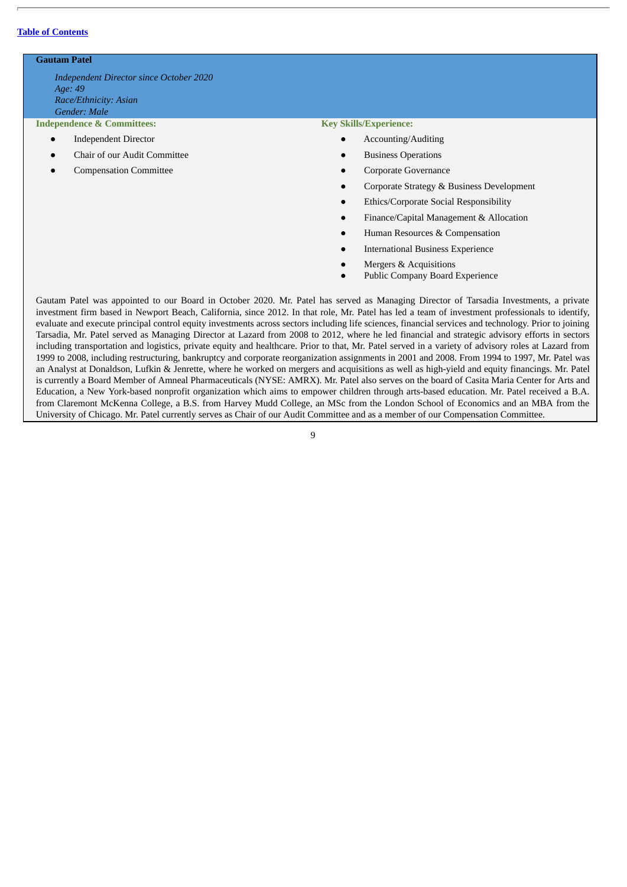# **Gautam Patel**

*Independent Director since October 2020 Age: 49 Race/Ethnicity: Asian Gender: Male*

# **Independence & Committees:**

- Independent Director
- Chair of our Audit Committee
- **Compensation Committee**

#### **Key Skills/Experience:**

- Accounting/Auditing
- **Business Operations**
- Corporate Governance
- Corporate Strategy & Business Development
- Ethics/Corporate Social Responsibility
- Finance/Capital Management & Allocation
- Human Resources & Compensation
- **International Business Experience**
- Mergers & Acquisitions
- Public Company Board Experience

Gautam Patel was appointed to our Board in October 2020. Mr. Patel has served as Managing Director of Tarsadia Investments, a private investment firm based in Newport Beach, California, since 2012. In that role, Mr. Patel has led a team of investment professionals to identify, evaluate and execute principal control equity investments across sectors including life sciences, financial services and technology. Prior to joining Tarsadia, Mr. Patel served as Managing Director at Lazard from 2008 to 2012, where he led financial and strategic advisory efforts in sectors including transportation and logistics, private equity and healthcare. Prior to that, Mr. Patel served in a variety of advisory roles at Lazard from 1999 to 2008, including restructuring, bankruptcy and corporate reorganization assignments in 2001 and 2008. From 1994 to 1997, Mr. Patel was an Analyst at Donaldson, Lufkin & Jenrette, where he worked on mergers and acquisitions as well as high-yield and equity financings. Mr. Patel is currently a Board Member of Amneal Pharmaceuticals (NYSE: AMRX). Mr. Patel also serves on the board of Casita Maria Center for Arts and Education, a New York-based nonprofit organization which aims to empower children through arts-based education. Mr. Patel received a B.A. from Claremont McKenna College, a B.S. from Harvey Mudd College, an MSc from the London School of Economics and an MBA from the University of Chicago. Mr. Patel currently serves as Chair of our Audit Committee and as a member of our Compensation Committee.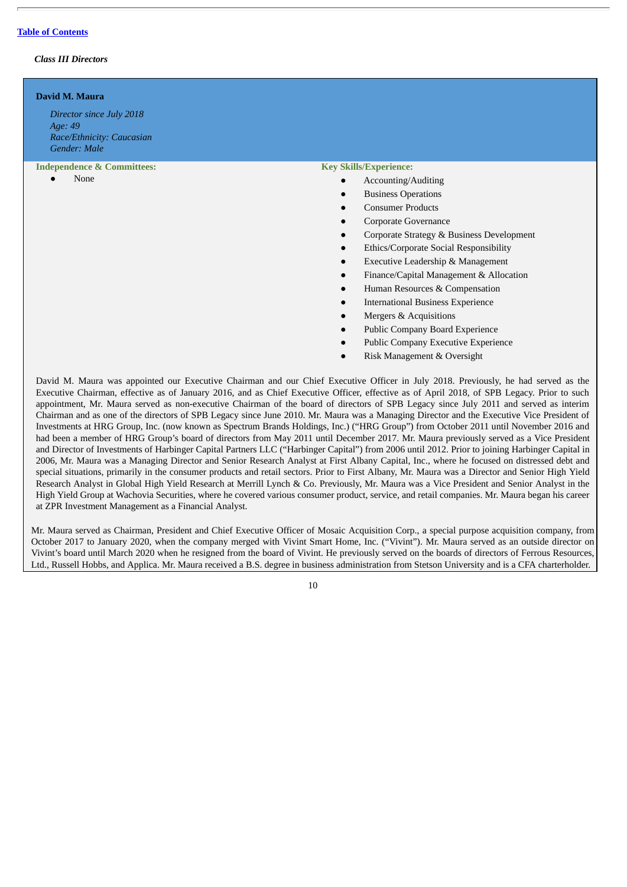# *Class III Directors*

| David M. Maura<br>Director since July 2018<br>Age: 49<br>Race/Ethnicity: Caucasian<br>Gender: Male |                                                                                                                                                                                                                                                                                                                                                                                                                                                                                                                               |
|----------------------------------------------------------------------------------------------------|-------------------------------------------------------------------------------------------------------------------------------------------------------------------------------------------------------------------------------------------------------------------------------------------------------------------------------------------------------------------------------------------------------------------------------------------------------------------------------------------------------------------------------|
| <b>Independence &amp; Committees:</b><br>None                                                      | <b>Key Skills/Experience:</b><br>Accounting/Auditing<br>$\bullet$<br><b>Business Operations</b><br>$\bullet$<br><b>Consumer Products</b><br>$\bullet$<br>Corporate Governance<br>$\bullet$<br>Corporate Strategy & Business Development<br>$\bullet$<br>Ethics/Corporate Social Responsibility<br>$\bullet$<br>Executive Leadership & Management<br>$\bullet$<br>Finance/Capital Management & Allocation<br>$\bullet$<br>Human Resources & Compensation<br>$\bullet$<br><b>International Business Experience</b><br>$\bullet$ |
|                                                                                                    | Mergers & Acquisitions<br>$\bullet$<br><b>Public Company Board Experience</b>                                                                                                                                                                                                                                                                                                                                                                                                                                                 |

- Public Company Executive Experience
- Risk Management & Oversight

David M. Maura was appointed our Executive Chairman and our Chief Executive Officer in July 2018. Previously, he had served as the Executive Chairman, effective as of January 2016, and as Chief Executive Officer, effective as of April 2018, of SPB Legacy. Prior to such appointment, Mr. Maura served as non-executive Chairman of the board of directors of SPB Legacy since July 2011 and served as interim Chairman and as one of the directors of SPB Legacy since June 2010. Mr. Maura was a Managing Director and the Executive Vice President of Investments at HRG Group, Inc. (now known as Spectrum Brands Holdings, Inc.) ("HRG Group") from October 2011 until November 2016 and had been a member of HRG Group's board of directors from May 2011 until December 2017. Mr. Maura previously served as a Vice President and Director of Investments of Harbinger Capital Partners LLC ("Harbinger Capital") from 2006 until 2012. Prior to joining Harbinger Capital in 2006, Mr. Maura was a Managing Director and Senior Research Analyst at First Albany Capital, Inc., where he focused on distressed debt and special situations, primarily in the consumer products and retail sectors. Prior to First Albany, Mr. Maura was a Director and Senior High Yield Research Analyst in Global High Yield Research at Merrill Lynch & Co. Previously, Mr. Maura was a Vice President and Senior Analyst in the High Yield Group at Wachovia Securities, where he covered various consumer product, service, and retail companies. Mr. Maura began his career at ZPR Investment Management as a Financial Analyst.

Mr. Maura served as Chairman, President and Chief Executive Officer of Mosaic Acquisition Corp., a special purpose acquisition company, from October 2017 to January 2020, when the company merged with Vivint Smart Home, Inc. ("Vivint"). Mr. Maura served as an outside director on Vivint's board until March 2020 when he resigned from the board of Vivint. He previously served on the boards of directors of Ferrous Resources, Ltd., Russell Hobbs, and Applica. Mr. Maura received a B.S. degree in business administration from Stetson University and is a CFA charterholder.

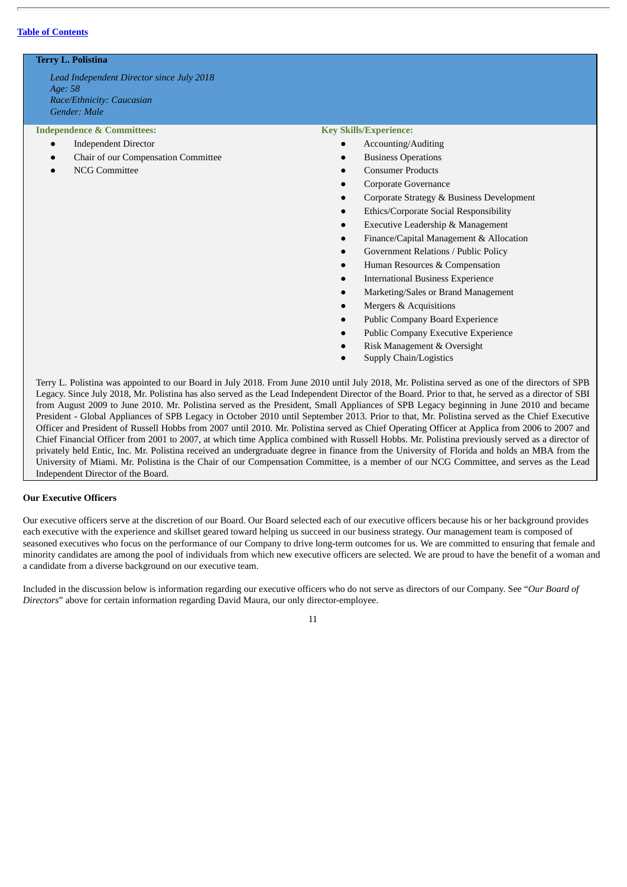# **Terry L. Polistina**

*Lead Independent Director since July 2018 Age: 58 Race/Ethnicity: Caucasian Gender: Male*

#### **Independence & Committees:**

- Independent Director
- Chair of our Compensation Committee
- **NCG Committee**

#### **Key Skills/Experience:**

- Accounting/Auditing
- **Business Operations**
- Consumer Products
- Corporate Governance
- Corporate Strategy & Business Development
- **Ethics/Corporate Social Responsibility**
- **Executive Leadership & Management**
- Finance/Capital Management & Allocation
- Government Relations / Public Policy
- Human Resources & Compensation
- **International Business Experience**
- Marketing/Sales or Brand Management
- Mergers & Acquisitions
- Public Company Board Experience
- Public Company Executive Experience
- Risk Management & Oversight
- Supply Chain/Logistics

Terry L. Polistina was appointed to our Board in July 2018. From June 2010 until July 2018, Mr. Polistina served as one of the directors of SPB Legacy. Since July 2018, Mr. Polistina has also served as the Lead Independent Director of the Board. Prior to that, he served as a director of SBI from August 2009 to June 2010. Mr. Polistina served as the President, Small Appliances of SPB Legacy beginning in June 2010 and became President - Global Appliances of SPB Legacy in October 2010 until September 2013. Prior to that, Mr. Polistina served as the Chief Executive Officer and President of Russell Hobbs from 2007 until 2010. Mr. Polistina served as Chief Operating Officer at Applica from 2006 to 2007 and Chief Financial Officer from 2001 to 2007, at which time Applica combined with Russell Hobbs. Mr. Polistina previously served as a director of privately held Entic, Inc. Mr. Polistina received an undergraduate degree in finance from the University of Florida and holds an MBA from the University of Miami. Mr. Polistina is the Chair of our Compensation Committee, is a member of our NCG Committee, and serves as the Lead Independent Director of the Board.

# **Our Executive Officers**

Our executive officers serve at the discretion of our Board. Our Board selected each of our executive officers because his or her background provides each executive with the experience and skillset geared toward helping us succeed in our business strategy. Our management team is composed of seasoned executives who focus on the performance of our Company to drive long-term outcomes for us. We are committed to ensuring that female and minority candidates are among the pool of individuals from which new executive officers are selected. We are proud to have the benefit of a woman and a candidate from a diverse background on our executive team.

Included in the discussion below is information regarding our executive officers who do not serve as directors of our Company. See "*Our Board of Directors*" above for certain information regarding David Maura, our only director-employee.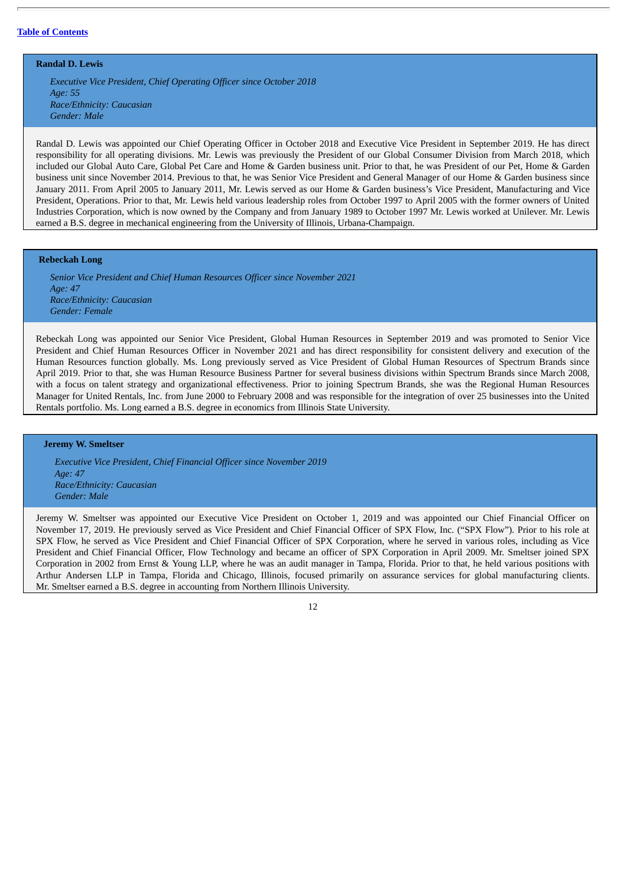**Randal D. Lewis**

*Executive Vice President, Chief Operating Officer since October 2018 Age: 55 Race/Ethnicity: Caucasian Gender: Male*

Randal D. Lewis was appointed our Chief Operating Officer in October 2018 and Executive Vice President in September 2019. He has direct responsibility for all operating divisions. Mr. Lewis was previously the President of our Global Consumer Division from March 2018, which included our Global Auto Care, Global Pet Care and Home & Garden business unit. Prior to that, he was President of our Pet, Home & Garden business unit since November 2014. Previous to that, he was Senior Vice President and General Manager of our Home & Garden business since January 2011. From April 2005 to January 2011, Mr. Lewis served as our Home & Garden business's Vice President, Manufacturing and Vice President, Operations. Prior to that, Mr. Lewis held various leadership roles from October 1997 to April 2005 with the former owners of United Industries Corporation, which is now owned by the Company and from January 1989 to October 1997 Mr. Lewis worked at Unilever. Mr. Lewis earned a B.S. degree in mechanical engineering from the University of Illinois, Urbana-Champaign.

# **Rebeckah Long**

*Senior Vice President and Chief Human Resources Officer since November 2021 Age: 47 Race/Ethnicity: Caucasian Gender: Female*

Rebeckah Long was appointed our Senior Vice President, Global Human Resources in September 2019 and was promoted to Senior Vice President and Chief Human Resources Officer in November 2021 and has direct responsibility for consistent delivery and execution of the Human Resources function globally. Ms. Long previously served as Vice President of Global Human Resources of Spectrum Brands since April 2019. Prior to that, she was Human Resource Business Partner for several business divisions within Spectrum Brands since March 2008, with a focus on talent strategy and organizational effectiveness. Prior to joining Spectrum Brands, she was the Regional Human Resources Manager for United Rentals, Inc. from June 2000 to February 2008 and was responsible for the integration of over 25 businesses into the United Rentals portfolio. Ms. Long earned a B.S. degree in economics from Illinois State University.

#### **Jeremy W. Smeltser**

*Executive Vice President, Chief Financial Officer since November 2019 Age: 47 Race/Ethnicity: Caucasian Gender: Male*

Jeremy W. Smeltser was appointed our Executive Vice President on October 1, 2019 and was appointed our Chief Financial Officer on November 17, 2019. He previously served as Vice President and Chief Financial Officer of SPX Flow, Inc. ("SPX Flow"). Prior to his role at SPX Flow, he served as Vice President and Chief Financial Officer of SPX Corporation, where he served in various roles, including as Vice President and Chief Financial Officer, Flow Technology and became an officer of SPX Corporation in April 2009. Mr. Smeltser joined SPX Corporation in 2002 from Ernst & Young LLP, where he was an audit manager in Tampa, Florida. Prior to that, he held various positions with Arthur Andersen LLP in Tampa, Florida and Chicago, Illinois, focused primarily on assurance services for global manufacturing clients. Mr. Smeltser earned a B.S. degree in accounting from Northern Illinois University.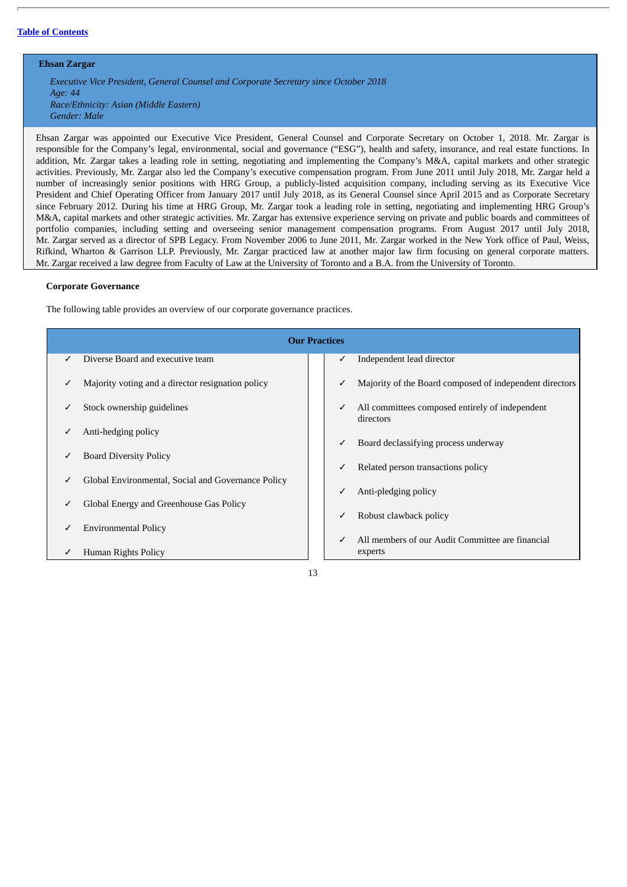# **Ehsan Zargar**

*Executive Vice President, General Counsel and Corporate Secretary since October 2018 Age: 44 Race/Ethnicity: Asian (Middle Eastern) Gender: Male*

Ehsan Zargar was appointed our Executive Vice President, General Counsel and Corporate Secretary on October 1, 2018. Mr. Zargar is responsible for the Company's legal, environmental, social and governance ("ESG"), health and safety, insurance, and real estate functions. In addition, Mr. Zargar takes a leading role in setting, negotiating and implementing the Company's M&A, capital markets and other strategic activities. Previously, Mr. Zargar also led the Company's executive compensation program. From June 2011 until July 2018, Mr. Zargar held a number of increasingly senior positions with HRG Group, a publicly-listed acquisition company, including serving as its Executive Vice President and Chief Operating Officer from January 2017 until July 2018, as its General Counsel since April 2015 and as Corporate Secretary since February 2012. During his time at HRG Group, Mr. Zargar took a leading role in setting, negotiating and implementing HRG Group's M&A, capital markets and other strategic activities. Mr. Zargar has extensive experience serving on private and public boards and committees of portfolio companies, including setting and overseeing senior management compensation programs. From August 2017 until July 2018, Mr. Zargar served as a director of SPB Legacy. From November 2006 to June 2011, Mr. Zargar worked in the New York office of Paul, Weiss, Rifkind, Wharton & Garrison LLP. Previously, Mr. Zargar practiced law at another major law firm focusing on general corporate matters. Mr. Zargar received a law degree from Faculty of Law at the University of Toronto and a B.A. from the University of Toronto.

## **Corporate Governance**

The following table provides an overview of our corporate governance practices.

|   | <b>Our Practices</b>                               |  |   |                                                              |  |
|---|----------------------------------------------------|--|---|--------------------------------------------------------------|--|
|   | Diverse Board and executive team                   |  | ✓ | Independent lead director                                    |  |
|   | Majority voting and a director resignation policy  |  | ✓ | Majority of the Board composed of independent directors      |  |
|   | Stock ownership guidelines                         |  | ✓ | All committees composed entirely of independent<br>directors |  |
|   | Anti-hedging policy                                |  | ✓ | Board declassifying process underway                         |  |
|   | <b>Board Diversity Policy</b>                      |  | ✓ | Related person transactions policy                           |  |
| ✓ | Global Environmental, Social and Governance Policy |  |   |                                                              |  |
| ✓ | Global Energy and Greenhouse Gas Policy            |  | ✓ | Anti-pledging policy                                         |  |
|   | <b>Environmental Policy</b>                        |  | ✓ | Robust clawback policy                                       |  |
|   | Human Rights Policy                                |  | ✓ | All members of our Audit Committee are financial<br>experts  |  |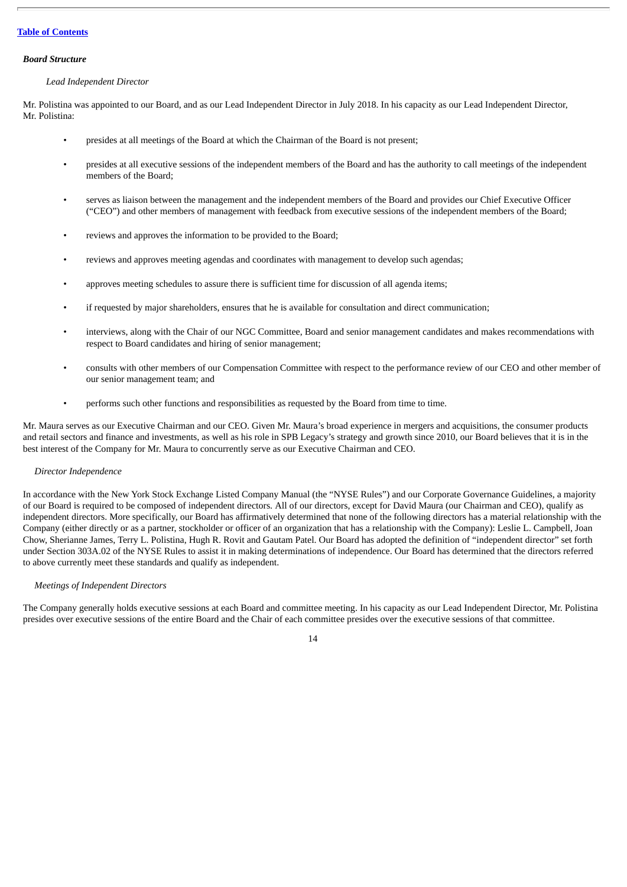### *Board Structure*

## *Lead Independent Director*

Mr. Polistina was appointed to our Board, and as our Lead Independent Director in July 2018. In his capacity as our Lead Independent Director, Mr. Polistina:

- presides at all meetings of the Board at which the Chairman of the Board is not present;
- presides at all executive sessions of the independent members of the Board and has the authority to call meetings of the independent members of the Board;
- serves as liaison between the management and the independent members of the Board and provides our Chief Executive Officer ("CEO") and other members of management with feedback from executive sessions of the independent members of the Board;
- reviews and approves the information to be provided to the Board;
- reviews and approves meeting agendas and coordinates with management to develop such agendas;
- approves meeting schedules to assure there is sufficient time for discussion of all agenda items;
- if requested by major shareholders, ensures that he is available for consultation and direct communication;
- interviews, along with the Chair of our NGC Committee, Board and senior management candidates and makes recommendations with respect to Board candidates and hiring of senior management;
- consults with other members of our Compensation Committee with respect to the performance review of our CEO and other member of our senior management team; and
- performs such other functions and responsibilities as requested by the Board from time to time.

Mr. Maura serves as our Executive Chairman and our CEO. Given Mr. Maura's broad experience in mergers and acquisitions, the consumer products and retail sectors and finance and investments, as well as his role in SPB Legacy's strategy and growth since 2010, our Board believes that it is in the best interest of the Company for Mr. Maura to concurrently serve as our Executive Chairman and CEO.

#### *Director Independence*

In accordance with the New York Stock Exchange Listed Company Manual (the "NYSE Rules") and our Corporate Governance Guidelines, a majority of our Board is required to be composed of independent directors. All of our directors, except for David Maura (our Chairman and CEO), qualify as independent directors. More specifically, our Board has affirmatively determined that none of the following directors has a material relationship with the Company (either directly or as a partner, stockholder or officer of an organization that has a relationship with the Company): Leslie L. Campbell, Joan Chow, Sherianne James, Terry L. Polistina, Hugh R. Rovit and Gautam Patel. Our Board has adopted the definition of "independent director" set forth under Section 303A.02 of the NYSE Rules to assist it in making determinations of independence. Our Board has determined that the directors referred to above currently meet these standards and qualify as independent.

# *Meetings of Independent Directors*

The Company generally holds executive sessions at each Board and committee meeting. In his capacity as our Lead Independent Director, Mr. Polistina presides over executive sessions of the entire Board and the Chair of each committee presides over the executive sessions of that committee.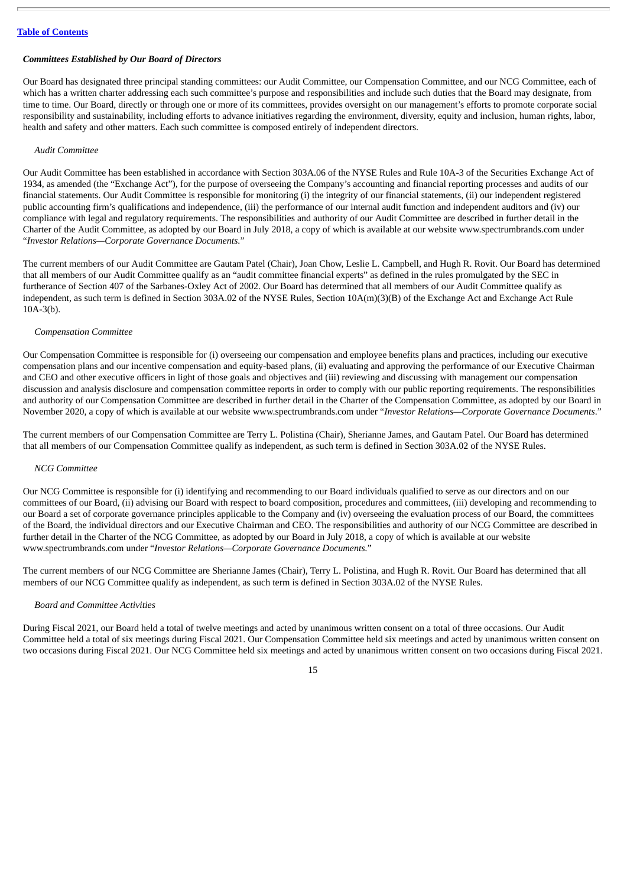# *Committees Established by Our Board of Directors*

Our Board has designated three principal standing committees: our Audit Committee, our Compensation Committee, and our NCG Committee, each of which has a written charter addressing each such committee's purpose and responsibilities and include such duties that the Board may designate, from time to time. Our Board, directly or through one or more of its committees, provides oversight on our management's efforts to promote corporate social responsibility and sustainability, including efforts to advance initiatives regarding the environment, diversity, equity and inclusion, human rights, labor, health and safety and other matters. Each such committee is composed entirely of independent directors.

#### *Audit Committee*

Our Audit Committee has been established in accordance with Section 303A.06 of the NYSE Rules and Rule 10A-3 of the Securities Exchange Act of 1934, as amended (the "Exchange Act"), for the purpose of overseeing the Company's accounting and financial reporting processes and audits of our financial statements. Our Audit Committee is responsible for monitoring (i) the integrity of our financial statements, (ii) our independent registered public accounting firm's qualifications and independence, (iii) the performance of our internal audit function and independent auditors and (iv) our compliance with legal and regulatory requirements. The responsibilities and authority of our Audit Committee are described in further detail in the Charter of the Audit Committee, as adopted by our Board in July 2018, a copy of which is available at our website www.spectrumbrands.com under "*Investor Relations—Corporate Governance Documents*."

The current members of our Audit Committee are Gautam Patel (Chair), Joan Chow, Leslie L. Campbell, and Hugh R. Rovit. Our Board has determined that all members of our Audit Committee qualify as an "audit committee financial experts" as defined in the rules promulgated by the SEC in furtherance of Section 407 of the Sarbanes-Oxley Act of 2002. Our Board has determined that all members of our Audit Committee qualify as independent, as such term is defined in Section 303A.02 of the NYSE Rules, Section 10A(m)(3)(B) of the Exchange Act and Exchange Act Rule 10A-3(b).

## *Compensation Committee*

Our Compensation Committee is responsible for (i) overseeing our compensation and employee benefits plans and practices, including our executive compensation plans and our incentive compensation and equity-based plans, (ii) evaluating and approving the performance of our Executive Chairman and CEO and other executive officers in light of those goals and objectives and (iii) reviewing and discussing with management our compensation discussion and analysis disclosure and compensation committee reports in order to comply with our public reporting requirements. The responsibilities and authority of our Compensation Committee are described in further detail in the Charter of the Compensation Committee, as adopted by our Board in November 2020, a copy of which is available at our website www.spectrumbrands.com under "*Investor Relations—Corporate Governance Documents*."

The current members of our Compensation Committee are Terry L. Polistina (Chair), Sherianne James, and Gautam Patel. Our Board has determined that all members of our Compensation Committee qualify as independent, as such term is defined in Section 303A.02 of the NYSE Rules.

# *NCG Committee*

Our NCG Committee is responsible for (i) identifying and recommending to our Board individuals qualified to serve as our directors and on our committees of our Board, (ii) advising our Board with respect to board composition, procedures and committees, (iii) developing and recommending to our Board a set of corporate governance principles applicable to the Company and (iv) overseeing the evaluation process of our Board, the committees of the Board, the individual directors and our Executive Chairman and CEO. The responsibilities and authority of our NCG Committee are described in further detail in the Charter of the NCG Committee, as adopted by our Board in July 2018, a copy of which is available at our website www.spectrumbrands.com under "*Investor Relations—Corporate Governance Documents.*"

The current members of our NCG Committee are Sherianne James (Chair), Terry L. Polistina, and Hugh R. Rovit. Our Board has determined that all members of our NCG Committee qualify as independent, as such term is defined in Section 303A.02 of the NYSE Rules.

## *Board and Committee Activities*

During Fiscal 2021, our Board held a total of twelve meetings and acted by unanimous written consent on a total of three occasions. Our Audit Committee held a total of six meetings during Fiscal 2021. Our Compensation Committee held six meetings and acted by unanimous written consent on two occasions during Fiscal 2021. Our NCG Committee held six meetings and acted by unanimous written consent on two occasions during Fiscal 2021.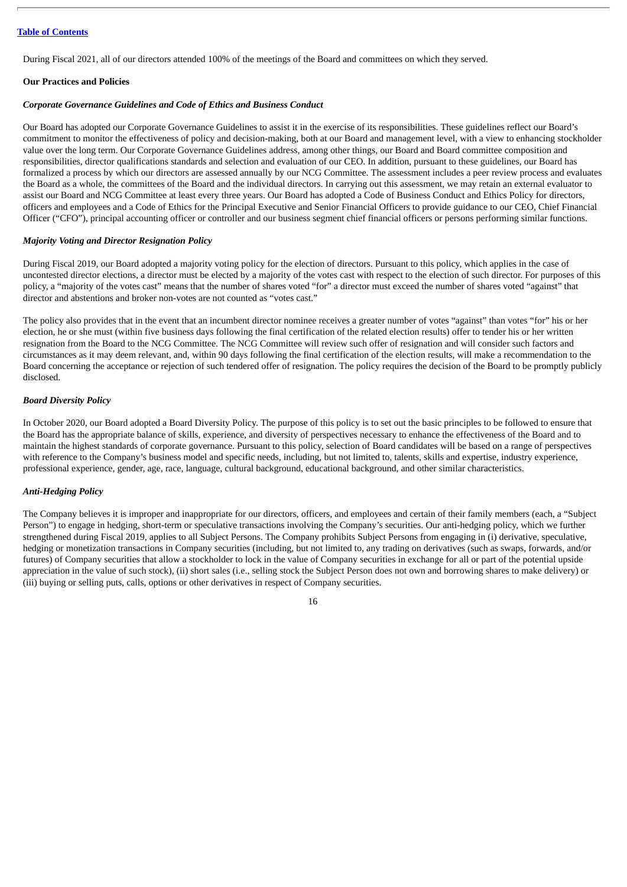During Fiscal 2021, all of our directors attended 100% of the meetings of the Board and committees on which they served.

#### **Our Practices and Policies**

## *Corporate Governance Guidelines and Code of Ethics and Business Conduct*

Our Board has adopted our Corporate Governance Guidelines to assist it in the exercise of its responsibilities. These guidelines reflect our Board's commitment to monitor the effectiveness of policy and decision-making, both at our Board and management level, with a view to enhancing stockholder value over the long term. Our Corporate Governance Guidelines address, among other things, our Board and Board committee composition and responsibilities, director qualifications standards and selection and evaluation of our CEO. In addition, pursuant to these guidelines, our Board has formalized a process by which our directors are assessed annually by our NCG Committee. The assessment includes a peer review process and evaluates the Board as a whole, the committees of the Board and the individual directors. In carrying out this assessment, we may retain an external evaluator to assist our Board and NCG Committee at least every three years. Our Board has adopted a Code of Business Conduct and Ethics Policy for directors, officers and employees and a Code of Ethics for the Principal Executive and Senior Financial Officers to provide guidance to our CEO, Chief Financial Officer ("CFO"), principal accounting officer or controller and our business segment chief financial officers or persons performing similar functions.

#### *Majority Voting and Director Resignation Policy*

During Fiscal 2019, our Board adopted a majority voting policy for the election of directors. Pursuant to this policy, which applies in the case of uncontested director elections, a director must be elected by a majority of the votes cast with respect to the election of such director. For purposes of this policy, a "majority of the votes cast" means that the number of shares voted "for" a director must exceed the number of shares voted "against" that director and abstentions and broker non-votes are not counted as "votes cast."

The policy also provides that in the event that an incumbent director nominee receives a greater number of votes "against" than votes "for" his or her election, he or she must (within five business days following the final certification of the related election results) offer to tender his or her written resignation from the Board to the NCG Committee. The NCG Committee will review such offer of resignation and will consider such factors and circumstances as it may deem relevant, and, within 90 days following the final certification of the election results, will make a recommendation to the Board concerning the acceptance or rejection of such tendered offer of resignation. The policy requires the decision of the Board to be promptly publicly disclosed.

# *Board Diversity Policy*

In October 2020, our Board adopted a Board Diversity Policy. The purpose of this policy is to set out the basic principles to be followed to ensure that the Board has the appropriate balance of skills, experience, and diversity of perspectives necessary to enhance the effectiveness of the Board and to maintain the highest standards of corporate governance. Pursuant to this policy, selection of Board candidates will be based on a range of perspectives with reference to the Company's business model and specific needs, including, but not limited to, talents, skills and expertise, industry experience, professional experience, gender, age, race, language, cultural background, educational background, and other similar characteristics.

# *Anti-Hedging Policy*

The Company believes it is improper and inappropriate for our directors, officers, and employees and certain of their family members (each, a "Subject Person") to engage in hedging, short-term or speculative transactions involving the Company's securities. Our anti-hedging policy, which we further strengthened during Fiscal 2019, applies to all Subject Persons. The Company prohibits Subject Persons from engaging in (i) derivative, speculative, hedging or monetization transactions in Company securities (including, but not limited to, any trading on derivatives (such as swaps, forwards, and/or futures) of Company securities that allow a stockholder to lock in the value of Company securities in exchange for all or part of the potential upside appreciation in the value of such stock), (ii) short sales (i.e., selling stock the Subject Person does not own and borrowing shares to make delivery) or (iii) buying or selling puts, calls, options or other derivatives in respect of Company securities.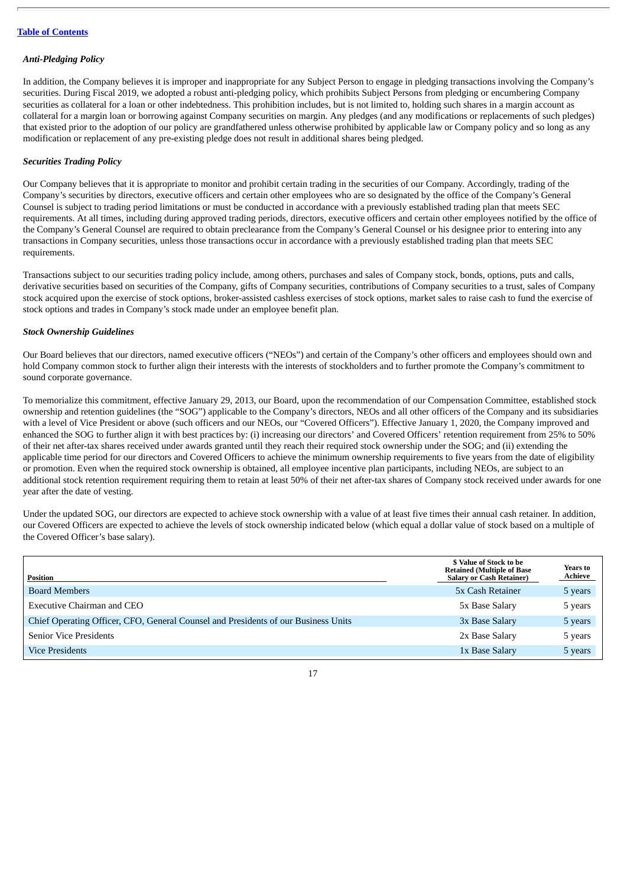# *Anti-Pledging Policy*

In addition, the Company believes it is improper and inappropriate for any Subject Person to engage in pledging transactions involving the Company's securities. During Fiscal 2019, we adopted a robust anti-pledging policy, which prohibits Subject Persons from pledging or encumbering Company securities as collateral for a loan or other indebtedness. This prohibition includes, but is not limited to, holding such shares in a margin account as collateral for a margin loan or borrowing against Company securities on margin. Any pledges (and any modifications or replacements of such pledges) that existed prior to the adoption of our policy are grandfathered unless otherwise prohibited by applicable law or Company policy and so long as any modification or replacement of any pre-existing pledge does not result in additional shares being pledged.

#### *Securities Trading Policy*

Our Company believes that it is appropriate to monitor and prohibit certain trading in the securities of our Company. Accordingly, trading of the Company's securities by directors, executive officers and certain other employees who are so designated by the office of the Company's General Counsel is subject to trading period limitations or must be conducted in accordance with a previously established trading plan that meets SEC requirements. At all times, including during approved trading periods, directors, executive officers and certain other employees notified by the office of the Company's General Counsel are required to obtain preclearance from the Company's General Counsel or his designee prior to entering into any transactions in Company securities, unless those transactions occur in accordance with a previously established trading plan that meets SEC requirements.

Transactions subject to our securities trading policy include, among others, purchases and sales of Company stock, bonds, options, puts and calls, derivative securities based on securities of the Company, gifts of Company securities, contributions of Company securities to a trust, sales of Company stock acquired upon the exercise of stock options, broker-assisted cashless exercises of stock options, market sales to raise cash to fund the exercise of stock options and trades in Company's stock made under an employee benefit plan.

# *Stock Ownership Guidelines*

Our Board believes that our directors, named executive officers ("NEOs") and certain of the Company's other officers and employees should own and hold Company common stock to further align their interests with the interests of stockholders and to further promote the Company's commitment to sound corporate governance.

To memorialize this commitment, effective January 29, 2013, our Board, upon the recommendation of our Compensation Committee, established stock ownership and retention guidelines (the "SOG") applicable to the Company's directors, NEOs and all other officers of the Company and its subsidiaries with a level of Vice President or above (such officers and our NEOs, our "Covered Officers"). Effective January 1, 2020, the Company improved and enhanced the SOG to further align it with best practices by: (i) increasing our directors' and Covered Officers' retention requirement from 25% to 50% of their net after-tax shares received under awards granted until they reach their required stock ownership under the SOG; and (ii) extending the applicable time period for our directors and Covered Officers to achieve the minimum ownership requirements to five years from the date of eligibility or promotion. Even when the required stock ownership is obtained, all employee incentive plan participants, including NEOs, are subject to an additional stock retention requirement requiring them to retain at least 50% of their net after-tax shares of Company stock received under awards for one year after the date of vesting.

Under the updated SOG, our directors are expected to achieve stock ownership with a value of at least five times their annual cash retainer. In addition, our Covered Officers are expected to achieve the levels of stock ownership indicated below (which equal a dollar value of stock based on a multiple of the Covered Officer's base salary).

| <b>Position</b>                                                                    | \$ Value of Stock to be<br><b>Retained (Multiple of Base)</b><br><b>Salary or Cash Retainer)</b> | Years to<br><b>Achieve</b> |
|------------------------------------------------------------------------------------|--------------------------------------------------------------------------------------------------|----------------------------|
| <b>Board Members</b>                                                               | 5x Cash Retainer                                                                                 | 5 years                    |
| Executive Chairman and CEO                                                         | 5x Base Salary                                                                                   | 5 years                    |
| Chief Operating Officer, CFO, General Counsel and Presidents of our Business Units | 3x Base Salary                                                                                   | 5 years                    |
| <b>Senior Vice Presidents</b>                                                      | 2x Base Salary                                                                                   | 5 years                    |
| <b>Vice Presidents</b>                                                             | 1x Base Salary                                                                                   | 5 years                    |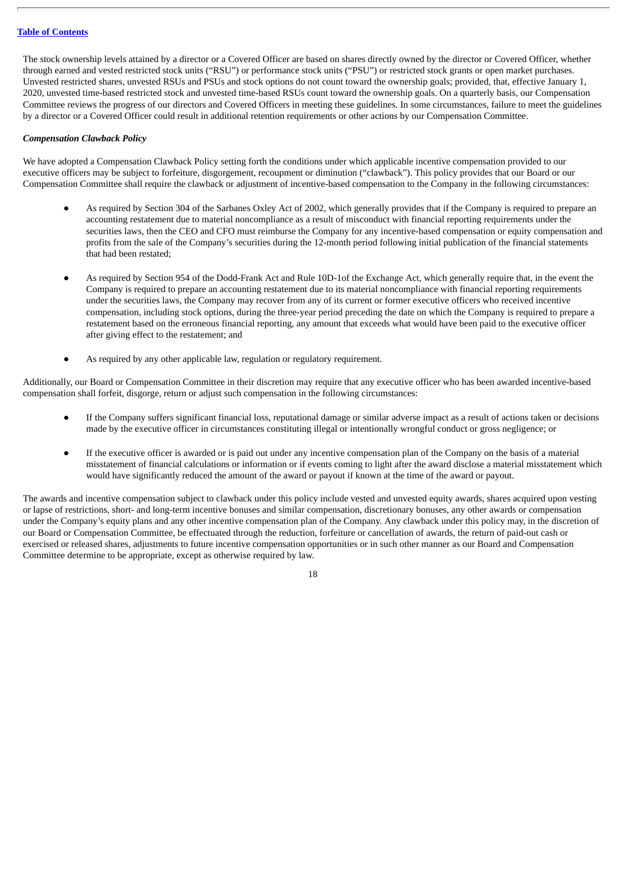The stock ownership levels attained by a director or a Covered Officer are based on shares directly owned by the director or Covered Officer, whether through earned and vested restricted stock units ("RSU") or performance stock units ("PSU") or restricted stock grants or open market purchases. Unvested restricted shares, unvested RSUs and PSUs and stock options do not count toward the ownership goals; provided, that, effective January 1, 2020, unvested time-based restricted stock and unvested time-based RSUs count toward the ownership goals. On a quarterly basis, our Compensation Committee reviews the progress of our directors and Covered Officers in meeting these guidelines. In some circumstances, failure to meet the guidelines by a director or a Covered Officer could result in additional retention requirements or other actions by our Compensation Committee.

# *Compensation Clawback Policy*

We have adopted a Compensation Clawback Policy setting forth the conditions under which applicable incentive compensation provided to our executive officers may be subject to forfeiture, disgorgement, recoupment or diminution ("clawback"). This policy provides that our Board or our Compensation Committee shall require the clawback or adjustment of incentive-based compensation to the Company in the following circumstances:

- As required by Section 304 of the Sarbanes Oxley Act of 2002, which generally provides that if the Company is required to prepare an accounting restatement due to material noncompliance as a result of misconduct with financial reporting requirements under the securities laws, then the CEO and CFO must reimburse the Company for any incentive-based compensation or equity compensation and profits from the sale of the Company's securities during the 12-month period following initial publication of the financial statements that had been restated;
- As required by Section 954 of the Dodd-Frank Act and Rule 10D-1of the Exchange Act, which generally require that, in the event the Company is required to prepare an accounting restatement due to its material noncompliance with financial reporting requirements under the securities laws, the Company may recover from any of its current or former executive officers who received incentive compensation, including stock options, during the three-year period preceding the date on which the Company is required to prepare a restatement based on the erroneous financial reporting, any amount that exceeds what would have been paid to the executive officer after giving effect to the restatement; and
- As required by any other applicable law, regulation or regulatory requirement.

Additionally, our Board or Compensation Committee in their discretion may require that any executive officer who has been awarded incentive-based compensation shall forfeit, disgorge, return or adjust such compensation in the following circumstances:

- If the Company suffers significant financial loss, reputational damage or similar adverse impact as a result of actions taken or decisions made by the executive officer in circumstances constituting illegal or intentionally wrongful conduct or gross negligence; or
- If the executive officer is awarded or is paid out under any incentive compensation plan of the Company on the basis of a material misstatement of financial calculations or information or if events coming to light after the award disclose a material misstatement which would have significantly reduced the amount of the award or payout if known at the time of the award or payout.

The awards and incentive compensation subject to clawback under this policy include vested and unvested equity awards, shares acquired upon vesting or lapse of restrictions, short- and long-term incentive bonuses and similar compensation, discretionary bonuses, any other awards or compensation under the Company's equity plans and any other incentive compensation plan of the Company. Any clawback under this policy may, in the discretion of our Board or Compensation Committee, be effectuated through the reduction, forfeiture or cancellation of awards, the return of paid-out cash or exercised or released shares, adjustments to future incentive compensation opportunities or in such other manner as our Board and Compensation Committee determine to be appropriate, except as otherwise required by law.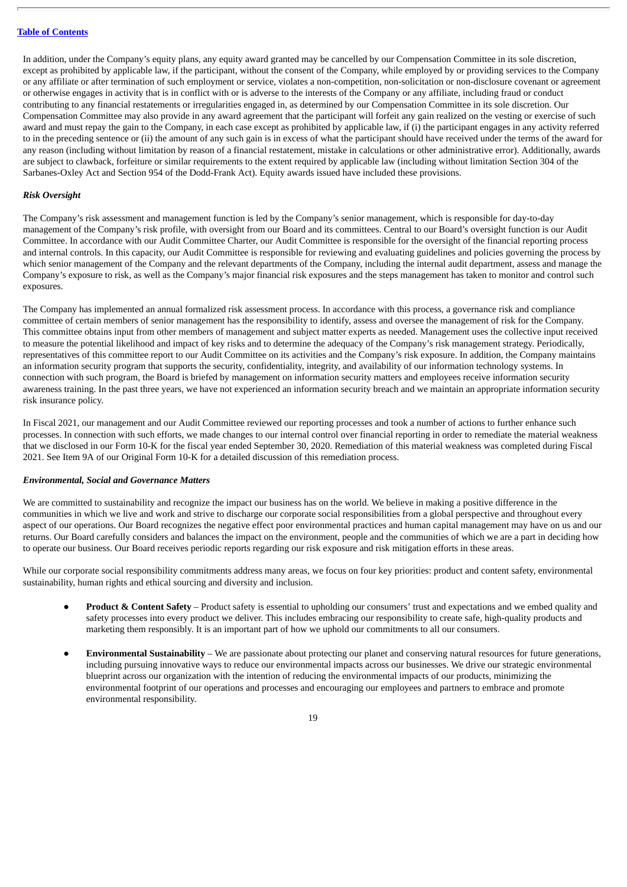In addition, under the Company's equity plans, any equity award granted may be cancelled by our Compensation Committee in its sole discretion, except as prohibited by applicable law, if the participant, without the consent of the Company, while employed by or providing services to the Company or any affiliate or after termination of such employment or service, violates a non-competition, non-solicitation or non-disclosure covenant or agreement or otherwise engages in activity that is in conflict with or is adverse to the interests of the Company or any affiliate, including fraud or conduct contributing to any financial restatements or irregularities engaged in, as determined by our Compensation Committee in its sole discretion. Our Compensation Committee may also provide in any award agreement that the participant will forfeit any gain realized on the vesting or exercise of such award and must repay the gain to the Company, in each case except as prohibited by applicable law, if (i) the participant engages in any activity referred to in the preceding sentence or (ii) the amount of any such gain is in excess of what the participant should have received under the terms of the award for any reason (including without limitation by reason of a financial restatement, mistake in calculations or other administrative error). Additionally, awards are subject to clawback, forfeiture or similar requirements to the extent required by applicable law (including without limitation Section 304 of the Sarbanes-Oxley Act and Section 954 of the Dodd-Frank Act). Equity awards issued have included these provisions.

## *Risk Oversight*

The Company's risk assessment and management function is led by the Company's senior management, which is responsible for day-to-day management of the Company's risk profile, with oversight from our Board and its committees. Central to our Board's oversight function is our Audit Committee. In accordance with our Audit Committee Charter, our Audit Committee is responsible for the oversight of the financial reporting process and internal controls. In this capacity, our Audit Committee is responsible for reviewing and evaluating guidelines and policies governing the process by which senior management of the Company and the relevant departments of the Company, including the internal audit department, assess and manage the Company's exposure to risk, as well as the Company's major financial risk exposures and the steps management has taken to monitor and control such exposures.

The Company has implemented an annual formalized risk assessment process. In accordance with this process, a governance risk and compliance committee of certain members of senior management has the responsibility to identify, assess and oversee the management of risk for the Company. This committee obtains input from other members of management and subject matter experts as needed. Management uses the collective input received to measure the potential likelihood and impact of key risks and to determine the adequacy of the Company's risk management strategy. Periodically, representatives of this committee report to our Audit Committee on its activities and the Company's risk exposure. In addition, the Company maintains an information security program that supports the security, confidentiality, integrity, and availability of our information technology systems. In connection with such program, the Board is briefed by management on information security matters and employees receive information security awareness training. In the past three years, we have not experienced an information security breach and we maintain an appropriate information security risk insurance policy.

In Fiscal 2021, our management and our Audit Committee reviewed our reporting processes and took a number of actions to further enhance such processes. In connection with such efforts, we made changes to our internal control over financial reporting in order to remediate the material weakness that we disclosed in our Form 10-K for the fiscal year ended September 30, 2020. Remediation of this material weakness was completed during Fiscal 2021. See Item 9A of our Original Form 10-K for a detailed discussion of this remediation process.

# *Environmental, Social and Governance Matters*

We are committed to sustainability and recognize the impact our business has on the world. We believe in making a positive difference in the communities in which we live and work and strive to discharge our corporate social responsibilities from a global perspective and throughout every aspect of our operations. Our Board recognizes the negative effect poor environmental practices and human capital management may have on us and our returns. Our Board carefully considers and balances the impact on the environment, people and the communities of which we are a part in deciding how to operate our business. Our Board receives periodic reports regarding our risk exposure and risk mitigation efforts in these areas.

While our corporate social responsibility commitments address many areas, we focus on four key priorities: product and content safety, environmental sustainability, human rights and ethical sourcing and diversity and inclusion.

- **Product & Content Safety** Product safety is essential to upholding our consumers' trust and expectations and we embed quality and safety processes into every product we deliver. This includes embracing our responsibility to create safe, high-quality products and marketing them responsibly. It is an important part of how we uphold our commitments to all our consumers.
- **Environmental Sustainability** We are passionate about protecting our planet and conserving natural resources for future generations, including pursuing innovative ways to reduce our environmental impacts across our businesses. We drive our strategic environmental blueprint across our organization with the intention of reducing the environmental impacts of our products, minimizing the environmental footprint of our operations and processes and encouraging our employees and partners to embrace and promote environmental responsibility.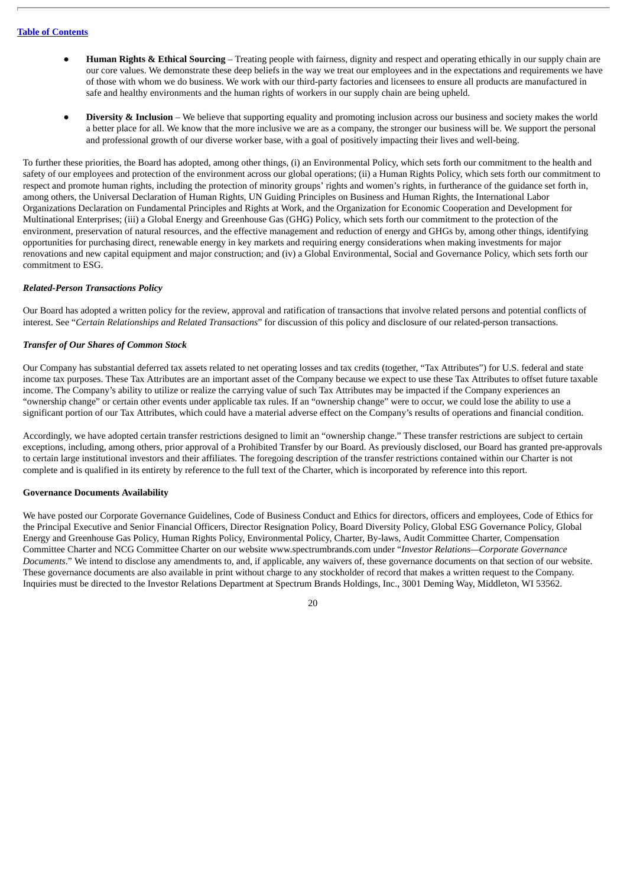- **Human Rights & Ethical Sourcing** Treating people with fairness, dignity and respect and operating ethically in our supply chain are our core values. We demonstrate these deep beliefs in the way we treat our employees and in the expectations and requirements we have of those with whom we do business. We work with our third-party factories and licensees to ensure all products are manufactured in safe and healthy environments and the human rights of workers in our supply chain are being upheld.
- **Diversity & Inclusion** We believe that supporting equality and promoting inclusion across our business and society makes the world a better place for all. We know that the more inclusive we are as a company, the stronger our business will be. We support the personal and professional growth of our diverse worker base, with a goal of positively impacting their lives and well-being.

To further these priorities, the Board has adopted, among other things, (i) an Environmental Policy, which sets forth our commitment to the health and safety of our employees and protection of the environment across our global operations; (ii) a Human Rights Policy, which sets forth our commitment to respect and promote human rights, including the protection of minority groups' rights and women's rights, in furtherance of the guidance set forth in, among others, the Universal Declaration of Human Rights, UN Guiding Principles on Business and Human Rights, the International Labor Organizations Declaration on Fundamental Principles and Rights at Work, and the Organization for Economic Cooperation and Development for Multinational Enterprises; (iii) a Global Energy and Greenhouse Gas (GHG) Policy, which sets forth our commitment to the protection of the environment, preservation of natural resources, and the effective management and reduction of energy and GHGs by, among other things, identifying opportunities for purchasing direct, renewable energy in key markets and requiring energy considerations when making investments for major renovations and new capital equipment and major construction; and (iv) a Global Environmental, Social and Governance Policy, which sets forth our commitment to ESG.

# *Related-Person Transactions Policy*

Our Board has adopted a written policy for the review, approval and ratification of transactions that involve related persons and potential conflicts of interest. See "*Certain Relationships and Related Transactions*" for discussion of this policy and disclosure of our related-person transactions.

# *Transfer of Our Shares of Common Stock*

Our Company has substantial deferred tax assets related to net operating losses and tax credits (together, "Tax Attributes") for U.S. federal and state income tax purposes. These Tax Attributes are an important asset of the Company because we expect to use these Tax Attributes to offset future taxable income. The Company's ability to utilize or realize the carrying value of such Tax Attributes may be impacted if the Company experiences an "ownership change" or certain other events under applicable tax rules. If an "ownership change" were to occur, we could lose the ability to use a significant portion of our Tax Attributes, which could have a material adverse effect on the Company's results of operations and financial condition.

Accordingly, we have adopted certain transfer restrictions designed to limit an "ownership change." These transfer restrictions are subject to certain exceptions, including, among others, prior approval of a Prohibited Transfer by our Board. As previously disclosed, our Board has granted pre-approvals to certain large institutional investors and their affiliates. The foregoing description of the transfer restrictions contained within our Charter is not complete and is qualified in its entirety by reference to the full text of the Charter, which is incorporated by reference into this report.

# **Governance Documents Availability**

We have posted our Corporate Governance Guidelines, Code of Business Conduct and Ethics for directors, officers and employees, Code of Ethics for the Principal Executive and Senior Financial Officers, Director Resignation Policy, Board Diversity Policy, Global ESG Governance Policy, Global Energy and Greenhouse Gas Policy, Human Rights Policy, Environmental Policy, Charter, By-laws, Audit Committee Charter, Compensation Committee Charter and NCG Committee Charter on our website www.spectrumbrands.com under "*Investor Relations—Corporate Governance Documents*." We intend to disclose any amendments to, and, if applicable, any waivers of, these governance documents on that section of our website. These governance documents are also available in print without charge to any stockholder of record that makes a written request to the Company. Inquiries must be directed to the Investor Relations Department at Spectrum Brands Holdings, Inc., 3001 Deming Way, Middleton, WI 53562.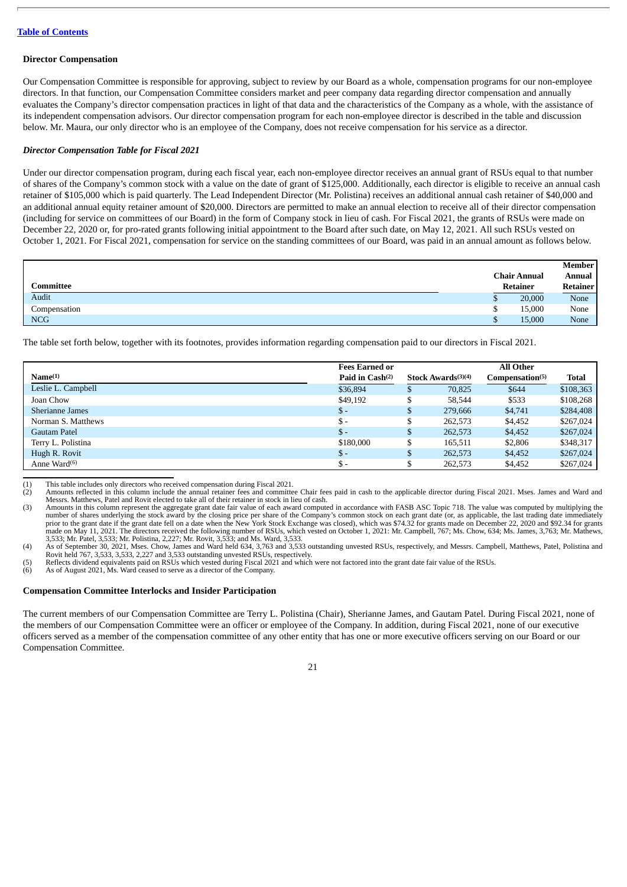#### **Director Compensation**

Our Compensation Committee is responsible for approving, subject to review by our Board as a whole, compensation programs for our non-employee directors. In that function, our Compensation Committee considers market and peer company data regarding director compensation and annually evaluates the Company's director compensation practices in light of that data and the characteristics of the Company as a whole, with the assistance of its independent compensation advisors. Our director compensation program for each non-employee director is described in the table and discussion below. Mr. Maura, our only director who is an employee of the Company, does not receive compensation for his service as a director.

## *Director Compensation Table for Fiscal 2021*

Under our director compensation program, during each fiscal year, each non-employee director receives an annual grant of RSUs equal to that number of shares of the Company's common stock with a value on the date of grant of \$125,000. Additionally, each director is eligible to receive an annual cash retainer of \$105,000 which is paid quarterly. The Lead Independent Director (Mr. Polistina) receives an additional annual cash retainer of \$40,000 and an additional annual equity retainer amount of \$20,000. Directors are permitted to make an annual election to receive all of their director compensation (including for service on committees of our Board) in the form of Company stock in lieu of cash. For Fiscal 2021, the grants of RSUs were made on December 22, 2020 or, for pro-rated grants following initial appointment to the Board after such date, on May 12, 2021. All such RSUs vested on October 1, 2021. For Fiscal 2021, compensation for service on the standing committees of our Board, was paid in an annual amount as follows below.

|              |                     | Member   |
|--------------|---------------------|----------|
|              | <b>Chair Annual</b> | Annual   |
| Committee    | Retainer            | Retainer |
| Audit        | 20,000<br>Φ         | None     |
| Compensation | 15,000<br>u         | None     |
| <b>NCG</b>   | 15,000              | None     |

The table set forth below, together with its footnotes, provides information regarding compensation paid to our directors in Fiscal 2021.

|                     | <b>Fees Earned or</b>       |                                | All Other                   |              |
|---------------------|-----------------------------|--------------------------------|-----------------------------|--------------|
| Name <sup>(1)</sup> | Paid in Cash <sup>(2)</sup> | Stock Awards <sup>(3)(4)</sup> | Compensation <sup>(5)</sup> | <b>Total</b> |
| Leslie L. Campbell  | \$36,894                    | \$<br>70,825                   | \$644                       | \$108,363    |
| Joan Chow           | \$49,192                    | \$<br>58.544                   | \$533                       | \$108,268    |
| Sherianne James     | $\mathbb{S}$ –              | \$<br>279.666                  | \$4,741                     | \$284,408    |
| Norman S. Matthews  | $\mathbb{S}$ -              | \$<br>262,573                  | \$4,452                     | \$267,024    |
| Gautam Patel        | \$-                         | \$<br>262,573                  | \$4,452                     | \$267,024    |
| Terry L. Polistina  | \$180,000                   | \$<br>165.511                  | \$2,806                     | \$348,317    |
| Hugh R. Rovit       | $S -$                       | \$<br>262,573                  | \$4,452                     | \$267,024    |
| Anne Ward $(6)$     | \$-                         | 262,573                        | \$4,452                     | \$267,024    |

(1) This table includes only directors who received compensation during Fiscal 2021.

(2) Amounts reflected in this column include the annual retainer fees and committee Chair fees paid in cash to the applicable director during Fiscal 2021. Mses. James and Ward and Messrs. Matthews, Patel and Rovit elected to take all of their retainer in stock in lieu of cash.

(3) Amounts in this column represent the aggregate grant date fair value of each award computed in accordance with FASB ASC Topic 718. The value was computed by multiplying the number of shares underlying the stock award by the closing price per share of the Company's common stock on each grant date (or, as applicable, the last trading date immediately<br>prior to the grant date if the grant date fe

made on May 11, 2021. The directors received the following number of RSUs, which vested on October 1, 2021: Mr. Campbell, 767; Ms. Chow, 634; Ms. James, 3,763; Mr. Mathews, 3,533; Mr. Patel, 3,533; Mr. Polistina, 2,227; Mr

(6) As of August 2021, Ms. Ward ceased to serve as a director of the Company.

**Compensation Committee Interlocks and Insider Participation**

The current members of our Compensation Committee are Terry L. Polistina (Chair), Sherianne James, and Gautam Patel. During Fiscal 2021, none of the members of our Compensation Committee were an officer or employee of the Company. In addition, during Fiscal 2021, none of our executive officers served as a member of the compensation committee of any other entity that has one or more executive officers serving on our Board or our Compensation Committee.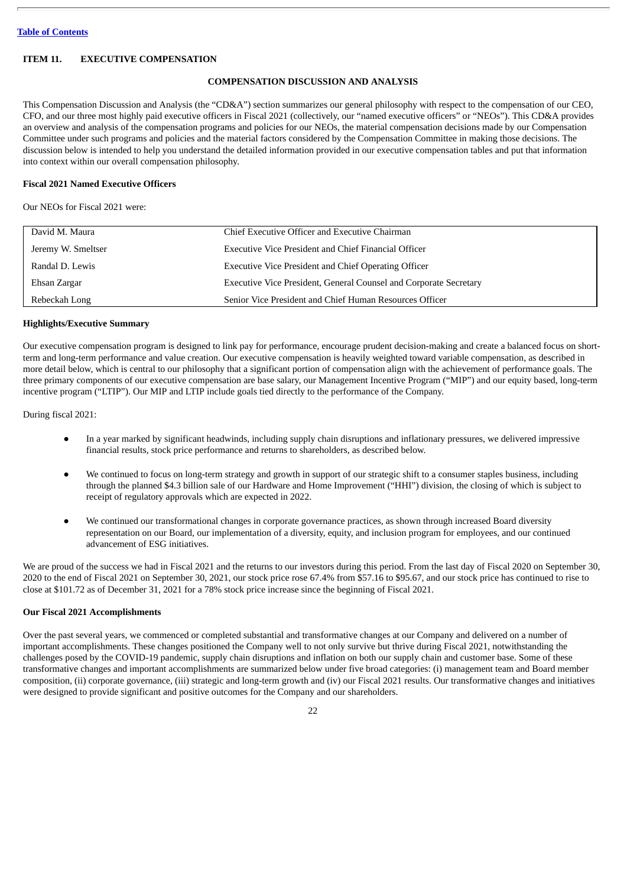# <span id="page-21-0"></span>**ITEM 11. EXECUTIVE COMPENSATION**

# **COMPENSATION DISCUSSION AND ANALYSIS**

This Compensation Discussion and Analysis (the "CD&A") section summarizes our general philosophy with respect to the compensation of our CEO, CFO, and our three most highly paid executive officers in Fiscal 2021 (collectively, our "named executive officers" or "NEOs"). This CD&A provides an overview and analysis of the compensation programs and policies for our NEOs, the material compensation decisions made by our Compensation Committee under such programs and policies and the material factors considered by the Compensation Committee in making those decisions. The discussion below is intended to help you understand the detailed information provided in our executive compensation tables and put that information into context within our overall compensation philosophy.

# **Fiscal 2021 Named Executive Officers**

Our NEOs for Fiscal 2021 were:

| David M. Maura     | Chief Executive Officer and Executive Chairman                    |
|--------------------|-------------------------------------------------------------------|
| Jeremy W. Smeltser | <b>Executive Vice President and Chief Financial Officer</b>       |
| Randal D. Lewis    | <b>Executive Vice President and Chief Operating Officer</b>       |
| Ehsan Zargar       | Executive Vice President, General Counsel and Corporate Secretary |
| Rebeckah Long      | Senior Vice President and Chief Human Resources Officer           |

#### **Highlights/Executive Summary**

Our executive compensation program is designed to link pay for performance, encourage prudent decision-making and create a balanced focus on shortterm and long-term performance and value creation. Our executive compensation is heavily weighted toward variable compensation, as described in more detail below, which is central to our philosophy that a significant portion of compensation align with the achievement of performance goals. The three primary components of our executive compensation are base salary, our Management Incentive Program ("MIP") and our equity based, long-term incentive program ("LTIP"). Our MIP and LTIP include goals tied directly to the performance of the Company.

During fiscal 2021:

- In a year marked by significant headwinds, including supply chain disruptions and inflationary pressures, we delivered impressive financial results, stock price performance and returns to shareholders, as described below.
- We continued to focus on long-term strategy and growth in support of our strategic shift to a consumer staples business, including through the planned \$4.3 billion sale of our Hardware and Home Improvement ("HHI") division, the closing of which is subject to receipt of regulatory approvals which are expected in 2022.
- We continued our transformational changes in corporate governance practices, as shown through increased Board diversity representation on our Board, our implementation of a diversity, equity, and inclusion program for employees, and our continued advancement of ESG initiatives.

We are proud of the success we had in Fiscal 2021 and the returns to our investors during this period. From the last day of Fiscal 2020 on September 30, 2020 to the end of Fiscal 2021 on September 30, 2021, our stock price rose 67.4% from \$57.16 to \$95.67, and our stock price has continued to rise to close at \$101.72 as of December 31, 2021 for a 78% stock price increase since the beginning of Fiscal 2021.

# **Our Fiscal 2021 Accomplishments**

Over the past several years, we commenced or completed substantial and transformative changes at our Company and delivered on a number of important accomplishments. These changes positioned the Company well to not only survive but thrive during Fiscal 2021, notwithstanding the challenges posed by the COVID-19 pandemic, supply chain disruptions and inflation on both our supply chain and customer base. Some of these transformative changes and important accomplishments are summarized below under five broad categories: (i) management team and Board member composition, (ii) corporate governance, (iii) strategic and long-term growth and (iv) our Fiscal 2021 results. Our transformative changes and initiatives were designed to provide significant and positive outcomes for the Company and our shareholders.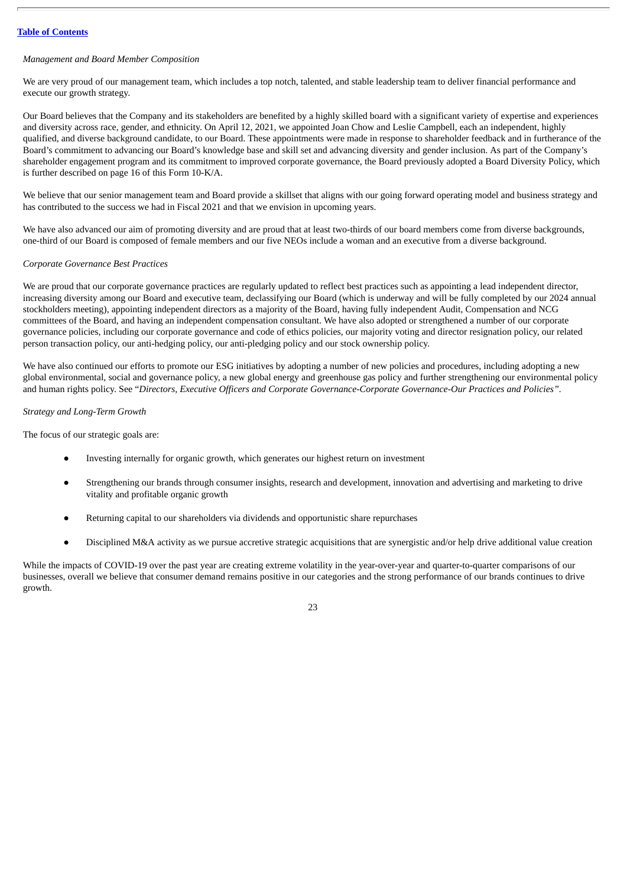## *Management and Board Member Composition*

We are very proud of our management team, which includes a top notch, talented, and stable leadership team to deliver financial performance and execute our growth strategy.

Our Board believes that the Company and its stakeholders are benefited by a highly skilled board with a significant variety of expertise and experiences and diversity across race, gender, and ethnicity. On April 12, 2021, we appointed Joan Chow and Leslie Campbell, each an independent, highly qualified, and diverse background candidate, to our Board. These appointments were made in response to shareholder feedback and in furtherance of the Board's commitment to advancing our Board's knowledge base and skill set and advancing diversity and gender inclusion. As part of the Company's shareholder engagement program and its commitment to improved corporate governance, the Board previously adopted a Board Diversity Policy, which is further described on page 16 of this Form 10-K/A.

We believe that our senior management team and Board provide a skillset that aligns with our going forward operating model and business strategy and has contributed to the success we had in Fiscal 2021 and that we envision in upcoming years.

We have also advanced our aim of promoting diversity and are proud that at least two-thirds of our board members come from diverse backgrounds, one-third of our Board is composed of female members and our five NEOs include a woman and an executive from a diverse background.

## *Corporate Governance Best Practices*

We are proud that our corporate governance practices are regularly updated to reflect best practices such as appointing a lead independent director, increasing diversity among our Board and executive team, declassifying our Board (which is underway and will be fully completed by our 2024 annual stockholders meeting), appointing independent directors as a majority of the Board, having fully independent Audit, Compensation and NCG committees of the Board, and having an independent compensation consultant. We have also adopted or strengthened a number of our corporate governance policies, including our corporate governance and code of ethics policies, our majority voting and director resignation policy, our related person transaction policy, our anti-hedging policy, our anti-pledging policy and our stock ownership policy.

We have also continued our efforts to promote our ESG initiatives by adopting a number of new policies and procedures, including adopting a new global environmental, social and governance policy, a new global energy and greenhouse gas policy and further strengthening our environmental policy and human rights policy. See "*Directors, Executive Officers and Corporate Governance-Corporate Governance-Our Practices and Policies".*

# *Strategy and Long-Term Growth*

The focus of our strategic goals are:

- Investing internally for organic growth, which generates our highest return on investment
- Strengthening our brands through consumer insights, research and development, innovation and advertising and marketing to drive vitality and profitable organic growth
- Returning capital to our shareholders via dividends and opportunistic share repurchases
- Disciplined M&A activity as we pursue accretive strategic acquisitions that are synergistic and/or help drive additional value creation

While the impacts of COVID-19 over the past year are creating extreme volatility in the year-over-year and quarter-to-quarter comparisons of our businesses, overall we believe that consumer demand remains positive in our categories and the strong performance of our brands continues to drive growth.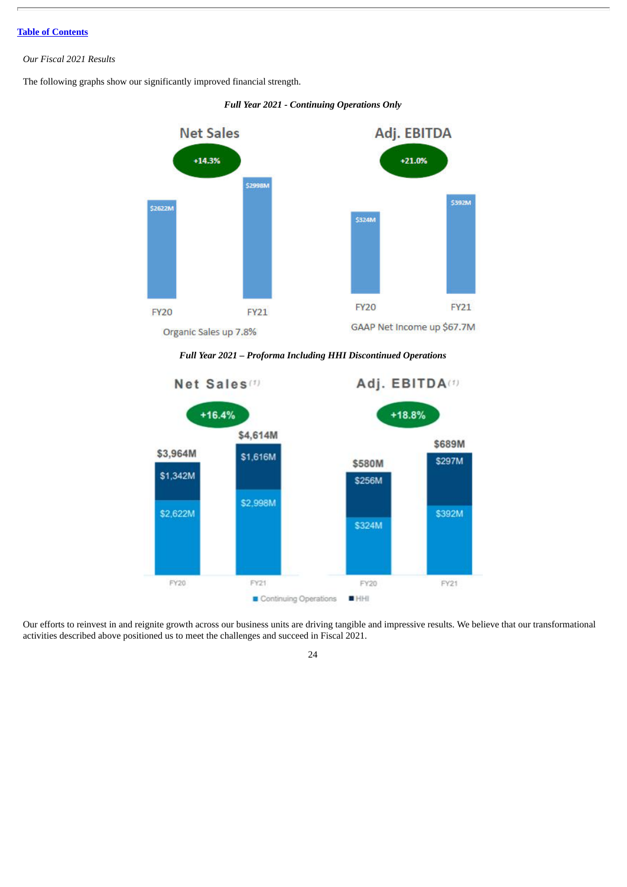# *Our Fiscal 2021 Results*

The following graphs show our significantly improved financial strength.





*Full Year 2021 – Proforma Including HHI Discontinued Operations*



Our efforts to reinvest in and reignite growth across our business units are driving tangible and impressive results. We believe that our transformational activities described above positioned us to meet the challenges and succeed in Fiscal 2021.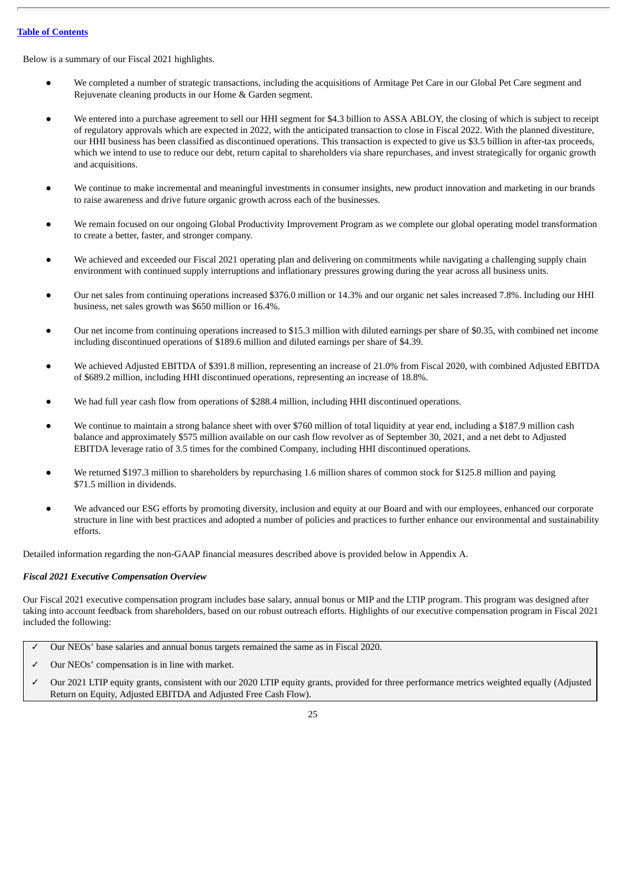Below is a summary of our Fiscal 2021 highlights.

- We completed a number of strategic transactions, including the acquisitions of Armitage Pet Care in our Global Pet Care segment and Rejuvenate cleaning products in our Home & Garden segment.
- We entered into a purchase agreement to sell our HHI segment for \$4.3 billion to ASSA ABLOY, the closing of which is subject to receipt of regulatory approvals which are expected in 2022, with the anticipated transaction to close in Fiscal 2022. With the planned divestiture, our HHI business has been classified as discontinued operations. This transaction is expected to give us \$3.5 billion in after-tax proceeds, which we intend to use to reduce our debt, return capital to shareholders via share repurchases, and invest strategically for organic growth and acquisitions.
- We continue to make incremental and meaningful investments in consumer insights, new product innovation and marketing in our brands to raise awareness and drive future organic growth across each of the businesses.
- We remain focused on our ongoing Global Productivity Improvement Program as we complete our global operating model transformation to create a better, faster, and stronger company.
- We achieved and exceeded our Fiscal 2021 operating plan and delivering on commitments while navigating a challenging supply chain environment with continued supply interruptions and inflationary pressures growing during the year across all business units.
- Our net sales from continuing operations increased \$376.0 million or 14.3% and our organic net sales increased 7.8%. Including our HHI business, net sales growth was \$650 million or 16.4%.
- Our net income from continuing operations increased to \$15.3 million with diluted earnings per share of \$0.35, with combined net income including discontinued operations of \$189.6 million and diluted earnings per share of \$4.39.
- We achieved Adjusted EBITDA of \$391.8 million, representing an increase of 21.0% from Fiscal 2020, with combined Adjusted EBITDA of \$689.2 million, including HHI discontinued operations, representing an increase of 18.8%.
- We had full year cash flow from operations of \$288.4 million, including HHI discontinued operations.
- We continue to maintain a strong balance sheet with over \$760 million of total liquidity at year end, including a \$187.9 million cash balance and approximately \$575 million available on our cash flow revolver as of September 30, 2021, and a net debt to Adjusted EBITDA leverage ratio of 3.5 times for the combined Company, including HHI discontinued operations.
- We returned \$197.3 million to shareholders by repurchasing 1.6 million shares of common stock for \$125.8 million and paying \$71.5 million in dividends.
- We advanced our ESG efforts by promoting diversity, inclusion and equity at our Board and with our employees, enhanced our corporate structure in line with best practices and adopted a number of policies and practices to further enhance our environmental and sustainability efforts.

Detailed information regarding the non-GAAP financial measures described above is provided below in Appendix A.

# *Fiscal 2021 Executive Compensation Overview*

Our Fiscal 2021 executive compensation program includes base salary, annual bonus or MIP and the LTIP program. This program was designed after taking into account feedback from shareholders, based on our robust outreach efforts. Highlights of our executive compensation program in Fiscal 2021 included the following:

- ✓ Our NEOs' base salaries and annual bonus targets remained the same as in Fiscal 2020.
- Our NEOs' compensation is in line with market.
- ✓ Our 2021 LTIP equity grants, consistent with our 2020 LTIP equity grants, provided for three performance metrics weighted equally (Adjusted Return on Equity, Adjusted EBITDA and Adjusted Free Cash Flow).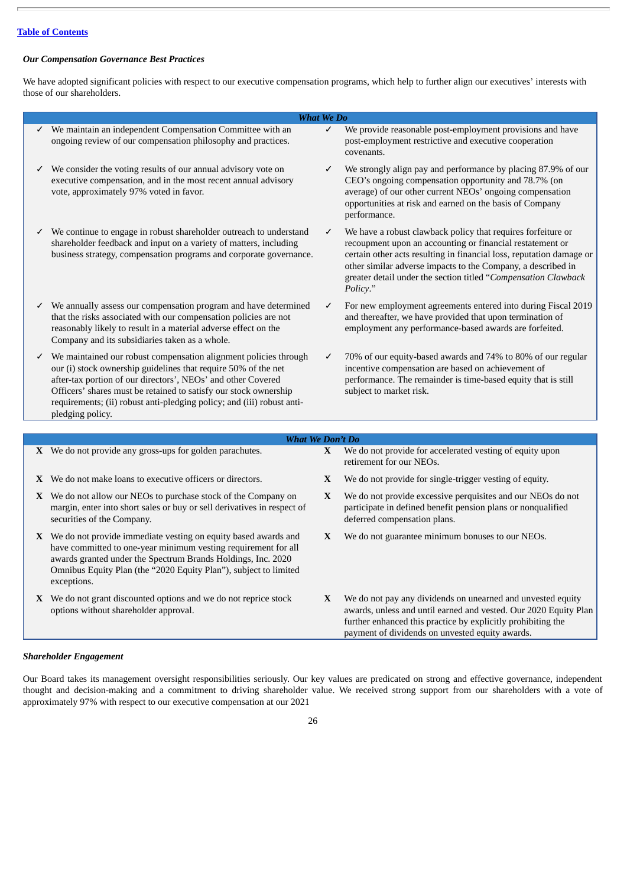# *Our Compensation Governance Best Practices*

We have adopted significant policies with respect to our executive compensation programs, which help to further align our executives' interests with those of our shareholders.

|   |                                                                                                                                                                                                                                                                                                                                                                      | <b>What We Do</b> |                                                                                                                                                                                                                                                                                                                                                 |
|---|----------------------------------------------------------------------------------------------------------------------------------------------------------------------------------------------------------------------------------------------------------------------------------------------------------------------------------------------------------------------|-------------------|-------------------------------------------------------------------------------------------------------------------------------------------------------------------------------------------------------------------------------------------------------------------------------------------------------------------------------------------------|
|   | $\checkmark$ We maintain an independent Compensation Committee with an<br>ongoing review of our compensation philosophy and practices.                                                                                                                                                                                                                               | $\checkmark$      | We provide reasonable post-employment provisions and have<br>post-employment restrictive and executive cooperation<br>covenants.                                                                                                                                                                                                                |
| ✓ | We consider the voting results of our annual advisory vote on<br>executive compensation, and in the most recent annual advisory<br>vote, approximately 97% voted in favor.                                                                                                                                                                                           | $\checkmark$      | We strongly align pay and performance by placing 87.9% of our<br>CEO's ongoing compensation opportunity and 78.7% (on<br>average) of our other current NEOs' ongoing compensation<br>opportunities at risk and earned on the basis of Company<br>performance.                                                                                   |
| ✓ | We continue to engage in robust shareholder outreach to understand<br>shareholder feedback and input on a variety of matters, including<br>business strategy, compensation programs and corporate governance.                                                                                                                                                        | ✓                 | We have a robust clawback policy that requires forfeiture or<br>recoupment upon an accounting or financial restatement or<br>certain other acts resulting in financial loss, reputation damage or<br>other similar adverse impacts to the Company, a described in<br>greater detail under the section titled "Compensation Clawback<br>Policy." |
| ✓ | We annually assess our compensation program and have determined<br>that the risks associated with our compensation policies are not<br>reasonably likely to result in a material adverse effect on the<br>Company and its subsidiaries taken as a whole.                                                                                                             | ✓                 | For new employment agreements entered into during Fiscal 2019<br>and thereafter, we have provided that upon termination of<br>employment any performance-based awards are forfeited.                                                                                                                                                            |
|   | We maintained our robust compensation alignment policies through<br>our (i) stock ownership guidelines that require 50% of the net<br>after-tax portion of our directors', NEOs' and other Covered<br>Officers' shares must be retained to satisfy our stock ownership<br>requirements; (ii) robust anti-pledging policy; and (iii) robust anti-<br>pledging policy. | ✓                 | 70% of our equity-based awards and 74% to 80% of our regular<br>incentive compensation are based on achievement of<br>performance. The remainder is time-based equity that is still<br>subject to market risk.                                                                                                                                  |
|   |                                                                                                                                                                                                                                                                                                                                                                      |                   |                                                                                                                                                                                                                                                                                                                                                 |
|   | <b>What We Don't Do</b><br>$X$ We do not provide any gross-ups for golden parachutes.                                                                                                                                                                                                                                                                                | X                 | We do not provide for accelerated vesting of equity upon<br>retirement for our NEOs.                                                                                                                                                                                                                                                            |
|   | X We do not make loans to executive officers or directors.                                                                                                                                                                                                                                                                                                           | X                 | We do not provide for single-trigger vesting of equity.                                                                                                                                                                                                                                                                                         |
|   | X We do not allow our NEOs to purchase stock of the Company on<br>margin, enter into short sales or buy or sell derivatives in respect of<br>securities of the Company.                                                                                                                                                                                              | X                 | We do not provide excessive perquisites and our NEOs do not<br>participate in defined benefit pension plans or nonqualified<br>deferred compensation plans.                                                                                                                                                                                     |
|   | X We do not provide immediate vesting on equity based awards and<br>have committed to one-year minimum vesting requirement for all<br>awards granted under the Spectrum Brands Holdings, Inc. 2020<br>Omnibus Equity Plan (the "2020 Equity Plan"), subject to limited<br>exceptions.                                                                                | X                 | We do not guarantee minimum bonuses to our NEOs.                                                                                                                                                                                                                                                                                                |
|   | X We do not grant discounted options and we do not reprice stock<br>options without shareholder approval.                                                                                                                                                                                                                                                            | X                 | We do not pay any dividends on unearned and unvested equity<br>awards, unless and until earned and vested. Our 2020 Equity Plan<br>further enhanced this practice by explicitly prohibiting the<br>payment of dividends on unvested equity awards.                                                                                              |

# *Shareholder Engagement*

Our Board takes its management oversight responsibilities seriously. Our key values are predicated on strong and effective governance, independent thought and decision-making and a commitment to driving shareholder value. We received strong support from our shareholders with a vote of approximately 97% with respect to our executive compensation at our 2021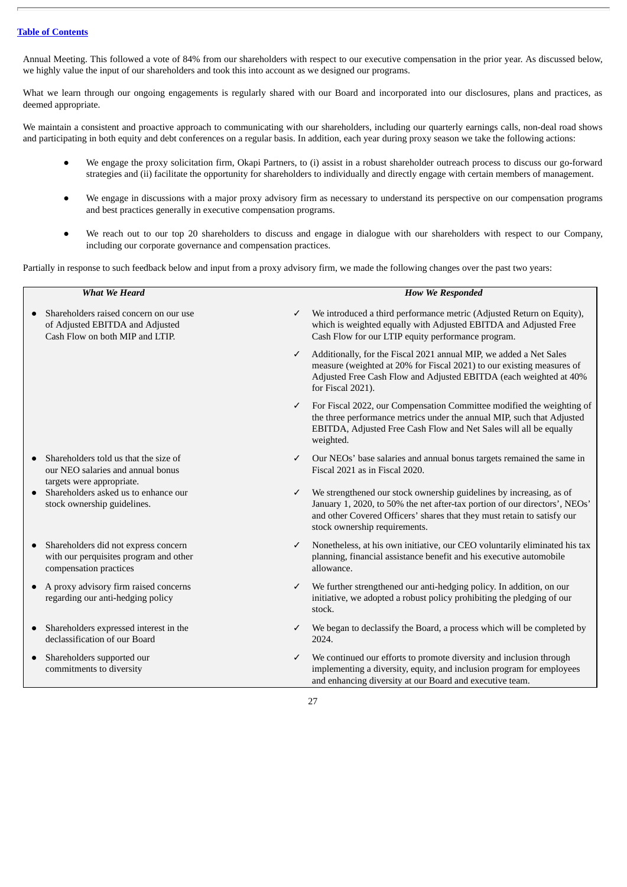Annual Meeting. This followed a vote of 84% from our shareholders with respect to our executive compensation in the prior year. As discussed below, we highly value the input of our shareholders and took this into account as we designed our programs.

What we learn through our ongoing engagements is regularly shared with our Board and incorporated into our disclosures, plans and practices, as deemed appropriate.

We maintain a consistent and proactive approach to communicating with our shareholders, including our quarterly earnings calls, non-deal road shows and participating in both equity and debt conferences on a regular basis. In addition, each year during proxy season we take the following actions:

- We engage the proxy solicitation firm, Okapi Partners, to (i) assist in a robust shareholder outreach process to discuss our go-forward strategies and (ii) facilitate the opportunity for shareholders to individually and directly engage with certain members of management.
- We engage in discussions with a major proxy advisory firm as necessary to understand its perspective on our compensation programs and best practices generally in executive compensation programs.
- We reach out to our top 20 shareholders to discuss and engage in dialogue with our shareholders with respect to our Company, including our corporate governance and compensation practices.

Partially in response to such feedback below and input from a proxy advisory firm, we made the following changes over the past two years:

| <b>What We Heard</b>                                                                                         | <b>How We Responded</b>                                                                                                                                                                                                                                            |
|--------------------------------------------------------------------------------------------------------------|--------------------------------------------------------------------------------------------------------------------------------------------------------------------------------------------------------------------------------------------------------------------|
| Shareholders raised concern on our use<br>of Adjusted EBITDA and Adjusted<br>Cash Flow on both MIP and LTIP. | We introduced a third performance metric (Adjusted Return on Equity),<br>✓<br>which is weighted equally with Adjusted EBITDA and Adjusted Free<br>Cash Flow for our LTIP equity performance program.                                                               |
|                                                                                                              | Additionally, for the Fiscal 2021 annual MIP, we added a Net Sales<br>✓<br>measure (weighted at 20% for Fiscal 2021) to our existing measures of<br>Adjusted Free Cash Flow and Adjusted EBITDA (each weighted at 40%<br>for Fiscal 2021).                         |
|                                                                                                              | For Fiscal 2022, our Compensation Committee modified the weighting of<br>$\checkmark$<br>the three performance metrics under the annual MIP, such that Adjusted<br>EBITDA, Adjusted Free Cash Flow and Net Sales will all be equally<br>weighted.                  |
| Shareholders told us that the size of<br>our NEO salaries and annual bonus<br>targets were appropriate.      | Our NEOs' base salaries and annual bonus targets remained the same in<br>$\checkmark$<br>Fiscal 2021 as in Fiscal 2020.                                                                                                                                            |
| Shareholders asked us to enhance our<br>stock ownership guidelines.                                          | We strengthened our stock ownership guidelines by increasing, as of<br>✓<br>January 1, 2020, to 50% the net after-tax portion of our directors', NEOs'<br>and other Covered Officers' shares that they must retain to satisfy our<br>stock ownership requirements. |
| Shareholders did not express concern<br>with our perquisites program and other<br>compensation practices     | Nonetheless, at his own initiative, our CEO voluntarily eliminated his tax<br>✓<br>planning, financial assistance benefit and his executive automobile<br>allowance.                                                                                               |
| A proxy advisory firm raised concerns<br>$\bullet$<br>regarding our anti-hedging policy                      | We further strengthened our anti-hedging policy. In addition, on our<br>✓<br>initiative, we adopted a robust policy prohibiting the pledging of our<br>stock.                                                                                                      |
| Shareholders expressed interest in the<br>declassification of our Board                                      | We began to declassify the Board, a process which will be completed by<br>2024.                                                                                                                                                                                    |
| Shareholders supported our<br>commitments to diversity                                                       | We continued our efforts to promote diversity and inclusion through<br>✓<br>implementing a diversity, equity, and inclusion program for employees<br>and enhancing diversity at our Board and executive team.                                                      |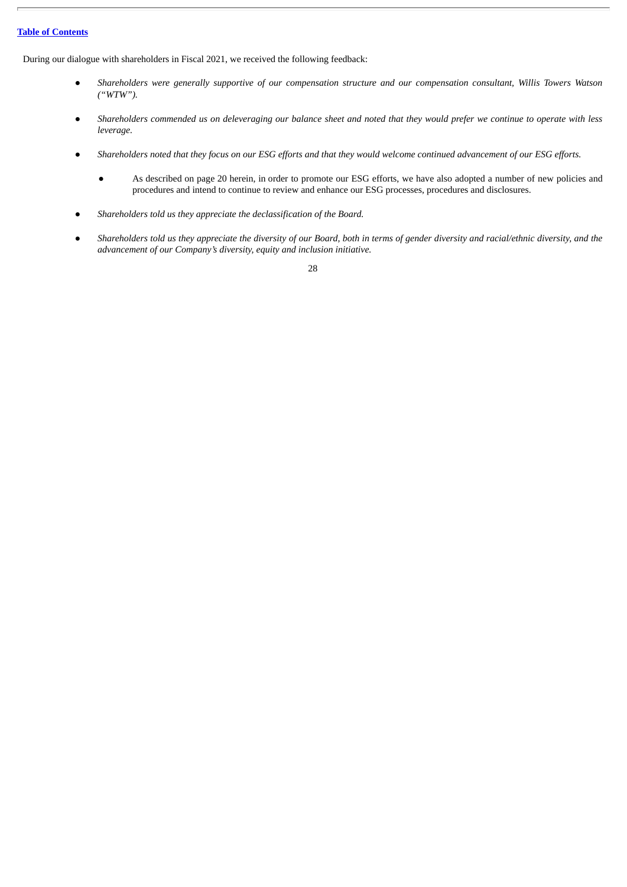During our dialogue with shareholders in Fiscal 2021, we received the following feedback:

- Shareholders were generally supportive of our compensation structure and our compensation consultant, Willis Towers Watson *("WTW").*
- Shareholders commended us on deleveraging our balance sheet and noted that they would prefer we continue to operate with less *leverage.*
- Shareholders noted that they focus on our ESG efforts and that they would welcome continued advancement of our ESG efforts.
	- As described on page 20 herein, in order to promote our ESG efforts, we have also adopted a number of new policies and procedures and intend to continue to review and enhance our ESG processes, procedures and disclosures.
- *Shareholders told us they appreciate the declassification of the Board.*
- Shareholders told us they appreciate the diversity of our Board, both in terms of gender diversity and racial/ethnic diversity, and the *advancement of our Company's diversity, equity and inclusion initiative.*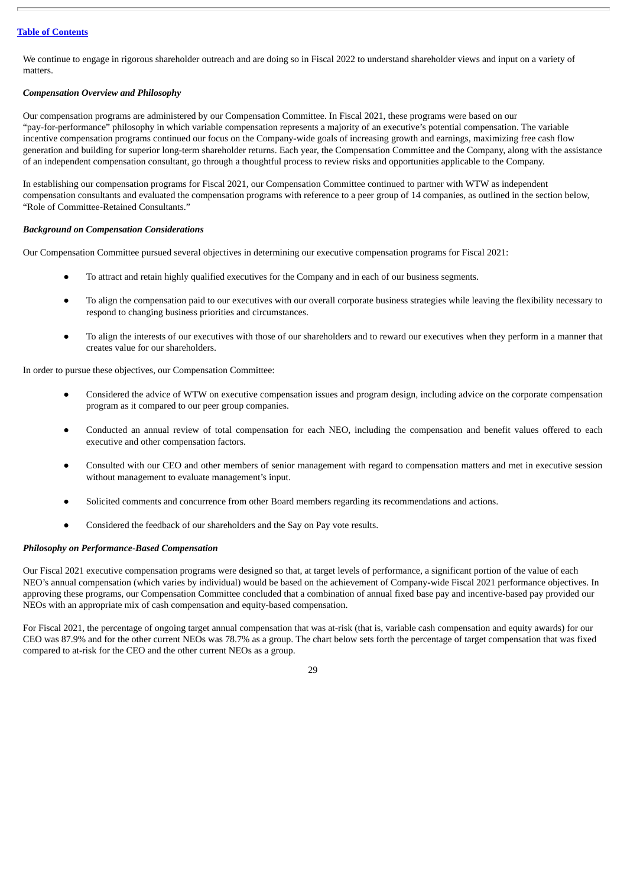We continue to engage in rigorous shareholder outreach and are doing so in Fiscal 2022 to understand shareholder views and input on a variety of matters.

# *Compensation Overview and Philosophy*

Our compensation programs are administered by our Compensation Committee. In Fiscal 2021, these programs were based on our "pay-for-performance" philosophy in which variable compensation represents a majority of an executive's potential compensation. The variable incentive compensation programs continued our focus on the Company-wide goals of increasing growth and earnings, maximizing free cash flow generation and building for superior long-term shareholder returns. Each year, the Compensation Committee and the Company, along with the assistance of an independent compensation consultant, go through a thoughtful process to review risks and opportunities applicable to the Company.

In establishing our compensation programs for Fiscal 2021, our Compensation Committee continued to partner with WTW as independent compensation consultants and evaluated the compensation programs with reference to a peer group of 14 companies, as outlined in the section below, "Role of Committee-Retained Consultants."

## *Background on Compensation Considerations*

Our Compensation Committee pursued several objectives in determining our executive compensation programs for Fiscal 2021:

- To attract and retain highly qualified executives for the Company and in each of our business segments.
- To align the compensation paid to our executives with our overall corporate business strategies while leaving the flexibility necessary to respond to changing business priorities and circumstances.
- To align the interests of our executives with those of our shareholders and to reward our executives when they perform in a manner that creates value for our shareholders.

In order to pursue these objectives, our Compensation Committee:

- Considered the advice of WTW on executive compensation issues and program design, including advice on the corporate compensation program as it compared to our peer group companies.
- Conducted an annual review of total compensation for each NEO, including the compensation and benefit values offered to each executive and other compensation factors.
- Consulted with our CEO and other members of senior management with regard to compensation matters and met in executive session without management to evaluate management's input.
- Solicited comments and concurrence from other Board members regarding its recommendations and actions.
- Considered the feedback of our shareholders and the Say on Pay vote results.

#### *Philosophy on Performance-Based Compensation*

Our Fiscal 2021 executive compensation programs were designed so that, at target levels of performance, a significant portion of the value of each NEO's annual compensation (which varies by individual) would be based on the achievement of Company-wide Fiscal 2021 performance objectives. In approving these programs, our Compensation Committee concluded that a combination of annual fixed base pay and incentive-based pay provided our NEOs with an appropriate mix of cash compensation and equity-based compensation.

For Fiscal 2021, the percentage of ongoing target annual compensation that was at-risk (that is, variable cash compensation and equity awards) for our CEO was 87.9% and for the other current NEOs was 78.7% as a group. The chart below sets forth the percentage of target compensation that was fixed compared to at-risk for the CEO and the other current NEOs as a group.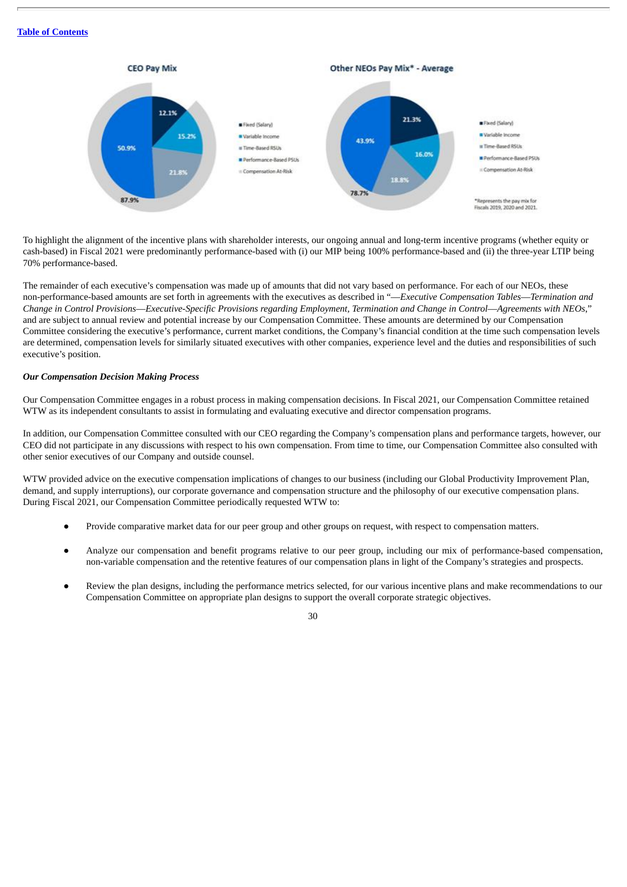

To highlight the alignment of the incentive plans with shareholder interests, our ongoing annual and long-term incentive programs (whether equity or cash-based) in Fiscal 2021 were predominantly performance-based with (i) our MIP being 100% performance-based and (ii) the three-year LTIP being 70% performance-based.

The remainder of each executive's compensation was made up of amounts that did not vary based on performance. For each of our NEOs, these non-performance-based amounts are set forth in agreements with the executives as described in "—*Executive Compensation Tables*—*Termination and* Change in Control Provisions—Executive-Specific Provisions regarding Employment, Termination and Change in Control—Agreements with NEOs," and are subject to annual review and potential increase by our Compensation Committee. These amounts are determined by our Compensation Committee considering the executive's performance, current market conditions, the Company's financial condition at the time such compensation levels are determined, compensation levels for similarly situated executives with other companies, experience level and the duties and responsibilities of such executive's position.

## *Our Compensation Decision Making Process*

Our Compensation Committee engages in a robust process in making compensation decisions. In Fiscal 2021, our Compensation Committee retained WTW as its independent consultants to assist in formulating and evaluating executive and director compensation programs.

In addition, our Compensation Committee consulted with our CEO regarding the Company's compensation plans and performance targets, however, our CEO did not participate in any discussions with respect to his own compensation. From time to time, our Compensation Committee also consulted with other senior executives of our Company and outside counsel.

WTW provided advice on the executive compensation implications of changes to our business (including our Global Productivity Improvement Plan, demand, and supply interruptions), our corporate governance and compensation structure and the philosophy of our executive compensation plans. During Fiscal 2021, our Compensation Committee periodically requested WTW to:

- Provide comparative market data for our peer group and other groups on request, with respect to compensation matters.
- Analyze our compensation and benefit programs relative to our peer group, including our mix of performance-based compensation, non-variable compensation and the retentive features of our compensation plans in light of the Company's strategies and prospects.
- Review the plan designs, including the performance metrics selected, for our various incentive plans and make recommendations to our Compensation Committee on appropriate plan designs to support the overall corporate strategic objectives.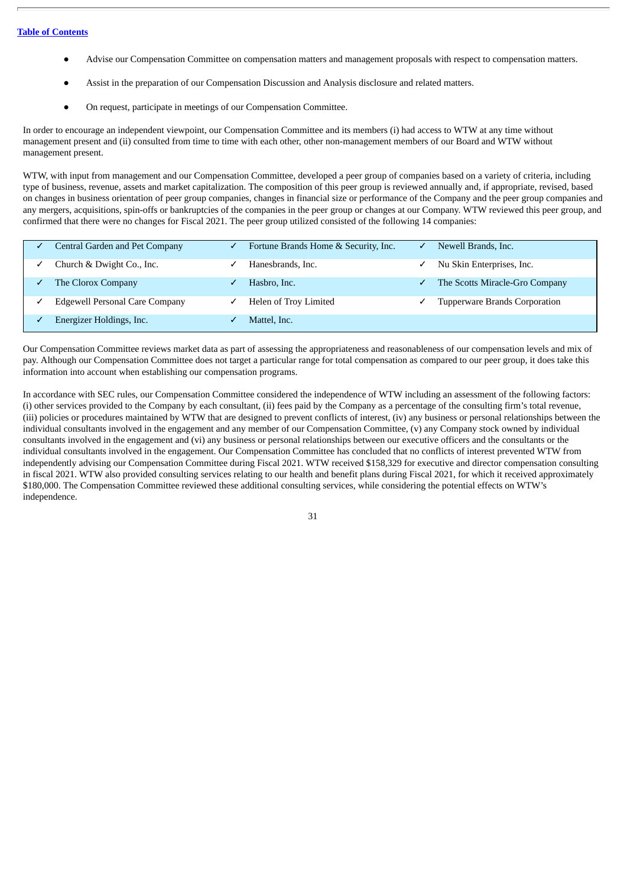- Advise our Compensation Committee on compensation matters and management proposals with respect to compensation matters.
- Assist in the preparation of our Compensation Discussion and Analysis disclosure and related matters.
- On request, participate in meetings of our Compensation Committee.

In order to encourage an independent viewpoint, our Compensation Committee and its members (i) had access to WTW at any time without management present and (ii) consulted from time to time with each other, other non-management members of our Board and WTW without management present.

WTW, with input from management and our Compensation Committee, developed a peer group of companies based on a variety of criteria, including type of business, revenue, assets and market capitalization. The composition of this peer group is reviewed annually and, if appropriate, revised, based on changes in business orientation of peer group companies, changes in financial size or performance of the Company and the peer group companies and any mergers, acquisitions, spin-offs or bankruptcies of the companies in the peer group or changes at our Company. WTW reviewed this peer group, and confirmed that there were no changes for Fiscal 2021. The peer group utilized consisted of the following 14 companies:

| Central Garden and Pet Company        | Fortune Brands Home & Security, Inc. | Newell Brands, Inc.                  |
|---------------------------------------|--------------------------------------|--------------------------------------|
| Church & Dwight Co., Inc.             | Hanesbrands, Inc.                    | Nu Skin Enterprises, Inc.            |
| The Clorox Company                    | Hasbro, Inc.                         | The Scotts Miracle-Gro Company       |
| <b>Edgewell Personal Care Company</b> | Helen of Troy Limited                | <b>Tupperware Brands Corporation</b> |
| Energizer Holdings, Inc.              | Mattel, Inc.                         |                                      |

Our Compensation Committee reviews market data as part of assessing the appropriateness and reasonableness of our compensation levels and mix of pay. Although our Compensation Committee does not target a particular range for total compensation as compared to our peer group, it does take this information into account when establishing our compensation programs.

In accordance with SEC rules, our Compensation Committee considered the independence of WTW including an assessment of the following factors: (i) other services provided to the Company by each consultant, (ii) fees paid by the Company as a percentage of the consulting firm's total revenue, (iii) policies or procedures maintained by WTW that are designed to prevent conflicts of interest, (iv) any business or personal relationships between the individual consultants involved in the engagement and any member of our Compensation Committee, (v) any Company stock owned by individual consultants involved in the engagement and (vi) any business or personal relationships between our executive officers and the consultants or the individual consultants involved in the engagement. Our Compensation Committee has concluded that no conflicts of interest prevented WTW from independently advising our Compensation Committee during Fiscal 2021. WTW received \$158,329 for executive and director compensation consulting in fiscal 2021. WTW also provided consulting services relating to our health and benefit plans during Fiscal 2021, for which it received approximately \$180,000. The Compensation Committee reviewed these additional consulting services, while considering the potential effects on WTW's independence.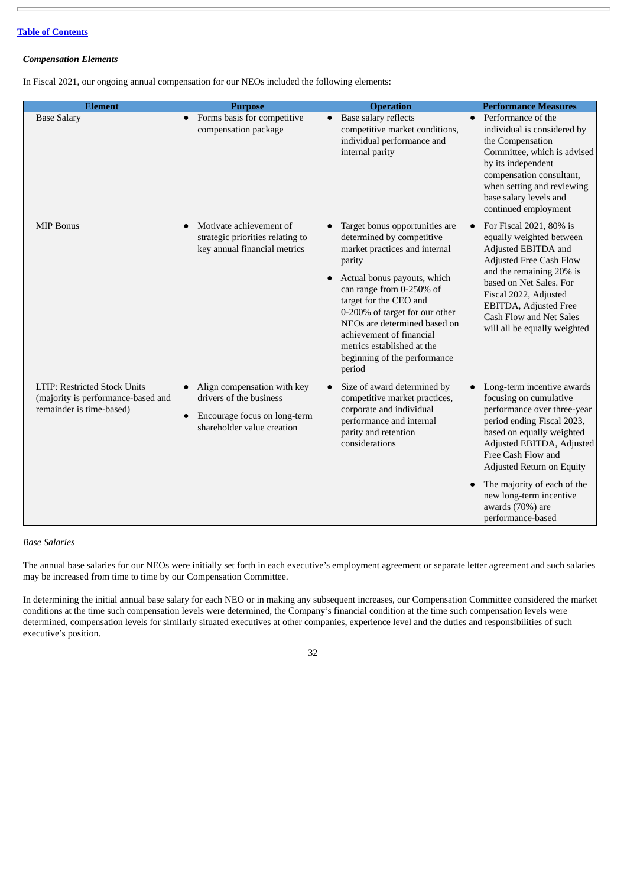# *Compensation Elements*

In Fiscal 2021, our ongoing annual compensation for our NEOs included the following elements:

| <b>Element</b>                                                                                        | <b>Purpose</b>                                                                                                       | <b>Operation</b>                                                                                                                                                                                                                                                                                                                                                  | <b>Performance Measures</b>                                                                                                                                                                                                                                                                                                       |
|-------------------------------------------------------------------------------------------------------|----------------------------------------------------------------------------------------------------------------------|-------------------------------------------------------------------------------------------------------------------------------------------------------------------------------------------------------------------------------------------------------------------------------------------------------------------------------------------------------------------|-----------------------------------------------------------------------------------------------------------------------------------------------------------------------------------------------------------------------------------------------------------------------------------------------------------------------------------|
| <b>Base Salary</b>                                                                                    | Forms basis for competitive<br>$\bullet$<br>compensation package                                                     | Base salary reflects<br>competitive market conditions,<br>individual performance and<br>internal parity                                                                                                                                                                                                                                                           | Performance of the<br>$\bullet$<br>individual is considered by<br>the Compensation<br>Committee, which is advised<br>by its independent<br>compensation consultant,<br>when setting and reviewing<br>base salary levels and<br>continued employment                                                                               |
| <b>MIP Bonus</b>                                                                                      | Motivate achievement of<br>strategic priorities relating to<br>key annual financial metrics                          | Target bonus opportunities are<br>determined by competitive<br>market practices and internal<br>parity<br>Actual bonus payouts, which<br>can range from 0-250% of<br>target for the CEO and<br>0-200% of target for our other<br>NEOs are determined based on<br>achievement of financial<br>metrics established at the<br>beginning of the performance<br>period | For Fiscal 2021, 80% is<br>equally weighted between<br>Adjusted EBITDA and<br>Adjusted Free Cash Flow<br>and the remaining 20% is<br>based on Net Sales. For<br>Fiscal 2022, Adjusted<br>EBITDA, Adjusted Free<br>Cash Flow and Net Sales<br>will all be equally weighted                                                         |
| <b>LTIP: Restricted Stock Units</b><br>(majority is performance-based and<br>remainder is time-based) | Align compensation with key<br>drivers of the business<br>Encourage focus on long-term<br>shareholder value creation | Size of award determined by<br>competitive market practices,<br>corporate and individual<br>performance and internal<br>parity and retention<br>considerations                                                                                                                                                                                                    | Long-term incentive awards<br>focusing on cumulative<br>performance over three-year<br>period ending Fiscal 2023,<br>based on equally weighted<br>Adjusted EBITDA, Adjusted<br>Free Cash Flow and<br>Adjusted Return on Equity<br>The majority of each of the<br>new long-term incentive<br>awards (70%) are<br>performance-based |

*Base Salaries*

The annual base salaries for our NEOs were initially set forth in each executive's employment agreement or separate letter agreement and such salaries may be increased from time to time by our Compensation Committee.

In determining the initial annual base salary for each NEO or in making any subsequent increases, our Compensation Committee considered the market conditions at the time such compensation levels were determined, the Company's financial condition at the time such compensation levels were determined, compensation levels for similarly situated executives at other companies, experience level and the duties and responsibilities of such executive's position.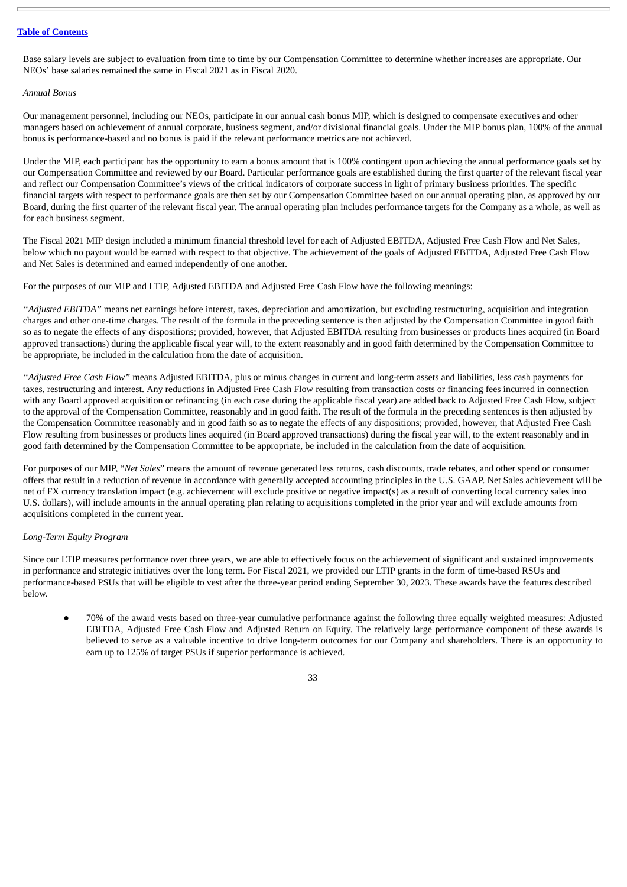Base salary levels are subject to evaluation from time to time by our Compensation Committee to determine whether increases are appropriate. Our NEOs' base salaries remained the same in Fiscal 2021 as in Fiscal 2020.

#### *Annual Bonus*

Our management personnel, including our NEOs, participate in our annual cash bonus MIP, which is designed to compensate executives and other managers based on achievement of annual corporate, business segment, and/or divisional financial goals. Under the MIP bonus plan, 100% of the annual bonus is performance-based and no bonus is paid if the relevant performance metrics are not achieved.

Under the MIP, each participant has the opportunity to earn a bonus amount that is 100% contingent upon achieving the annual performance goals set by our Compensation Committee and reviewed by our Board. Particular performance goals are established during the first quarter of the relevant fiscal year and reflect our Compensation Committee's views of the critical indicators of corporate success in light of primary business priorities. The specific financial targets with respect to performance goals are then set by our Compensation Committee based on our annual operating plan, as approved by our Board, during the first quarter of the relevant fiscal year. The annual operating plan includes performance targets for the Company as a whole, as well as for each business segment.

The Fiscal 2021 MIP design included a minimum financial threshold level for each of Adjusted EBITDA, Adjusted Free Cash Flow and Net Sales, below which no payout would be earned with respect to that objective. The achievement of the goals of Adjusted EBITDA, Adjusted Free Cash Flow and Net Sales is determined and earned independently of one another.

For the purposes of our MIP and LTIP, Adjusted EBITDA and Adjusted Free Cash Flow have the following meanings:

*"Adjusted EBITDA"* means net earnings before interest, taxes, depreciation and amortization, but excluding restructuring, acquisition and integration charges and other one-time charges. The result of the formula in the preceding sentence is then adjusted by the Compensation Committee in good faith so as to negate the effects of any dispositions; provided, however, that Adjusted EBITDA resulting from businesses or products lines acquired (in Board approved transactions) during the applicable fiscal year will, to the extent reasonably and in good faith determined by the Compensation Committee to be appropriate, be included in the calculation from the date of acquisition.

*"Adjusted Free Cash Flow"* means Adjusted EBITDA, plus or minus changes in current and long-term assets and liabilities, less cash payments for taxes, restructuring and interest. Any reductions in Adjusted Free Cash Flow resulting from transaction costs or financing fees incurred in connection with any Board approved acquisition or refinancing (in each case during the applicable fiscal year) are added back to Adjusted Free Cash Flow, subject to the approval of the Compensation Committee, reasonably and in good faith. The result of the formula in the preceding sentences is then adjusted by the Compensation Committee reasonably and in good faith so as to negate the effects of any dispositions; provided, however, that Adjusted Free Cash Flow resulting from businesses or products lines acquired (in Board approved transactions) during the fiscal year will, to the extent reasonably and in good faith determined by the Compensation Committee to be appropriate, be included in the calculation from the date of acquisition.

For purposes of our MIP, "*Net Sales*" means the amount of revenue generated less returns, cash discounts, trade rebates, and other spend or consumer offers that result in a reduction of revenue in accordance with generally accepted accounting principles in the U.S. GAAP. Net Sales achievement will be net of FX currency translation impact (e.g. achievement will exclude positive or negative impact(s) as a result of converting local currency sales into U.S. dollars), will include amounts in the annual operating plan relating to acquisitions completed in the prior year and will exclude amounts from acquisitions completed in the current year.

#### *Long-Term Equity Program*

Since our LTIP measures performance over three years, we are able to effectively focus on the achievement of significant and sustained improvements in performance and strategic initiatives over the long term. For Fiscal 2021, we provided our LTIP grants in the form of time-based RSUs and performance-based PSUs that will be eligible to vest after the three-year period ending September 30, 2023. These awards have the features described below.

● 70% of the award vests based on three-year cumulative performance against the following three equally weighted measures: Adjusted EBITDA, Adjusted Free Cash Flow and Adjusted Return on Equity. The relatively large performance component of these awards is believed to serve as a valuable incentive to drive long-term outcomes for our Company and shareholders. There is an opportunity to earn up to 125% of target PSUs if superior performance is achieved.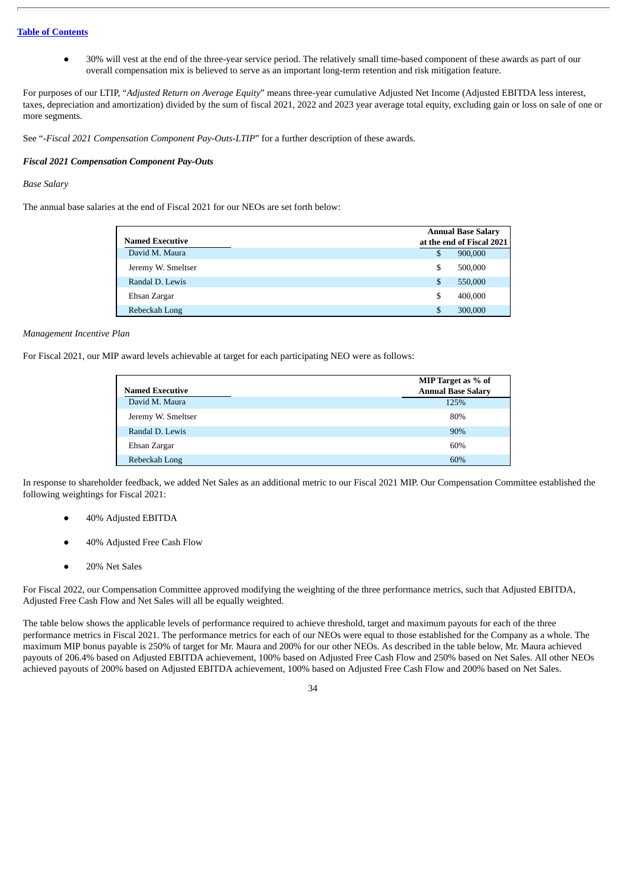● 30% will vest at the end of the three-year service period. The relatively small time-based component of these awards as part of our overall compensation mix is believed to serve as an important long-term retention and risk mitigation feature.

For purposes of our LTIP, "*Adjusted Return on Average Equity*" means three-year cumulative Adjusted Net Income (Adjusted EBITDA less interest, taxes, depreciation and amortization) divided by the sum of fiscal 2021, 2022 and 2023 year average total equity, excluding gain or loss on sale of one or more segments.

See "*-Fiscal 2021 Compensation Component Pay-Outs-LTIP*" for a further description of these awards.

#### *Fiscal 2021 Compensation Component Pay-Outs*

# *Base Salary*

The annual base salaries at the end of Fiscal 2021 for our NEOs are set forth below:

|                        |    | <b>Annual Base Salary</b> |
|------------------------|----|---------------------------|
| <b>Named Executive</b> |    | at the end of Fiscal 2021 |
| David M. Maura         | S  | 900,000                   |
| Jeremy W. Smeltser     | S  | 500,000                   |
| Randal D. Lewis        | S  | 550,000                   |
| Ehsan Zargar           | S  | 400,000                   |
| Rebeckah Long          | S. | 300,000                   |

#### *Management Incentive Plan*

For Fiscal 2021, our MIP award levels achievable at target for each participating NEO were as follows:

|                        | MIP Target as % of        |
|------------------------|---------------------------|
| <b>Named Executive</b> | <b>Annual Base Salary</b> |
| David M. Maura         | 125%                      |
| Jeremy W. Smeltser     | 80%                       |
| Randal D. Lewis        | 90%                       |
| Ehsan Zargar           | 60%                       |
| Rebeckah Long          | 60%                       |

In response to shareholder feedback, we added Net Sales as an additional metric to our Fiscal 2021 MIP. Our Compensation Committee established the following weightings for Fiscal 2021:

- 40% Adjusted EBITDA
- 40% Adjusted Free Cash Flow
- 20% Net Sales

For Fiscal 2022, our Compensation Committee approved modifying the weighting of the three performance metrics, such that Adjusted EBITDA, Adjusted Free Cash Flow and Net Sales will all be equally weighted.

The table below shows the applicable levels of performance required to achieve threshold, target and maximum payouts for each of the three performance metrics in Fiscal 2021. The performance metrics for each of our NEOs were equal to those established for the Company as a whole. The maximum MIP bonus payable is 250% of target for Mr. Maura and 200% for our other NEOs. As described in the table below, Mr. Maura achieved payouts of 206.4% based on Adjusted EBITDA achievement, 100% based on Adjusted Free Cash Flow and 250% based on Net Sales. All other NEOs achieved payouts of 200% based on Adjusted EBITDA achievement, 100% based on Adjusted Free Cash Flow and 200% based on Net Sales.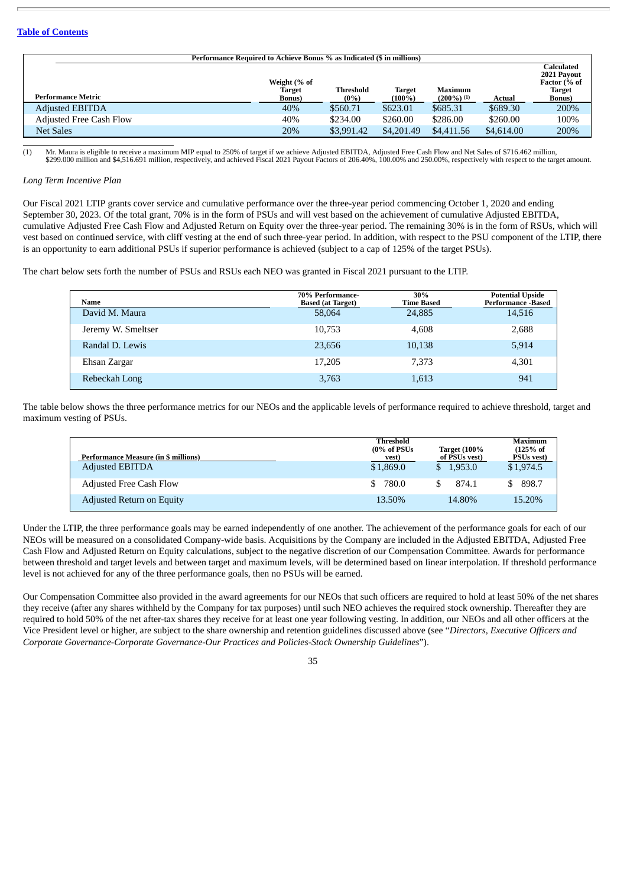|                                | Performance Required to Achieve Bonus % as Indicated (\$ in millions) |                             |                            |                                 |            |                                                                              |  |  |  |  |  |  |  |  |
|--------------------------------|-----------------------------------------------------------------------|-----------------------------|----------------------------|---------------------------------|------------|------------------------------------------------------------------------------|--|--|--|--|--|--|--|--|
| <b>Performance Metric</b>      | Weight (% of<br>Target<br><b>Bonus</b> )                              | <b>Threshold</b><br>$(0\%)$ | <b>Target</b><br>$(100\%)$ | <b>Maximum</b><br>$(200\%)$ (1) | Actual     | Calculated<br>2021 Payout<br>Factor (% of<br><b>Target</b><br><b>Bonus</b> ) |  |  |  |  |  |  |  |  |
| <b>Adjusted EBITDA</b>         | 40%                                                                   | \$560.71                    | \$623.01                   | \$685.31                        | \$689.30   | 200%                                                                         |  |  |  |  |  |  |  |  |
| <b>Adjusted Free Cash Flow</b> | 40%                                                                   | \$234.00                    | \$260.00                   | \$286.00                        | \$260.00   | 100%                                                                         |  |  |  |  |  |  |  |  |
| <b>Net Sales</b>               | 20%                                                                   | \$3,991.42                  | \$4,201.49                 | \$4,411.56                      | \$4,614.00 | 200%                                                                         |  |  |  |  |  |  |  |  |

(1) Mr. Maura is eligible to receive a maximum MIP equal to 250% of target if we achieve Adjusted EBITDA, Adjusted Free Cash Flow and Net Sales of \$716.462 million,<br>\$299.000 million and \$4,516.691 million, respectively, an

#### *Long Term Incentive Plan*

Our Fiscal 2021 LTIP grants cover service and cumulative performance over the three-year period commencing October 1, 2020 and ending September 30, 2023. Of the total grant, 70% is in the form of PSUs and will vest based on the achievement of cumulative Adjusted EBITDA, cumulative Adjusted Free Cash Flow and Adjusted Return on Equity over the three-year period. The remaining 30% is in the form of RSUs, which will vest based on continued service, with cliff vesting at the end of such three-year period. In addition, with respect to the PSU component of the LTIP, there is an opportunity to earn additional PSUs if superior performance is achieved (subject to a cap of 125% of the target PSUs).

The chart below sets forth the number of PSUs and RSUs each NEO was granted in Fiscal 2021 pursuant to the LTIP.

| Name               | 70% Performance-<br><b>Based (at Target)</b> | 30%<br><b>Time Based</b> | <b>Potential Upside</b><br><b>Performance -Based</b> |
|--------------------|----------------------------------------------|--------------------------|------------------------------------------------------|
| David M. Maura     | 58,064                                       | 24,885                   | 14,516                                               |
| Jeremy W. Smeltser | 10,753                                       | 4.608                    | 2,688                                                |
| Randal D. Lewis    | 23,656                                       | 10,138                   | 5,914                                                |
| Ehsan Zargar       | 17,205                                       | 7,373                    | 4,301                                                |
| Rebeckah Long      | 3,763                                        | 1,613                    | 941                                                  |

The table below shows the three performance metrics for our NEOs and the applicable levels of performance required to achieve threshold, target and maximum vesting of PSUs.

| <b>Performance Measure (in \$ millions)</b> | Threshold<br>$(0\% \text{ of } \text{PSUs})$<br>vest) | <b>Target (100%</b><br>of PSUs vest) | Maximum<br>$(125%$ of<br><b>PSUs vest</b> ) |
|---------------------------------------------|-------------------------------------------------------|--------------------------------------|---------------------------------------------|
| <b>Adjusted EBITDA</b>                      | \$1,869.0                                             | \$1.953.0                            | \$1,974.5                                   |
| <b>Adjusted Free Cash Flow</b>              | 780.0<br>-S                                           | 874.1                                | 898.7                                       |
| Adjusted Return on Equity                   | 13.50%                                                | 14.80%                               | 15.20%                                      |

Under the LTIP, the three performance goals may be earned independently of one another. The achievement of the performance goals for each of our NEOs will be measured on a consolidated Company-wide basis. Acquisitions by the Company are included in the Adjusted EBITDA, Adjusted Free Cash Flow and Adjusted Return on Equity calculations, subject to the negative discretion of our Compensation Committee. Awards for performance between threshold and target levels and between target and maximum levels, will be determined based on linear interpolation. If threshold performance level is not achieved for any of the three performance goals, then no PSUs will be earned.

Our Compensation Committee also provided in the award agreements for our NEOs that such officers are required to hold at least 50% of the net shares they receive (after any shares withheld by the Company for tax purposes) until such NEO achieves the required stock ownership. Thereafter they are required to hold 50% of the net after-tax shares they receive for at least one year following vesting. In addition, our NEOs and all other officers at the Vice President level or higher, are subject to the share ownership and retention guidelines discussed above (see "*Directors, Executive Officers and Corporate Governance-Corporate Governance-Our Practices and Policies-Stock Ownership Guidelines*").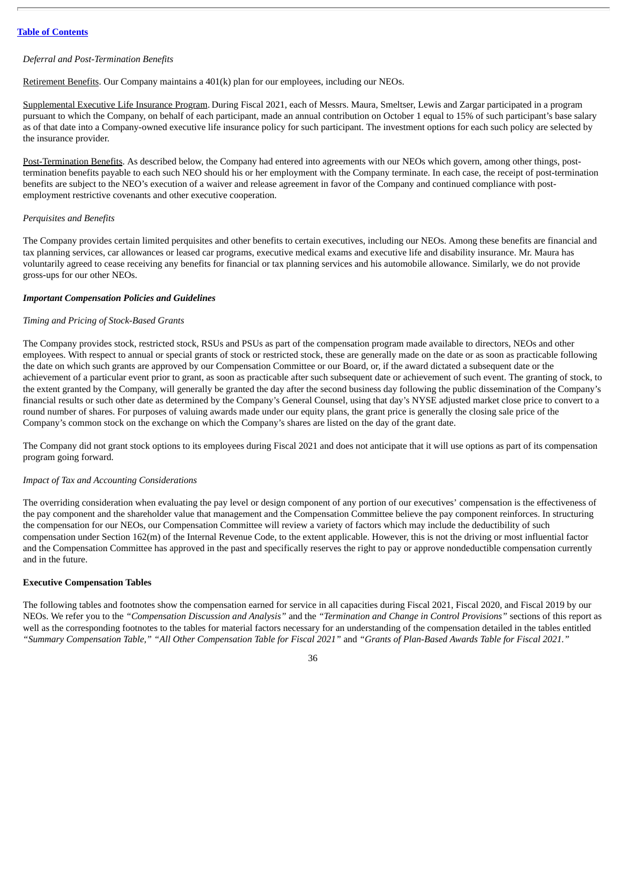## *Deferral and Post-Termination Benefits*

Retirement Benefits. Our Company maintains a 401(k) plan for our employees, including our NEOs.

Supplemental Executive Life Insurance Program. During Fiscal 2021, each of Messrs. Maura, Smeltser, Lewis and Zargar participated in a program pursuant to which the Company, on behalf of each participant, made an annual contribution on October 1 equal to 15% of such participant's base salary as of that date into a Company-owned executive life insurance policy for such participant. The investment options for each such policy are selected by the insurance provider.

Post-Termination Benefits. As described below, the Company had entered into agreements with our NEOs which govern, among other things, posttermination benefits payable to each such NEO should his or her employment with the Company terminate. In each case, the receipt of post-termination benefits are subject to the NEO's execution of a waiver and release agreement in favor of the Company and continued compliance with postemployment restrictive covenants and other executive cooperation.

# *Perquisites and Benefits*

The Company provides certain limited perquisites and other benefits to certain executives, including our NEOs. Among these benefits are financial and tax planning services, car allowances or leased car programs, executive medical exams and executive life and disability insurance. Mr. Maura has voluntarily agreed to cease receiving any benefits for financial or tax planning services and his automobile allowance. Similarly, we do not provide gross-ups for our other NEOs.

## *Important Compensation Policies and Guidelines*

## *Timing and Pricing of Stock-Based Grants*

The Company provides stock, restricted stock, RSUs and PSUs as part of the compensation program made available to directors, NEOs and other employees. With respect to annual or special grants of stock or restricted stock, these are generally made on the date or as soon as practicable following the date on which such grants are approved by our Compensation Committee or our Board, or, if the award dictated a subsequent date or the achievement of a particular event prior to grant, as soon as practicable after such subsequent date or achievement of such event. The granting of stock, to the extent granted by the Company, will generally be granted the day after the second business day following the public dissemination of the Company's financial results or such other date as determined by the Company's General Counsel, using that day's NYSE adjusted market close price to convert to a round number of shares. For purposes of valuing awards made under our equity plans, the grant price is generally the closing sale price of the Company's common stock on the exchange on which the Company's shares are listed on the day of the grant date.

The Company did not grant stock options to its employees during Fiscal 2021 and does not anticipate that it will use options as part of its compensation program going forward.

#### *Impact of Tax and Accounting Considerations*

The overriding consideration when evaluating the pay level or design component of any portion of our executives' compensation is the effectiveness of the pay component and the shareholder value that management and the Compensation Committee believe the pay component reinforces. In structuring the compensation for our NEOs, our Compensation Committee will review a variety of factors which may include the deductibility of such compensation under Section 162(m) of the Internal Revenue Code, to the extent applicable. However, this is not the driving or most influential factor and the Compensation Committee has approved in the past and specifically reserves the right to pay or approve nondeductible compensation currently and in the future.

### **Executive Compensation Tables**

The following tables and footnotes show the compensation earned for service in all capacities during Fiscal 2021, Fiscal 2020, and Fiscal 2019 by our NEOs. We refer you to the *"Compensation Discussion and Analysis"* and the *"Termination and Change in Control Provisions"* sections of this report as well as the corresponding footnotes to the tables for material factors necessary for an understanding of the compensation detailed in the tables entitled "Summary Compensation Table," "All Other Compensation Table for Fiscal 2021" and "Grants of Plan-Based Awards Table for Fiscal 2021."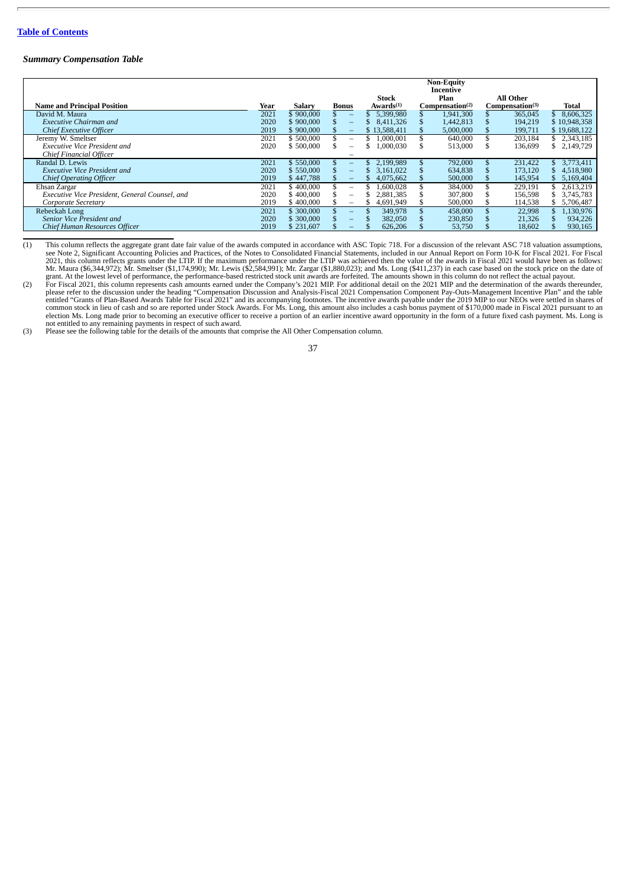#### *Summary Compensation Table*

|                                                |      |               |                          |                                | <b>Non-Equity</b><br>Incentive      |                              |                  |
|------------------------------------------------|------|---------------|--------------------------|--------------------------------|-------------------------------------|------------------------------|------------------|
| <b>Name and Principal Position</b>             | Year | <b>Salary</b> | Bonus                    | Stock<br>Awards <sup>(1)</sup> | Plan<br>Compensation <sup>(2)</sup> | All Other<br>Compensation(3) | Total            |
| David M. Maura                                 | 2021 | \$900,000     |                          | 5.399.980                      | 1.941.300                           | 365,045                      | 8.606.325        |
| <b>Executive Chairman and</b>                  | 2020 | \$900,000     | $\overline{\phantom{0}}$ | 8.411.326                      | 1.442.813                           | 194.219                      | \$10,948,358     |
| Chief Executive Officer                        | 2019 | \$900,000     | $\qquad \qquad -$        | \$13,588,411                   | 5,000,000                           | 199,711                      | \$19,688,122     |
| Jeremy W. Smeltser                             | 2021 | \$500,000     | $\overline{\phantom{m}}$ | 1.000.001                      | 640,000                             | 203,184                      | \$2,343,185      |
| <b>Executive Vice President and</b>            | 2020 | \$500,000     |                          | 1.000.030                      | 513,000                             | 136,699                      | 2,149,729<br>\$. |
| Chief Financial Officer                        |      |               |                          |                                |                                     |                              |                  |
| Randal D. Lewis                                | 2021 | \$550,000     | $-$                      | 2.199.989                      | 792,000                             | 231.422                      | 3.773.411        |
| <b>Executive Vice President and</b>            | 2020 | \$550,000     | $-$                      | 3.161.022                      | 634,838                             | 173,120                      | 4,518,980        |
| <b>Chief Operating Officer</b>                 | 2019 | \$447,788     |                          | 4,075,662                      | 500,000                             | 145,954                      | 5,169,404        |
| Ehsan Zargar                                   | 2021 | \$400,000     | $\overline{\phantom{m}}$ | 1.600.028                      | 384,000                             | 229,191                      | 2,613,219        |
| Executive Vice President, General Counsel, and | 2020 | \$400,000     | $\overline{\phantom{m}}$ | 2.881.385                      | 307,800                             | 156.598                      | 3,745,783        |
| Corporate Secretary                            | 2019 | \$400,000     | $\overline{\phantom{0}}$ | 4,691,949                      | 500,000                             | 114,538                      | 5,706,487        |
| Rebeckah Long                                  | 2021 | \$300,000     | $-$                      | 349,978                        | 458,000                             | 22.998                       | 1,130,976        |
| Senior Vice President and                      | 2020 | \$300,000     | $\overline{\phantom{0}}$ | 382,050                        | 230,850                             | 21,326                       | 934,226          |
| Chief Human Resources Officer                  | 2019 | \$231,607     |                          | 626,206                        | 53,750                              | 18,602                       | 930,165          |

(1) This column reflects the aggregate grant date fair value of the awards computed in accordance with ASC Topic 718. For a discussion of the relevant ASC 718 valuation assumptions, see Note 2, Significant Accounting Policies and Practices, of the Notes to Consolidated Financial Statements, included in our Annual Report on Form 10-K for Fiscal 2021. For Fiscal<br>2021, this column reflects grants under t

grant. At the lowest level of performance, the performance-based restricted stock unit awards are forfeited. The amounts shown in this column do not reflect the actual payout.<br>For Fiscal 2021, this column represents cash a please refer to the discussion under the heading "Compensation Discussion and Analysis-Fiscal 2021 Compensation Component Pay-Outs-Management Incentive Plan" and the table<br>entitled "Grants of Plan-Based Awards Table for Fi

not entitled to any remaining payments in respect of such award. (3) Please see the following table for the details of the amounts that comprise the All Other Compensation column.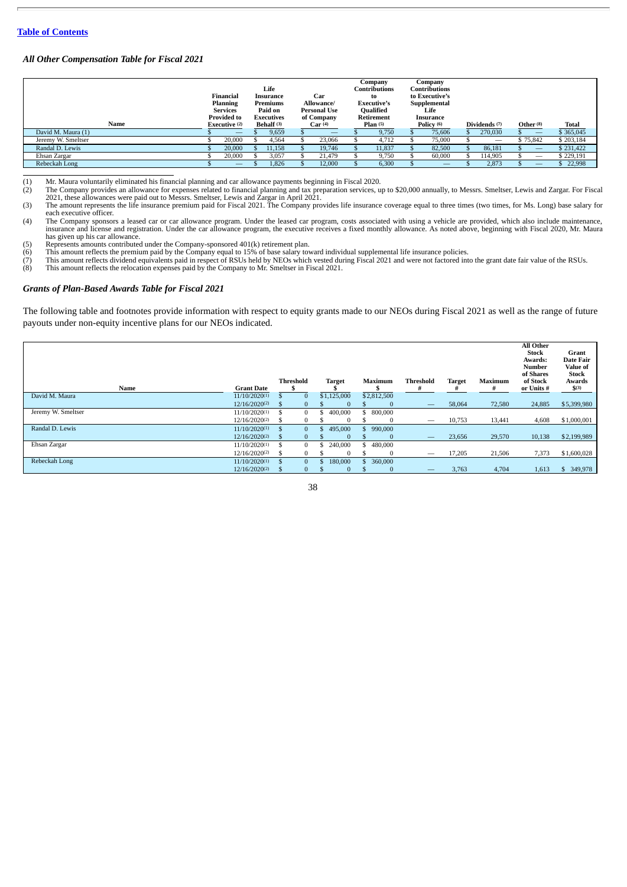## *All Other Compensation Table for Fiscal 2021*

| Name               | Financial<br><b>Planning</b><br><b>Services</b><br><b>Provided to</b><br>Executive (2) | Life<br>Insurance<br>Premiums<br>Paid on<br><b>Executives</b><br><b>Behalf</b> <sup>(3)</sup> |        | Car<br>Allowance/<br><b>Personal Use</b><br>of Company<br>Car(4) |        | Company<br><b>Contributions</b><br>to<br><b>Executive's</b><br>Qualified<br>Retirement<br>Plan(5) |        | Company<br>Contributions<br>to Executive's<br>Supplemental<br>Life<br>Insurance<br>Policy (6) |        | Dividends (7) | Other <sup>(8)</sup> |  | Total    |           |
|--------------------|----------------------------------------------------------------------------------------|-----------------------------------------------------------------------------------------------|--------|------------------------------------------------------------------|--------|---------------------------------------------------------------------------------------------------|--------|-----------------------------------------------------------------------------------------------|--------|---------------|----------------------|--|----------|-----------|
| David M. Maura (1) |                                                                                        |                                                                                               | 9,659  |                                                                  | –      |                                                                                                   | 9,750  |                                                                                               | 75,606 |               | 270,030              |  | -        | \$365,045 |
| Jeremy W. Smeltser | 20,000                                                                                 |                                                                                               | 4,564  |                                                                  | 23,066 |                                                                                                   | 4,712  |                                                                                               | 75,000 |               | -                    |  | \$75,842 | \$203,184 |
| Randal D. Lewis    | 20,000                                                                                 |                                                                                               | 11,158 |                                                                  | 19,746 |                                                                                                   | 11,837 |                                                                                               | 82,500 |               | 86,181               |  | _        | \$231,422 |
| Ehsan Zargar       | 20,000                                                                                 |                                                                                               | 3,057  |                                                                  | 21.479 |                                                                                                   | 9,750  |                                                                                               | 60,000 |               | 114.905              |  | -        | \$229,191 |
| Rebeckah Long      |                                                                                        |                                                                                               | 1,826  |                                                                  | 12,000 |                                                                                                   | 6,300  |                                                                                               | –      |               | 2,873                |  | _        | 22,998    |

Mr. Maura voluntarily eliminated his financial planning and car allowance payments beginning in Fiscal 2020.<br>(2) The Company provides an allowance for expenses related to financial planning and tax preparation services, up

(4) The Company sponsors a leased car or car allowance program. Under the leased car program, costs associated with using a vehicle are provided, which also include maintenance, insurance and license and registration. Unde

(5) Represents amounts contributed under the Company-sponsored 401(k) retirement plan.<br>(6) This amount reflects the premium paid by the Company equal to 15% of base salary toward individual supplemental life insurance poli

### *Grants of Plan-Based Awards Table for Fiscal 2021*

The following table and footnotes provide information with respect to equity grants made to our NEOs during Fiscal 2021 as well as the range of future payouts under non-equity incentive plans for our NEOs indicated.

| Name               | <b>Grant Date</b>  |               | <b>Threshold</b> |     | <b>Target</b> | Maximum     | <b>Threshold</b><br># | <b>Target</b> | Maximum | All Other<br><b>Stock</b><br>Awards:<br>Number<br>of Shares<br>of Stock<br>or Units # | Grant<br><b>Date Fair</b><br>Value of<br><b>Stock</b><br>Awards<br>$$^{(3)}$ |
|--------------------|--------------------|---------------|------------------|-----|---------------|-------------|-----------------------|---------------|---------|---------------------------------------------------------------------------------------|------------------------------------------------------------------------------|
| David M. Maura     | 11/10/2020(1)      |               | $\bf{0}$         |     | \$1,125,000   | \$2,812,500 |                       |               |         |                                                                                       |                                                                              |
|                    | 12/16/2020(2)      | - 71          | 0                |     | $\Omega$      | $\Omega$    | —                     | 58,064        | 72,580  | 24,885                                                                                | \$5,399,980                                                                  |
| Jeremy W. Smeltser | 11/10/2020(1)      |               | 0                | ъ   | 400,000       | 800,000     |                       |               |         |                                                                                       |                                                                              |
|                    | 12/16/2020(2)      | Э'n           | 0                |     | $\Omega$      | $\bf{0}$    | –                     | 10,753        | 13,441  | 4,608                                                                                 | \$1,000,001                                                                  |
| Randal D. Lewis    | $11/10/2020^{(1)}$ |               | $\mathbf{0}$     | Эħ. | 495,000       | 990,000     |                       |               |         |                                                                                       |                                                                              |
|                    | 12/16/2020(2)      | - 71          | 0                |     | $\Omega$      | $\Omega$    | —                     | 23,656        | 29,570  | 10,138                                                                                | \$2,199,989                                                                  |
| Ehsan Zargar       | 11/10/2020(1)      |               | $\Omega$         |     | 240,000       | 480,000     |                       |               |         |                                                                                       |                                                                              |
|                    | 12/16/2020(2)      |               | 0                |     | $\Omega$      | $\Omega$    | –                     | 17,205        | 21,506  | 7,373                                                                                 | \$1,600,028                                                                  |
| Rebeckah Long      | $11/10/2020^{(1)}$ | $\mathcal{F}$ | $\Omega$         | ъ   | 180,000       | 360,000     |                       |               |         |                                                                                       |                                                                              |
|                    | 12/16/2020(2)      |               | $\Omega$         |     | $\bf{0}$      | $\bf{0}$    |                       | 3,763         | 4,704   | 1,613                                                                                 | \$ 349,978                                                                   |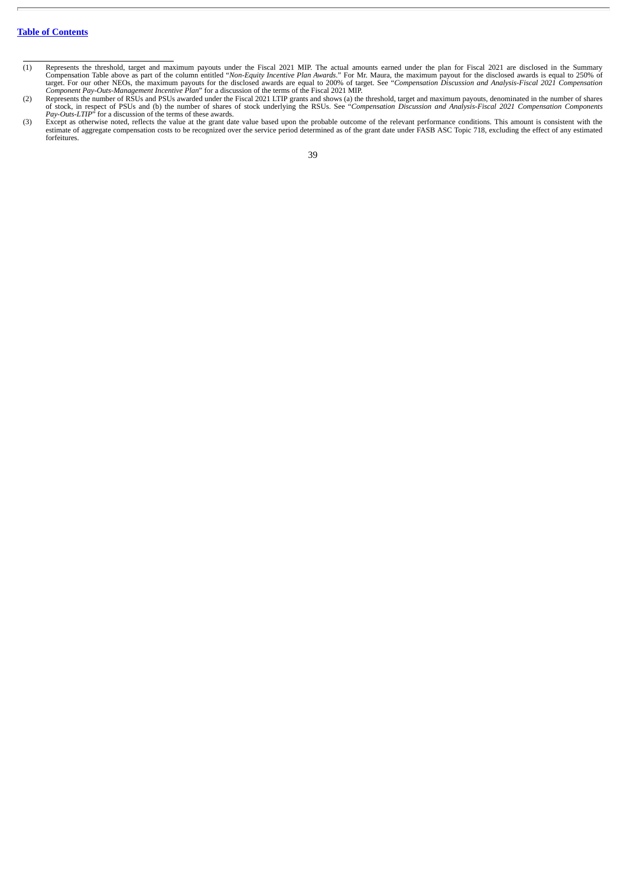- The actual amounts earned under the plan for Fiscal 2021 are disclosed in the Summary<br>Compensation Table above as part of the column entitled "*Non-Equity Incentive Plan Awards*." For Mr. Maura, the maximum payout for the
- 
- forfeitures.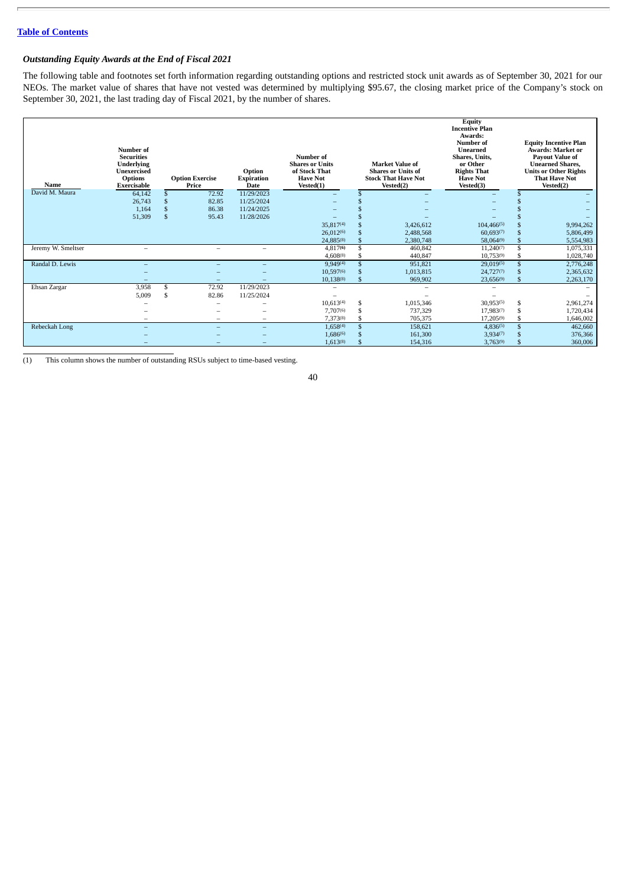# *Outstanding Equity Awards at the End of Fiscal 2021*

The following table and footnotes set forth information regarding outstanding options and restricted stock unit awards as of September 30, 2021 for our NEOs. The market value of shares that have not vested was determined by multiplying \$95.67, the closing market price of the Company's stock on September 30, 2021, the last trading day of Fiscal 2021, by the number of shares.

| Name               | Number of<br><b>Securities</b><br><b>Underlying</b><br><b>Unexercised</b><br><b>Options</b><br>Exercisable |               | <b>Option Exercise</b><br>Price | Option<br><b>Expiration</b><br><b>Date</b> | Number of<br><b>Shares or Units</b><br>of Stock That<br><b>Have Not</b><br>Vested(1) | <b>Market Value of</b><br><b>Shares or Units of</b><br><b>Stock That Have Not</b><br>Vested(2) | <b>Equity</b><br><b>Incentive Plan</b><br>Awards:<br>Number of<br>Unearned<br>Shares, Units,<br>or Other<br><b>Rights That</b><br><b>Have Not</b><br>Vested(3) | <b>Equity Incentive Plan</b><br><b>Awards: Market or</b><br><b>Payout Value of</b><br><b>Unearned Shares.</b><br><b>Units or Other Rights</b><br><b>That Have Not</b><br>Vested(2) |
|--------------------|------------------------------------------------------------------------------------------------------------|---------------|---------------------------------|--------------------------------------------|--------------------------------------------------------------------------------------|------------------------------------------------------------------------------------------------|----------------------------------------------------------------------------------------------------------------------------------------------------------------|------------------------------------------------------------------------------------------------------------------------------------------------------------------------------------|
| David M. Maura     | 64,142                                                                                                     |               | 72.92                           | 11/29/2023                                 |                                                                                      |                                                                                                |                                                                                                                                                                |                                                                                                                                                                                    |
|                    | 26,743                                                                                                     |               | 82.85                           | 11/25/2024                                 |                                                                                      |                                                                                                |                                                                                                                                                                |                                                                                                                                                                                    |
|                    | 1,164                                                                                                      |               | 86.38                           | 11/24/2025                                 |                                                                                      |                                                                                                |                                                                                                                                                                |                                                                                                                                                                                    |
|                    | 51,309                                                                                                     | $\mathbf{\$}$ | 95.43                           | 11/28/2026                                 |                                                                                      |                                                                                                |                                                                                                                                                                |                                                                                                                                                                                    |
|                    |                                                                                                            |               |                                 |                                            | 35,817(4)                                                                            | 3,426,612                                                                                      | $104,466^{(5)}$                                                                                                                                                | 9,994,262                                                                                                                                                                          |
|                    |                                                                                                            |               |                                 |                                            | 26.012(6)                                                                            | 2,488,568                                                                                      | 60.693(7)                                                                                                                                                      | 5,806,499                                                                                                                                                                          |
|                    |                                                                                                            |               |                                 |                                            | 24,885(8)                                                                            | 2.380.748                                                                                      | 58,064(9)                                                                                                                                                      | 5,554,983                                                                                                                                                                          |
| Jeremy W. Smeltser | $\overline{\phantom{a}}$                                                                                   |               | $\overline{\phantom{a}}$        | $\overline{\phantom{a}}$                   | 4.817(6)                                                                             | 460,842                                                                                        | $11,240^{(7)}$                                                                                                                                                 | 1,075,331                                                                                                                                                                          |
|                    |                                                                                                            |               |                                 |                                            | 4,608(8)                                                                             | 440,847                                                                                        | 10,753(9)                                                                                                                                                      | 1,028,740                                                                                                                                                                          |
| Randal D. Lewis    |                                                                                                            |               | $\overline{\phantom{a}}$        | ۰                                          | 9,949(4)                                                                             | 951,821                                                                                        | 29,019(5)                                                                                                                                                      | 2,776,248                                                                                                                                                                          |
|                    |                                                                                                            |               |                                 |                                            | 10,597(6)                                                                            | 1,013,815                                                                                      | 24,727(7)                                                                                                                                                      | 2,365,632                                                                                                                                                                          |
|                    | -                                                                                                          |               | -                               | ۰                                          | $10,138^{(8)}$                                                                       | 969,902                                                                                        | 23,656(9)                                                                                                                                                      | 2,263,170                                                                                                                                                                          |
| Ehsan Zargar       | 3,958                                                                                                      | \$            | 72.92                           | 11/29/2023                                 | -                                                                                    |                                                                                                | $\overline{\phantom{a}}$                                                                                                                                       |                                                                                                                                                                                    |
|                    | 5,009                                                                                                      | \$            | 82.86                           | 11/25/2024                                 | -                                                                                    |                                                                                                |                                                                                                                                                                |                                                                                                                                                                                    |
|                    |                                                                                                            |               | $\overline{\phantom{a}}$        |                                            | 10,613(4)                                                                            | \$<br>1,015,346                                                                                | 30,953(5)                                                                                                                                                      | \$<br>2,961,274                                                                                                                                                                    |
|                    |                                                                                                            |               |                                 |                                            | 7,707(6)                                                                             | 737,329                                                                                        | 17,983(7)                                                                                                                                                      | 1,720,434                                                                                                                                                                          |
|                    |                                                                                                            |               |                                 | $\overline{\phantom{a}}$                   | 7,373(8)                                                                             | 705,375                                                                                        | $17,205^{(9)}$                                                                                                                                                 | 1,646,002                                                                                                                                                                          |
| Rebeckah Long      |                                                                                                            |               |                                 |                                            | $1,658^{(4)}$                                                                        | 158,621                                                                                        | $4,836^{(5)}$                                                                                                                                                  | 462,660                                                                                                                                                                            |
|                    |                                                                                                            |               |                                 |                                            | 1,686(6)                                                                             | 161,300                                                                                        | 3,934(7)                                                                                                                                                       | 376,366                                                                                                                                                                            |
|                    |                                                                                                            |               |                                 |                                            | 1,613(8)                                                                             | 154,316                                                                                        | 3,763(9)                                                                                                                                                       | 360,006                                                                                                                                                                            |

(1) This column shows the number of outstanding RSUs subject to time-based vesting.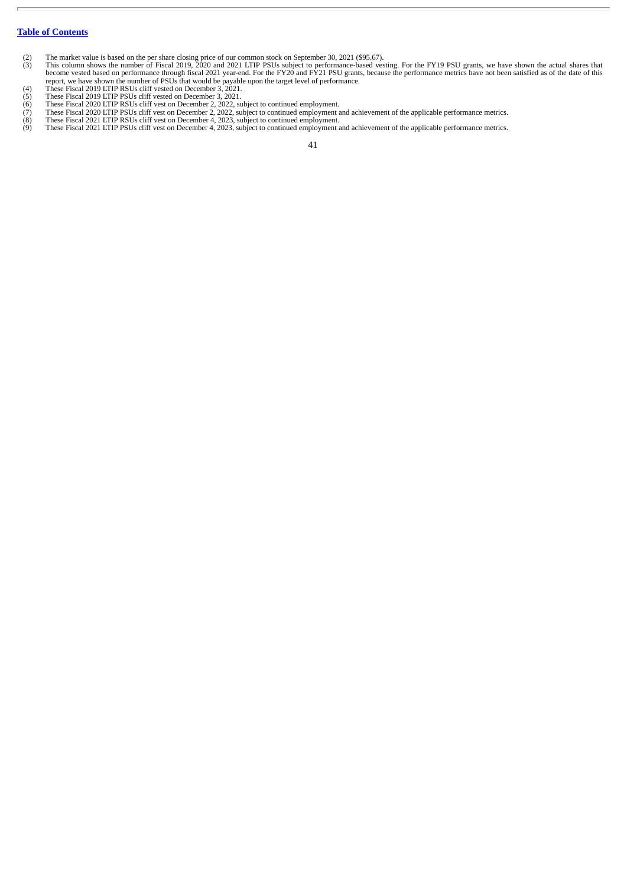- 
- (2) The market value is based on the per share closing price of our common stock on September 30, 2021 (\$95.67).<br>
(3) This column shows the number of Fiscal 2019, 2020 and 2021 LTIP PSUs subject to performance-based vestin
- 
- 
- 
- 
- (8) These Fiscal 2021 LTIP RSUs cliff vest on December 4, 2023, subject to continued employment.<br>(9) These Fiscal 2021 LTIP PSUs cliff vest on December 4, 2023, subject to continued employment and achievement of the ap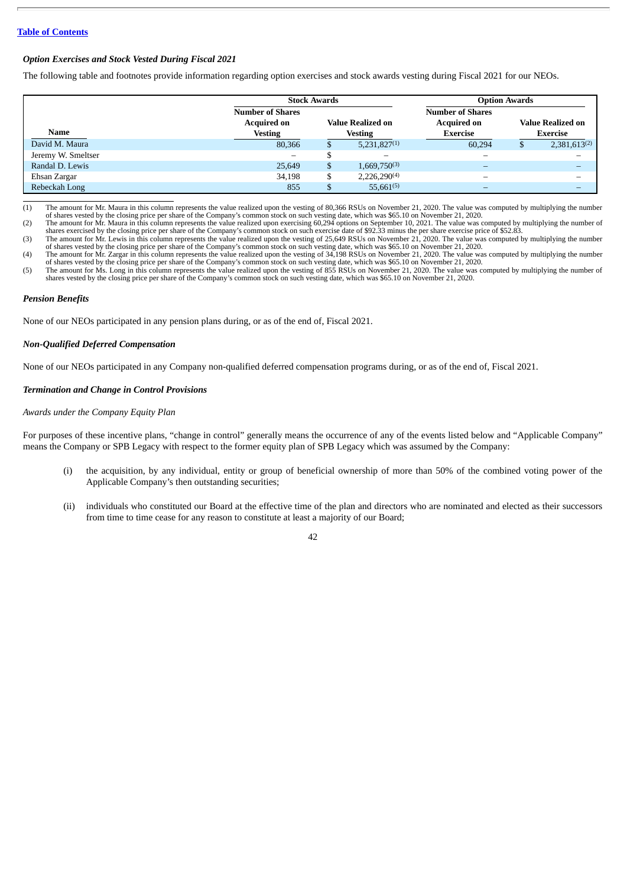# *Option Exercises and Stock Vested During Fiscal 2021*

The following table and footnotes provide information regarding option exercises and stock awards vesting during Fiscal 2021 for our NEOs.

|                    |                         | <b>Stock Awards</b> |                          |                         | <b>Option Awards</b> |              |  |  |  |
|--------------------|-------------------------|---------------------|--------------------------|-------------------------|----------------------|--------------|--|--|--|
|                    | <b>Number of Shares</b> |                     |                          | <b>Number of Shares</b> |                      |              |  |  |  |
|                    | <b>Acquired on</b>      |                     | <b>Value Realized on</b> | <b>Acquired on</b>      | Value Realized on    |              |  |  |  |
| Name               | <b>Vesting</b>          |                     | <b>Vesting</b>           | <b>Exercise</b>         | Exercise             |              |  |  |  |
| David M. Maura     | 80,366                  |                     | $5,231,827^{(1)}$        | 60.294                  |                      | 2,381,613(2) |  |  |  |
| Jeremy W. Smeltser | -                       |                     | -                        | -                       |                      |              |  |  |  |
| Randal D. Lewis    | 25,649                  | \$                  | $1,669,750^{(3)}$        |                         |                      |              |  |  |  |
| Ehsan Zargar       | 34,198                  | \$                  | 2,226,290 <sup>(4)</sup> | -                       |                      |              |  |  |  |
| Rebeckah Long      | 855                     | ъ                   | $55,661^{(5)}$           | -                       |                      | -            |  |  |  |

(1) The amount for Mr. Maura in this column represents the value realized upon the vesting of 80,366 RSUs on November 21, 2020. The value was computed by multiplying the number of shares vested by the closing price per share of the Company's common stock on such vesting date, which was \$65.10 on November 21, 2020.

(2) The amount for Mr. Maura in this column represents the value realized upon exercising 60,294 options on September 10, 2021. The value was computed by multiplying the number of<br>shares exercised by the closing price per

(3) The amount for Mr. Lewis in this column represents the value realized upon the vesting of 25,649 RSUs on November 21, 2020. The value was computed by multiplying the number of shares vested by the closing price per sha

of shares vested by the closing price per share of the Company's common stock on such vesting date, which was \$65.10 on November 21, 2020.<br>(5) The amount for Ms. Long in this column represents the value realized upon the v shares vested by the closing price per share of the Company's common stock on such vesting date, which was \$65.10 on November 21, 2020.

## *Pension Benefits*

None of our NEOs participated in any pension plans during, or as of the end of, Fiscal 2021.

#### *Non-Qualified Deferred Compensation*

None of our NEOs participated in any Company non-qualified deferred compensation programs during, or as of the end of, Fiscal 2021.

## *Termination and Change in Control Provisions*

## *Awards under the Company Equity Plan*

For purposes of these incentive plans, "change in control" generally means the occurrence of any of the events listed below and "Applicable Company" means the Company or SPB Legacy with respect to the former equity plan of SPB Legacy which was assumed by the Company:

- (i) the acquisition, by any individual, entity or group of beneficial ownership of more than 50% of the combined voting power of the Applicable Company's then outstanding securities;
- (ii) individuals who constituted our Board at the effective time of the plan and directors who are nominated and elected as their successors from time to time cease for any reason to constitute at least a majority of our Board;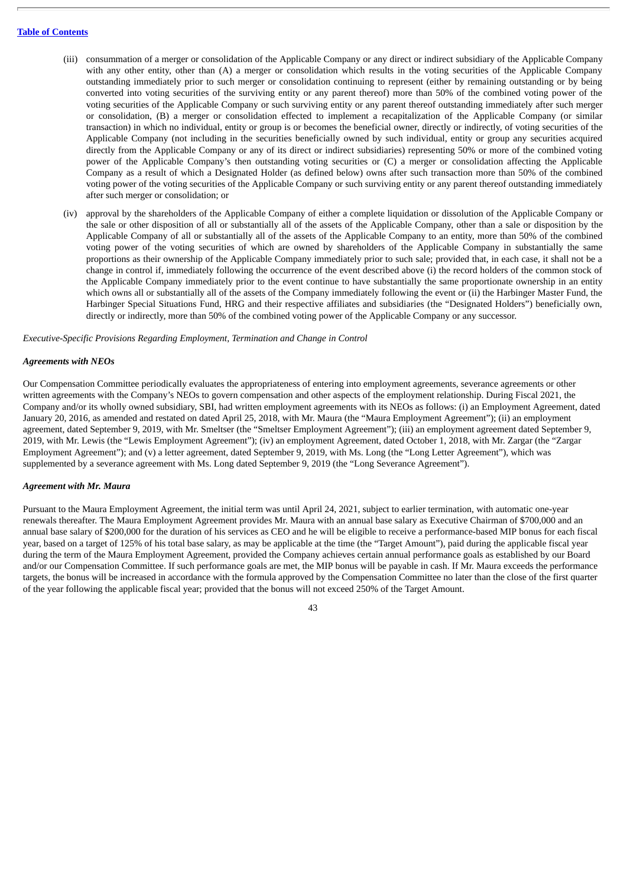- (iii) consummation of a merger or consolidation of the Applicable Company or any direct or indirect subsidiary of the Applicable Company with any other entity, other than (A) a merger or consolidation which results in the voting securities of the Applicable Company outstanding immediately prior to such merger or consolidation continuing to represent (either by remaining outstanding or by being converted into voting securities of the surviving entity or any parent thereof) more than 50% of the combined voting power of the voting securities of the Applicable Company or such surviving entity or any parent thereof outstanding immediately after such merger or consolidation, (B) a merger or consolidation effected to implement a recapitalization of the Applicable Company (or similar transaction) in which no individual, entity or group is or becomes the beneficial owner, directly or indirectly, of voting securities of the Applicable Company (not including in the securities beneficially owned by such individual, entity or group any securities acquired directly from the Applicable Company or any of its direct or indirect subsidiaries) representing 50% or more of the combined voting power of the Applicable Company's then outstanding voting securities or (C) a merger or consolidation affecting the Applicable Company as a result of which a Designated Holder (as defined below) owns after such transaction more than 50% of the combined voting power of the voting securities of the Applicable Company or such surviving entity or any parent thereof outstanding immediately after such merger or consolidation; or
- (iv) approval by the shareholders of the Applicable Company of either a complete liquidation or dissolution of the Applicable Company or the sale or other disposition of all or substantially all of the assets of the Applicable Company, other than a sale or disposition by the Applicable Company of all or substantially all of the assets of the Applicable Company to an entity, more than 50% of the combined voting power of the voting securities of which are owned by shareholders of the Applicable Company in substantially the same proportions as their ownership of the Applicable Company immediately prior to such sale; provided that, in each case, it shall not be a change in control if, immediately following the occurrence of the event described above (i) the record holders of the common stock of the Applicable Company immediately prior to the event continue to have substantially the same proportionate ownership in an entity which owns all or substantially all of the assets of the Company immediately following the event or (ii) the Harbinger Master Fund, the Harbinger Special Situations Fund, HRG and their respective affiliates and subsidiaries (the "Designated Holders") beneficially own, directly or indirectly, more than 50% of the combined voting power of the Applicable Company or any successor.

*Executive-Specific Provisions Regarding Employment, Termination and Change in Control*

## *Agreements with NEOs*

Our Compensation Committee periodically evaluates the appropriateness of entering into employment agreements, severance agreements or other written agreements with the Company's NEOs to govern compensation and other aspects of the employment relationship. During Fiscal 2021, the Company and/or its wholly owned subsidiary, SBI, had written employment agreements with its NEOs as follows: (i) an Employment Agreement, dated January 20, 2016, as amended and restated on dated April 25, 2018, with Mr. Maura (the "Maura Employment Agreement"); (ii) an employment agreement, dated September 9, 2019, with Mr. Smeltser (the "Smeltser Employment Agreement"); (iii) an employment agreement dated September 9, 2019, with Mr. Lewis (the "Lewis Employment Agreement"); (iv) an employment Agreement, dated October 1, 2018, with Mr. Zargar (the "Zargar Employment Agreement"); and (v) a letter agreement, dated September 9, 2019, with Ms. Long (the "Long Letter Agreement"), which was supplemented by a severance agreement with Ms. Long dated September 9, 2019 (the "Long Severance Agreement").

#### *Agreement with Mr. Maura*

Pursuant to the Maura Employment Agreement, the initial term was until April 24, 2021, subject to earlier termination, with automatic one-year renewals thereafter. The Maura Employment Agreement provides Mr. Maura with an annual base salary as Executive Chairman of \$700,000 and an annual base salary of \$200,000 for the duration of his services as CEO and he will be eligible to receive a performance-based MIP bonus for each fiscal year, based on a target of 125% of his total base salary, as may be applicable at the time (the "Target Amount"), paid during the applicable fiscal year during the term of the Maura Employment Agreement, provided the Company achieves certain annual performance goals as established by our Board and/or our Compensation Committee. If such performance goals are met, the MIP bonus will be payable in cash. If Mr. Maura exceeds the performance targets, the bonus will be increased in accordance with the formula approved by the Compensation Committee no later than the close of the first quarter of the year following the applicable fiscal year; provided that the bonus will not exceed 250% of the Target Amount.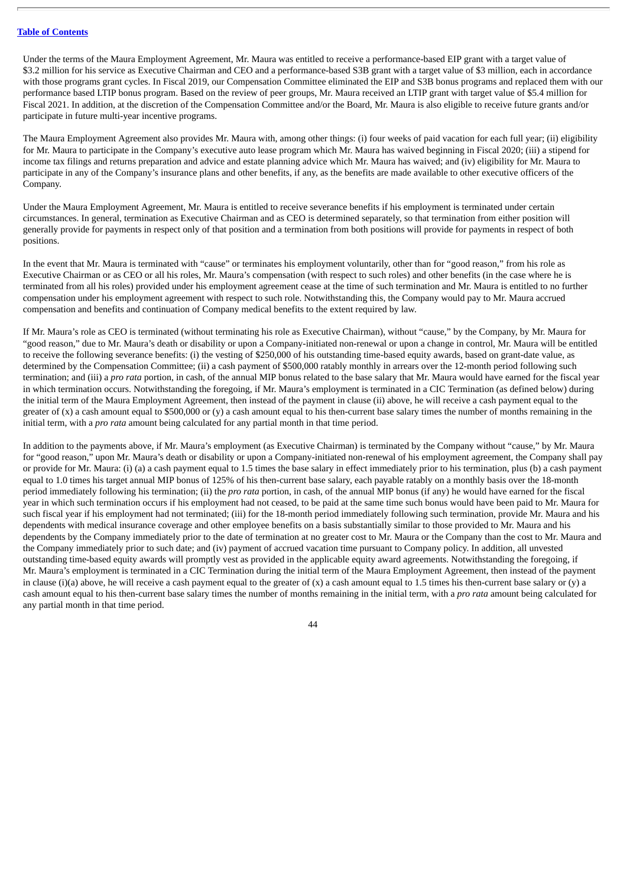Under the terms of the Maura Employment Agreement, Mr. Maura was entitled to receive a performance-based EIP grant with a target value of \$3.2 million for his service as Executive Chairman and CEO and a performance-based S3B grant with a target value of \$3 million, each in accordance with those programs grant cycles. In Fiscal 2019, our Compensation Committee eliminated the EIP and S3B bonus programs and replaced them with our performance based LTIP bonus program. Based on the review of peer groups, Mr. Maura received an LTIP grant with target value of \$5.4 million for Fiscal 2021. In addition, at the discretion of the Compensation Committee and/or the Board, Mr. Maura is also eligible to receive future grants and/or participate in future multi-year incentive programs.

The Maura Employment Agreement also provides Mr. Maura with, among other things: (i) four weeks of paid vacation for each full year; (ii) eligibility for Mr. Maura to participate in the Company's executive auto lease program which Mr. Maura has waived beginning in Fiscal 2020; (iii) a stipend for income tax filings and returns preparation and advice and estate planning advice which Mr. Maura has waived; and (iv) eligibility for Mr. Maura to participate in any of the Company's insurance plans and other benefits, if any, as the benefits are made available to other executive officers of the Company.

Under the Maura Employment Agreement, Mr. Maura is entitled to receive severance benefits if his employment is terminated under certain circumstances. In general, termination as Executive Chairman and as CEO is determined separately, so that termination from either position will generally provide for payments in respect only of that position and a termination from both positions will provide for payments in respect of both positions.

In the event that Mr. Maura is terminated with "cause" or terminates his employment voluntarily, other than for "good reason," from his role as Executive Chairman or as CEO or all his roles, Mr. Maura's compensation (with respect to such roles) and other benefits (in the case where he is terminated from all his roles) provided under his employment agreement cease at the time of such termination and Mr. Maura is entitled to no further compensation under his employment agreement with respect to such role. Notwithstanding this, the Company would pay to Mr. Maura accrued compensation and benefits and continuation of Company medical benefits to the extent required by law.

If Mr. Maura's role as CEO is terminated (without terminating his role as Executive Chairman), without "cause," by the Company, by Mr. Maura for "good reason," due to Mr. Maura's death or disability or upon a Company-initiated non-renewal or upon a change in control, Mr. Maura will be entitled to receive the following severance benefits: (i) the vesting of \$250,000 of his outstanding time-based equity awards, based on grant-date value, as determined by the Compensation Committee; (ii) a cash payment of \$500,000 ratably monthly in arrears over the 12-month period following such termination; and (iii) a *pro rata* portion, in cash, of the annual MIP bonus related to the base salary that Mr. Maura would have earned for the fiscal year in which termination occurs. Notwithstanding the foregoing, if Mr. Maura's employment is terminated in a CIC Termination (as defined below) during the initial term of the Maura Employment Agreement, then instead of the payment in clause (ii) above, he will receive a cash payment equal to the greater of  $(x)$  a cash amount equal to \$500,000 or  $(y)$  a cash amount equal to his then-current base salary times the number of months remaining in the initial term, with a *pro rata* amount being calculated for any partial month in that time period.

In addition to the payments above, if Mr. Maura's employment (as Executive Chairman) is terminated by the Company without "cause," by Mr. Maura for "good reason," upon Mr. Maura's death or disability or upon a Company-initiated non-renewal of his employment agreement, the Company shall pay or provide for Mr. Maura: (i) (a) a cash payment equal to 1.5 times the base salary in effect immediately prior to his termination, plus (b) a cash payment equal to 1.0 times his target annual MIP bonus of 125% of his then-current base salary, each payable ratably on a monthly basis over the 18-month period immediately following his termination; (ii) the *pro rata* portion, in cash, of the annual MIP bonus (if any) he would have earned for the fiscal year in which such termination occurs if his employment had not ceased, to be paid at the same time such bonus would have been paid to Mr. Maura for such fiscal year if his employment had not terminated; (iii) for the 18-month period immediately following such termination, provide Mr. Maura and his dependents with medical insurance coverage and other employee benefits on a basis substantially similar to those provided to Mr. Maura and his dependents by the Company immediately prior to the date of termination at no greater cost to Mr. Maura or the Company than the cost to Mr. Maura and the Company immediately prior to such date; and (iv) payment of accrued vacation time pursuant to Company policy. In addition, all unvested outstanding time-based equity awards will promptly vest as provided in the applicable equity award agreements. Notwithstanding the foregoing, if Mr. Maura's employment is terminated in a CIC Termination during the initial term of the Maura Employment Agreement, then instead of the payment in clause (i)(a) above, he will receive a cash payment equal to the greater of  $(x)$  a cash amount equal to 1.5 times his then-current base salary or  $(y)$  a cash amount equal to his then-current base salary times the number of months remaining in the initial term, with a *pro rata* amount being calculated for any partial month in that time period.

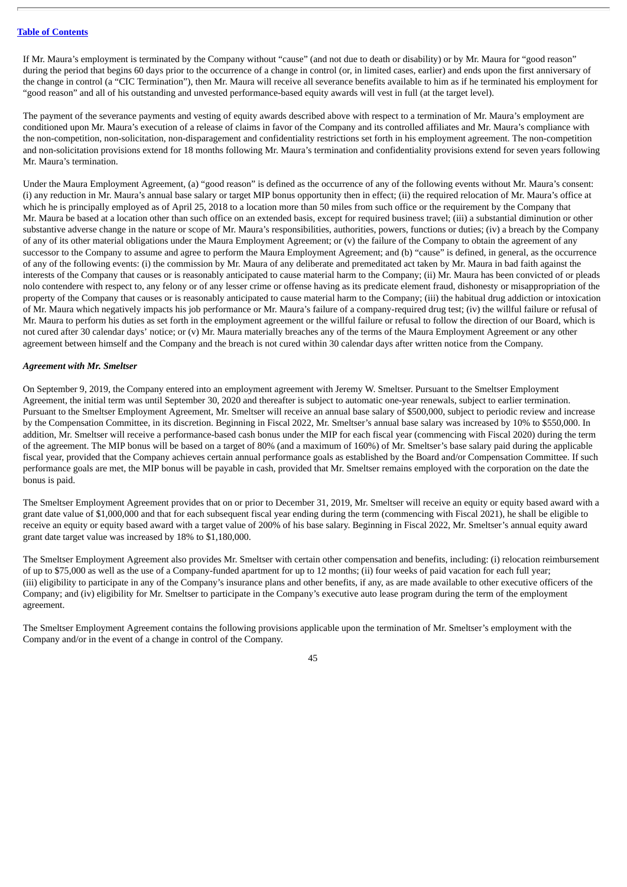If Mr. Maura's employment is terminated by the Company without "cause" (and not due to death or disability) or by Mr. Maura for "good reason" during the period that begins 60 days prior to the occurrence of a change in control (or, in limited cases, earlier) and ends upon the first anniversary of the change in control (a "CIC Termination"), then Mr. Maura will receive all severance benefits available to him as if he terminated his employment for "good reason" and all of his outstanding and unvested performance-based equity awards will vest in full (at the target level).

The payment of the severance payments and vesting of equity awards described above with respect to a termination of Mr. Maura's employment are conditioned upon Mr. Maura's execution of a release of claims in favor of the Company and its controlled affiliates and Mr. Maura's compliance with the non-competition, non-solicitation, non-disparagement and confidentiality restrictions set forth in his employment agreement. The non-competition and non-solicitation provisions extend for 18 months following Mr. Maura's termination and confidentiality provisions extend for seven years following Mr. Maura's termination.

Under the Maura Employment Agreement, (a) "good reason" is defined as the occurrence of any of the following events without Mr. Maura's consent: (i) any reduction in Mr. Maura's annual base salary or target MIP bonus opportunity then in effect; (ii) the required relocation of Mr. Maura's office at which he is principally employed as of April 25, 2018 to a location more than 50 miles from such office or the requirement by the Company that Mr. Maura be based at a location other than such office on an extended basis, except for required business travel; (iii) a substantial diminution or other substantive adverse change in the nature or scope of Mr. Maura's responsibilities, authorities, powers, functions or duties; (iv) a breach by the Company of any of its other material obligations under the Maura Employment Agreement; or (v) the failure of the Company to obtain the agreement of any successor to the Company to assume and agree to perform the Maura Employment Agreement; and (b) "cause" is defined, in general, as the occurrence of any of the following events: (i) the commission by Mr. Maura of any deliberate and premeditated act taken by Mr. Maura in bad faith against the interests of the Company that causes or is reasonably anticipated to cause material harm to the Company; (ii) Mr. Maura has been convicted of or pleads nolo contendere with respect to, any felony or of any lesser crime or offense having as its predicate element fraud, dishonesty or misappropriation of the property of the Company that causes or is reasonably anticipated to cause material harm to the Company; (iii) the habitual drug addiction or intoxication of Mr. Maura which negatively impacts his job performance or Mr. Maura's failure of a company-required drug test; (iv) the willful failure or refusal of Mr. Maura to perform his duties as set forth in the employment agreement or the willful failure or refusal to follow the direction of our Board, which is not cured after 30 calendar days' notice; or (v) Mr. Maura materially breaches any of the terms of the Maura Employment Agreement or any other agreement between himself and the Company and the breach is not cured within 30 calendar days after written notice from the Company.

### *Agreement with Mr. Smeltser*

On September 9, 2019, the Company entered into an employment agreement with Jeremy W. Smeltser. Pursuant to the Smeltser Employment Agreement, the initial term was until September 30, 2020 and thereafter is subject to automatic one-year renewals, subject to earlier termination. Pursuant to the Smeltser Employment Agreement, Mr. Smeltser will receive an annual base salary of \$500,000, subject to periodic review and increase by the Compensation Committee, in its discretion. Beginning in Fiscal 2022, Mr. Smeltser's annual base salary was increased by 10% to \$550,000. In addition, Mr. Smeltser will receive a performance-based cash bonus under the MIP for each fiscal year (commencing with Fiscal 2020) during the term of the agreement. The MIP bonus will be based on a target of 80% (and a maximum of 160%) of Mr. Smeltser's base salary paid during the applicable fiscal year, provided that the Company achieves certain annual performance goals as established by the Board and/or Compensation Committee. If such performance goals are met, the MIP bonus will be payable in cash, provided that Mr. Smeltser remains employed with the corporation on the date the bonus is paid.

The Smeltser Employment Agreement provides that on or prior to December 31, 2019, Mr. Smeltser will receive an equity or equity based award with a grant date value of \$1,000,000 and that for each subsequent fiscal year ending during the term (commencing with Fiscal 2021), he shall be eligible to receive an equity or equity based award with a target value of 200% of his base salary. Beginning in Fiscal 2022, Mr. Smeltser's annual equity award grant date target value was increased by 18% to \$1,180,000.

The Smeltser Employment Agreement also provides Mr. Smeltser with certain other compensation and benefits, including: (i) relocation reimbursement of up to \$75,000 as well as the use of a Company-funded apartment for up to 12 months; (ii) four weeks of paid vacation for each full year; (iii) eligibility to participate in any of the Company's insurance plans and other benefits, if any, as are made available to other executive officers of the Company; and (iv) eligibility for Mr. Smeltser to participate in the Company's executive auto lease program during the term of the employment agreement.

The Smeltser Employment Agreement contains the following provisions applicable upon the termination of Mr. Smeltser's employment with the Company and/or in the event of a change in control of the Company.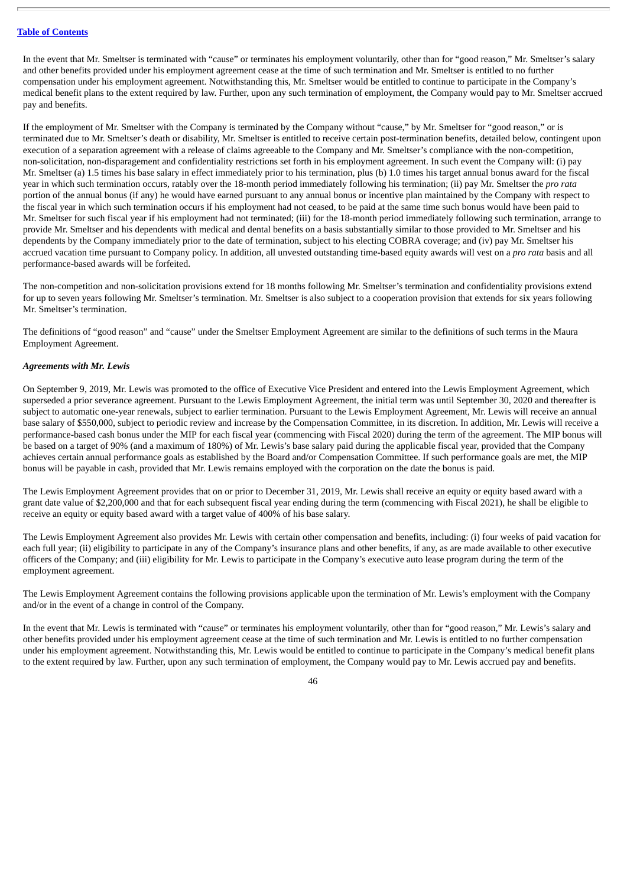In the event that Mr. Smeltser is terminated with "cause" or terminates his employment voluntarily, other than for "good reason," Mr. Smeltser's salary and other benefits provided under his employment agreement cease at the time of such termination and Mr. Smeltser is entitled to no further compensation under his employment agreement. Notwithstanding this, Mr. Smeltser would be entitled to continue to participate in the Company's medical benefit plans to the extent required by law. Further, upon any such termination of employment, the Company would pay to Mr. Smeltser accrued pay and benefits.

If the employment of Mr. Smeltser with the Company is terminated by the Company without "cause," by Mr. Smeltser for "good reason," or is terminated due to Mr. Smeltser's death or disability, Mr. Smeltser is entitled to receive certain post-termination benefits, detailed below, contingent upon execution of a separation agreement with a release of claims agreeable to the Company and Mr. Smeltser's compliance with the non-competition, non-solicitation, non-disparagement and confidentiality restrictions set forth in his employment agreement. In such event the Company will: (i) pay Mr. Smeltser (a) 1.5 times his base salary in effect immediately prior to his termination, plus (b) 1.0 times his target annual bonus award for the fiscal year in which such termination occurs, ratably over the 18-month period immediately following his termination; (ii) pay Mr. Smeltser the *pro rata* portion of the annual bonus (if any) he would have earned pursuant to any annual bonus or incentive plan maintained by the Company with respect to the fiscal year in which such termination occurs if his employment had not ceased, to be paid at the same time such bonus would have been paid to Mr. Smeltser for such fiscal year if his employment had not terminated; (iii) for the 18-month period immediately following such termination, arrange to provide Mr. Smeltser and his dependents with medical and dental benefits on a basis substantially similar to those provided to Mr. Smeltser and his dependents by the Company immediately prior to the date of termination, subject to his electing COBRA coverage; and (iv) pay Mr. Smeltser his accrued vacation time pursuant to Company policy. In addition, all unvested outstanding time-based equity awards will vest on a *pro rata* basis and all performance-based awards will be forfeited.

The non-competition and non-solicitation provisions extend for 18 months following Mr. Smeltser's termination and confidentiality provisions extend for up to seven years following Mr. Smeltser's termination. Mr. Smeltser is also subject to a cooperation provision that extends for six years following Mr. Smeltser's termination.

The definitions of "good reason" and "cause" under the Smeltser Employment Agreement are similar to the definitions of such terms in the Maura Employment Agreement.

## *Agreements with Mr. Lewis*

On September 9, 2019, Mr. Lewis was promoted to the office of Executive Vice President and entered into the Lewis Employment Agreement, which superseded a prior severance agreement. Pursuant to the Lewis Employment Agreement, the initial term was until September 30, 2020 and thereafter is subject to automatic one-year renewals, subject to earlier termination. Pursuant to the Lewis Employment Agreement, Mr. Lewis will receive an annual base salary of \$550,000, subject to periodic review and increase by the Compensation Committee, in its discretion. In addition, Mr. Lewis will receive a performance-based cash bonus under the MIP for each fiscal year (commencing with Fiscal 2020) during the term of the agreement. The MIP bonus will be based on a target of 90% (and a maximum of 180%) of Mr. Lewis's base salary paid during the applicable fiscal year, provided that the Company achieves certain annual performance goals as established by the Board and/or Compensation Committee. If such performance goals are met, the MIP bonus will be payable in cash, provided that Mr. Lewis remains employed with the corporation on the date the bonus is paid.

The Lewis Employment Agreement provides that on or prior to December 31, 2019, Mr. Lewis shall receive an equity or equity based award with a grant date value of \$2,200,000 and that for each subsequent fiscal year ending during the term (commencing with Fiscal 2021), he shall be eligible to receive an equity or equity based award with a target value of 400% of his base salary.

The Lewis Employment Agreement also provides Mr. Lewis with certain other compensation and benefits, including: (i) four weeks of paid vacation for each full year; (ii) eligibility to participate in any of the Company's insurance plans and other benefits, if any, as are made available to other executive officers of the Company; and (iii) eligibility for Mr. Lewis to participate in the Company's executive auto lease program during the term of the employment agreement.

The Lewis Employment Agreement contains the following provisions applicable upon the termination of Mr. Lewis's employment with the Company and/or in the event of a change in control of the Company.

In the event that Mr. Lewis is terminated with "cause" or terminates his employment voluntarily, other than for "good reason," Mr. Lewis's salary and other benefits provided under his employment agreement cease at the time of such termination and Mr. Lewis is entitled to no further compensation under his employment agreement. Notwithstanding this, Mr. Lewis would be entitled to continue to participate in the Company's medical benefit plans to the extent required by law. Further, upon any such termination of employment, the Company would pay to Mr. Lewis accrued pay and benefits.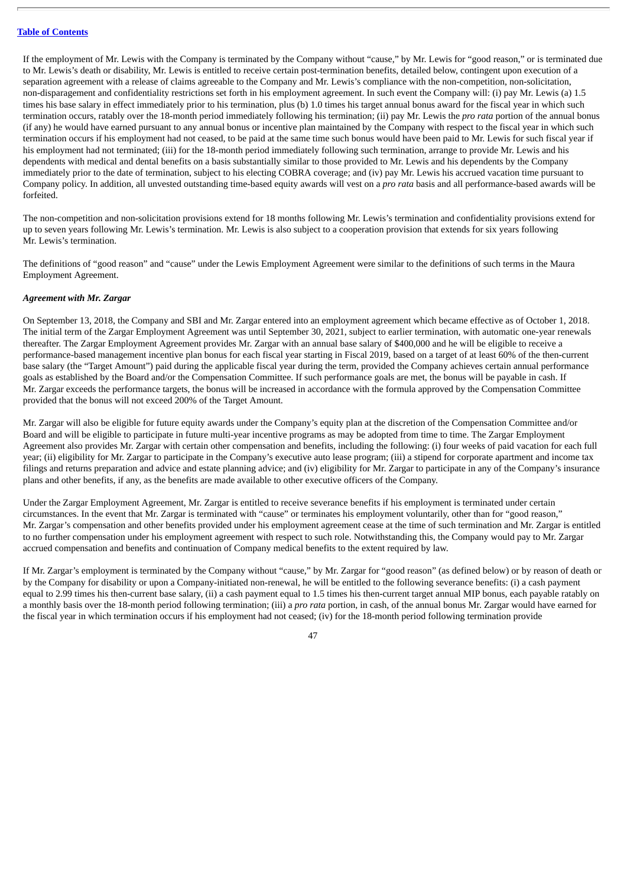If the employment of Mr. Lewis with the Company is terminated by the Company without "cause," by Mr. Lewis for "good reason," or is terminated due to Mr. Lewis's death or disability, Mr. Lewis is entitled to receive certain post-termination benefits, detailed below, contingent upon execution of a separation agreement with a release of claims agreeable to the Company and Mr. Lewis's compliance with the non-competition, non-solicitation, non-disparagement and confidentiality restrictions set forth in his employment agreement. In such event the Company will: (i) pay Mr. Lewis (a) 1.5 times his base salary in effect immediately prior to his termination, plus (b) 1.0 times his target annual bonus award for the fiscal year in which such termination occurs, ratably over the 18-month period immediately following his termination; (ii) pay Mr. Lewis the *pro rata* portion of the annual bonus (if any) he would have earned pursuant to any annual bonus or incentive plan maintained by the Company with respect to the fiscal year in which such termination occurs if his employment had not ceased, to be paid at the same time such bonus would have been paid to Mr. Lewis for such fiscal year if his employment had not terminated; (iii) for the 18-month period immediately following such termination, arrange to provide Mr. Lewis and his dependents with medical and dental benefits on a basis substantially similar to those provided to Mr. Lewis and his dependents by the Company immediately prior to the date of termination, subject to his electing COBRA coverage; and (iv) pay Mr. Lewis his accrued vacation time pursuant to Company policy. In addition, all unvested outstanding time-based equity awards will vest on a *pro rata* basis and all performance-based awards will be forfeited.

The non-competition and non-solicitation provisions extend for 18 months following Mr. Lewis's termination and confidentiality provisions extend for up to seven years following Mr. Lewis's termination. Mr. Lewis is also subject to a cooperation provision that extends for six years following Mr. Lewis's termination.

The definitions of "good reason" and "cause" under the Lewis Employment Agreement were similar to the definitions of such terms in the Maura Employment Agreement.

## *Agreement with Mr. Zargar*

On September 13, 2018, the Company and SBI and Mr. Zargar entered into an employment agreement which became effective as of October 1, 2018. The initial term of the Zargar Employment Agreement was until September 30, 2021, subject to earlier termination, with automatic one-year renewals thereafter. The Zargar Employment Agreement provides Mr. Zargar with an annual base salary of \$400,000 and he will be eligible to receive a performance-based management incentive plan bonus for each fiscal year starting in Fiscal 2019, based on a target of at least 60% of the then-current base salary (the "Target Amount") paid during the applicable fiscal year during the term, provided the Company achieves certain annual performance goals as established by the Board and/or the Compensation Committee. If such performance goals are met, the bonus will be payable in cash. If Mr. Zargar exceeds the performance targets, the bonus will be increased in accordance with the formula approved by the Compensation Committee provided that the bonus will not exceed 200% of the Target Amount.

Mr. Zargar will also be eligible for future equity awards under the Company's equity plan at the discretion of the Compensation Committee and/or Board and will be eligible to participate in future multi-year incentive programs as may be adopted from time to time. The Zargar Employment Agreement also provides Mr. Zargar with certain other compensation and benefits, including the following: (i) four weeks of paid vacation for each full year; (ii) eligibility for Mr. Zargar to participate in the Company's executive auto lease program; (iii) a stipend for corporate apartment and income tax filings and returns preparation and advice and estate planning advice; and (iv) eligibility for Mr. Zargar to participate in any of the Company's insurance plans and other benefits, if any, as the benefits are made available to other executive officers of the Company.

Under the Zargar Employment Agreement, Mr. Zargar is entitled to receive severance benefits if his employment is terminated under certain circumstances. In the event that Mr. Zargar is terminated with "cause" or terminates his employment voluntarily, other than for "good reason," Mr. Zargar's compensation and other benefits provided under his employment agreement cease at the time of such termination and Mr. Zargar is entitled to no further compensation under his employment agreement with respect to such role. Notwithstanding this, the Company would pay to Mr. Zargar accrued compensation and benefits and continuation of Company medical benefits to the extent required by law.

If Mr. Zargar's employment is terminated by the Company without "cause," by Mr. Zargar for "good reason" (as defined below) or by reason of death or by the Company for disability or upon a Company-initiated non-renewal, he will be entitled to the following severance benefits: (i) a cash payment equal to 2.99 times his then-current base salary, (ii) a cash payment equal to 1.5 times his then-current target annual MIP bonus, each payable ratably on a monthly basis over the 18-month period following termination; (iii) a *pro rata* portion, in cash, of the annual bonus Mr. Zargar would have earned for the fiscal year in which termination occurs if his employment had not ceased; (iv) for the 18-month period following termination provide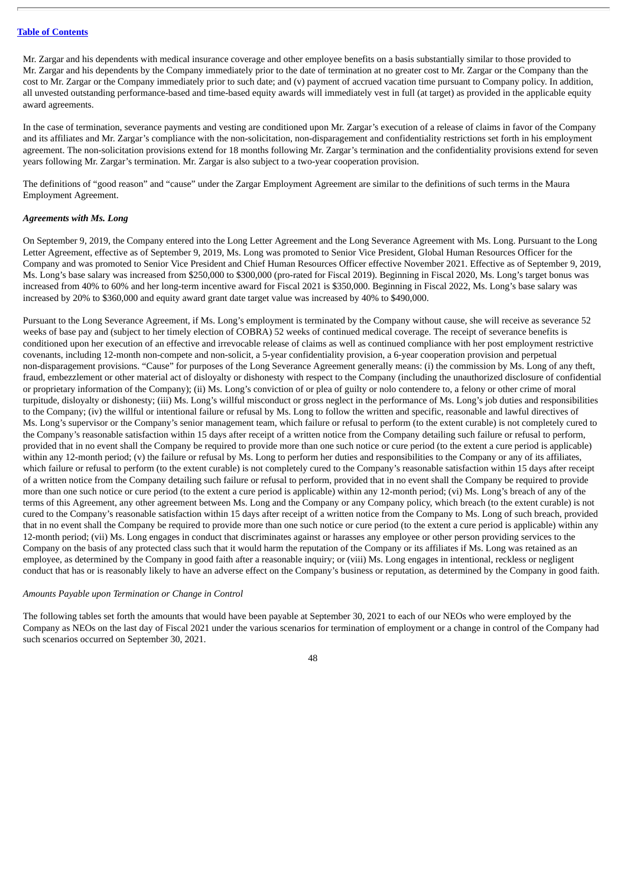Mr. Zargar and his dependents with medical insurance coverage and other employee benefits on a basis substantially similar to those provided to Mr. Zargar and his dependents by the Company immediately prior to the date of termination at no greater cost to Mr. Zargar or the Company than the cost to Mr. Zargar or the Company immediately prior to such date; and (v) payment of accrued vacation time pursuant to Company policy. In addition, all unvested outstanding performance-based and time-based equity awards will immediately vest in full (at target) as provided in the applicable equity award agreements.

In the case of termination, severance payments and vesting are conditioned upon Mr. Zargar's execution of a release of claims in favor of the Company and its affiliates and Mr. Zargar's compliance with the non-solicitation, non-disparagement and confidentiality restrictions set forth in his employment agreement. The non-solicitation provisions extend for 18 months following Mr. Zargar's termination and the confidentiality provisions extend for seven years following Mr. Zargar's termination. Mr. Zargar is also subject to a two-year cooperation provision.

The definitions of "good reason" and "cause" under the Zargar Employment Agreement are similar to the definitions of such terms in the Maura Employment Agreement.

#### *Agreements with Ms. Long*

On September 9, 2019, the Company entered into the Long Letter Agreement and the Long Severance Agreement with Ms. Long. Pursuant to the Long Letter Agreement, effective as of September 9, 2019, Ms. Long was promoted to Senior Vice President, Global Human Resources Officer for the Company and was promoted to Senior Vice President and Chief Human Resources Officer effective November 2021. Effective as of September 9, 2019, Ms. Long's base salary was increased from \$250,000 to \$300,000 (pro-rated for Fiscal 2019). Beginning in Fiscal 2020, Ms. Long's target bonus was increased from 40% to 60% and her long-term incentive award for Fiscal 2021 is \$350,000. Beginning in Fiscal 2022, Ms. Long's base salary was increased by 20% to \$360,000 and equity award grant date target value was increased by 40% to \$490,000.

Pursuant to the Long Severance Agreement, if Ms. Long's employment is terminated by the Company without cause, she will receive as severance 52 weeks of base pay and (subject to her timely election of COBRA) 52 weeks of continued medical coverage. The receipt of severance benefits is conditioned upon her execution of an effective and irrevocable release of claims as well as continued compliance with her post employment restrictive covenants, including 12-month non-compete and non-solicit, a 5-year confidentiality provision, a 6-year cooperation provision and perpetual non-disparagement provisions. "Cause" for purposes of the Long Severance Agreement generally means: (i) the commission by Ms. Long of any theft, fraud, embezzlement or other material act of disloyalty or dishonesty with respect to the Company (including the unauthorized disclosure of confidential or proprietary information of the Company); (ii) Ms. Long's conviction of or plea of guilty or nolo contendere to, a felony or other crime of moral turpitude, disloyalty or dishonesty; (iii) Ms. Long's willful misconduct or gross neglect in the performance of Ms. Long's job duties and responsibilities to the Company; (iv) the willful or intentional failure or refusal by Ms. Long to follow the written and specific, reasonable and lawful directives of Ms. Long's supervisor or the Company's senior management team, which failure or refusal to perform (to the extent curable) is not completely cured to the Company's reasonable satisfaction within 15 days after receipt of a written notice from the Company detailing such failure or refusal to perform, provided that in no event shall the Company be required to provide more than one such notice or cure period (to the extent a cure period is applicable) within any 12-month period; (v) the failure or refusal by Ms. Long to perform her duties and responsibilities to the Company or any of its affiliates, which failure or refusal to perform (to the extent curable) is not completely cured to the Company's reasonable satisfaction within 15 days after receipt of a written notice from the Company detailing such failure or refusal to perform, provided that in no event shall the Company be required to provide more than one such notice or cure period (to the extent a cure period is applicable) within any 12-month period; (vi) Ms. Long's breach of any of the terms of this Agreement, any other agreement between Ms. Long and the Company or any Company policy, which breach (to the extent curable) is not cured to the Company's reasonable satisfaction within 15 days after receipt of a written notice from the Company to Ms. Long of such breach, provided that in no event shall the Company be required to provide more than one such notice or cure period (to the extent a cure period is applicable) within any 12-month period; (vii) Ms. Long engages in conduct that discriminates against or harasses any employee or other person providing services to the Company on the basis of any protected class such that it would harm the reputation of the Company or its affiliates if Ms. Long was retained as an employee, as determined by the Company in good faith after a reasonable inquiry; or (viii) Ms. Long engages in intentional, reckless or negligent conduct that has or is reasonably likely to have an adverse effect on the Company's business or reputation, as determined by the Company in good faith.

#### *Amounts Payable upon Termination or Change in Control*

The following tables set forth the amounts that would have been payable at September 30, 2021 to each of our NEOs who were employed by the Company as NEOs on the last day of Fiscal 2021 under the various scenarios for termination of employment or a change in control of the Company had such scenarios occurred on September 30, 2021.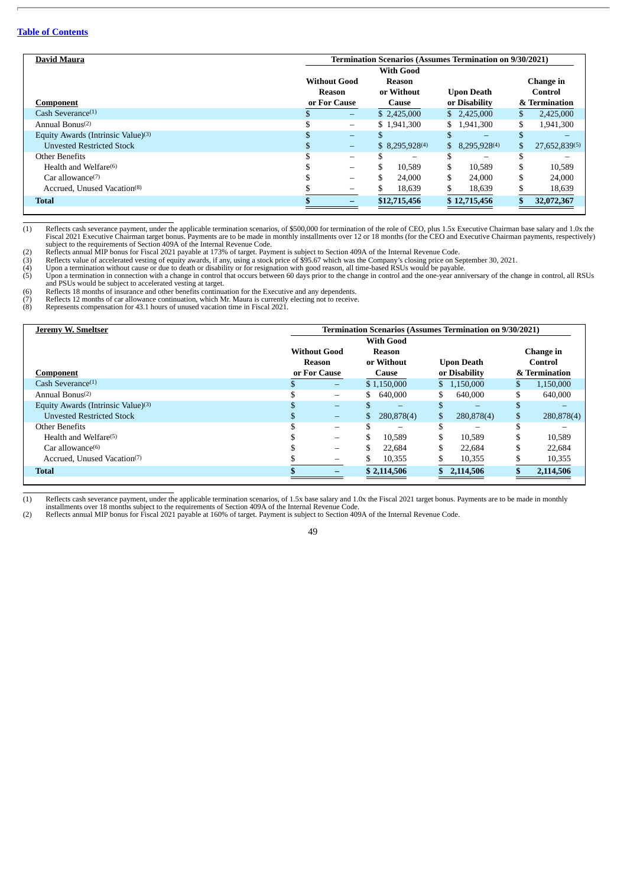| <b>David Maura</b>                             | <b>Termination Scenarios (Assumes Termination on 9/30/2021)</b> |                          |                     |                     |     |               |  |  |  |
|------------------------------------------------|-----------------------------------------------------------------|--------------------------|---------------------|---------------------|-----|---------------|--|--|--|
|                                                |                                                                 |                          | <b>With Good</b>    |                     |     |               |  |  |  |
|                                                |                                                                 | <b>Without Good</b>      | Reason              |                     |     | Change in     |  |  |  |
|                                                |                                                                 | Reason                   | or Without          | <b>Upon Death</b>   |     | Control       |  |  |  |
| Component                                      |                                                                 | or For Cause             | Cause               | or Disability       |     | & Termination |  |  |  |
| Cash Severance $(1)$                           |                                                                 | $\overline{\phantom{m}}$ | \$2,425,000         | \$2,425,000         | S.  | 2.425,000     |  |  |  |
| Annual Bonus $(2)$                             |                                                                 | $\overline{\phantom{m}}$ | \$1,941,300         | \$1,941,300         | \$  | 1,941,300     |  |  |  |
| Equity Awards (Intrinsic Value) <sup>(3)</sup> |                                                                 | $\overline{\phantom{0}}$ |                     |                     |     |               |  |  |  |
| <b>Unvested Restricted Stock</b>               |                                                                 | -                        | $$8,295,928^{(4)}$$ | $$8,295,928^{(4)}$$ | \$. | 27,652,839(5) |  |  |  |
| Other Benefits                                 |                                                                 | $\overline{\phantom{0}}$ |                     | -                   | æ   |               |  |  |  |
| Health and Welfare $(6)$                       |                                                                 | $\overline{\phantom{0}}$ | \$<br>10.589        | \$<br>10.589        | \$  | 10.589        |  |  |  |
| Car allowance $(7)$                            |                                                                 | $\overline{\phantom{0}}$ | \$<br>24,000        | \$<br>24,000        | \$  | 24,000        |  |  |  |
| Accrued, Unused Vacation <sup>(8)</sup>        |                                                                 | $\overline{\phantom{0}}$ | 18,639              | 18,639              |     | 18,639        |  |  |  |
| <b>Total</b>                                   |                                                                 |                          | \$12,715,456        | \$12,715,456        |     | 32,072,367    |  |  |  |
|                                                |                                                                 |                          |                     |                     |     |               |  |  |  |

(1) Reflects cash severance payment, under the applicable termination scenarios, of \$500,000 for termination of the role of CEO, plus 1.5x Executive Chairman base salary and 1.0x the<br>Fiscal 2021 Executive Chairman target b

subject to the requirements of Section 409A of the Internal Revenue Code.<br>(2) Reflects annual MIP bonus for Fiscal 2021 payable at 173% of target. Payment is subject to Section 409A of the Internal Revenue Code.<br>(3) Reflec and PSUs would be subject to accelerated vesting at target.

(6) Reflects 18 months of insurance and other benefits continuation for the Executive and any dependents. (7) Reflects 12 months of car allowance continuation, which Mr. Maura is currently electing not to receive.

(6) Reflects 18 months of insurance and other benefits continuation for the Executive (7) Reflects 12 months of car allowance continuation, which Mr. Maura is currently (8) Represents compensation for 43.1 hours of unused

| <b>Jeremy W. Smeltser</b>                      | <b>Termination Scenarios (Assumes Termination on 9/30/2021)</b> |                              |                  |                          |                  |  |  |  |  |
|------------------------------------------------|-----------------------------------------------------------------|------------------------------|------------------|--------------------------|------------------|--|--|--|--|
|                                                |                                                                 |                              | <b>With Good</b> |                          |                  |  |  |  |  |
|                                                |                                                                 | <b>Without Good</b>          | Reason           |                          | Change in        |  |  |  |  |
|                                                |                                                                 | <b>Reason</b>                | or Without       | <b>Upon Death</b>        | Control          |  |  |  |  |
| Component                                      |                                                                 | or For Cause                 | Cause            | or Disability            | & Termination    |  |  |  |  |
| Cash Severance $(1)$                           |                                                                 | $\overline{\phantom{m}}$     | \$1,150,000      | \$1,150,000              | 1,150,000        |  |  |  |  |
| Annual Bonus $(2)$                             |                                                                 | $\overline{\phantom{m}}$     | 640,000<br>S.    | \$<br>640,000            | 640,000<br>ъ.    |  |  |  |  |
| Equity Awards (Intrinsic Value) <sup>(3)</sup> |                                                                 | $\overline{\phantom{0}}$     |                  | $\overline{\phantom{0}}$ |                  |  |  |  |  |
| <b>Unvested Restricted Stock</b>               |                                                                 | $\qquad \qquad \blacksquare$ | 280,878(4)       | \$<br>280,878(4)         | \$<br>280,878(4) |  |  |  |  |
| Other Benefits                                 |                                                                 | $\overline{\phantom{0}}$     |                  |                          |                  |  |  |  |  |
| Health and Welfare $(5)$                       |                                                                 | $\overline{\phantom{0}}$     | 10.589           | 10,589<br>æ              | 10,589           |  |  |  |  |
| Car allowance $(6)$                            |                                                                 | $\overline{\phantom{0}}$     | 22,684           | 22,684                   | 22.684           |  |  |  |  |
| Accrued, Unused Vacation(7)                    |                                                                 | $\overline{\phantom{0}}$     | 10,355           | 10,355                   | 10,355           |  |  |  |  |
| <b>Total</b>                                   |                                                                 |                              | \$2,114,506      | 2,114,506                | 2,114,506        |  |  |  |  |
|                                                |                                                                 |                              |                  |                          |                  |  |  |  |  |

<sup>(1)</sup> Reflects cash severance payment, under the applicable termination scenarios, of 1.5x base salary and 1.0x the Fiscal 2021 target bonus. Payments are to be made in monthly installments over 18 months subject to the requ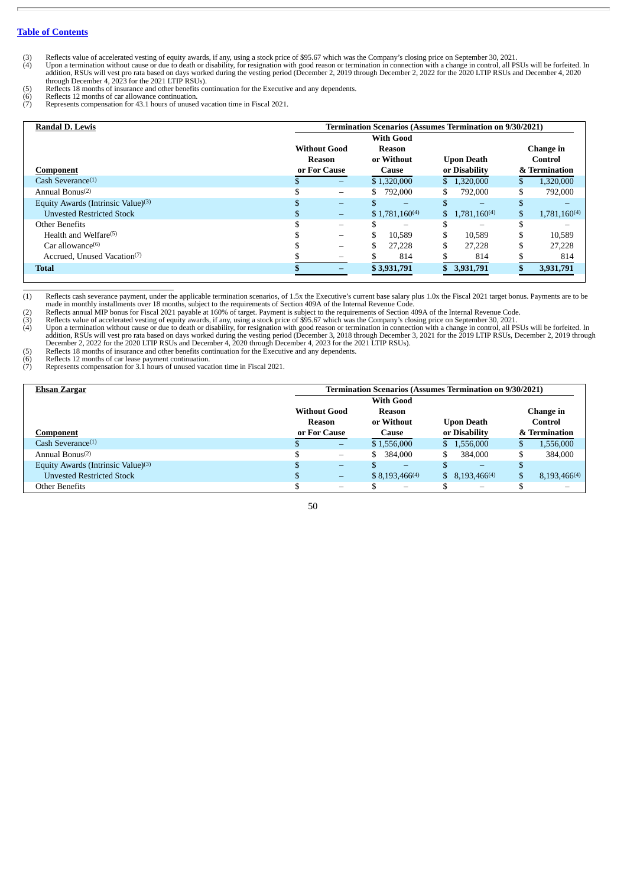- (3) Reflects value of accelerated vesting of equity awards, if any, using a stock price of \$95.67 which was the Company's closing price on September 30, 2021.<br>(4) Upon a termination without cause or due to death or disabil
- (5) Reflects 18 months of insurance and other benefits continuation for the Executive and any dependents.<br>
(6) Reflects 12 months of car allowance continuation.<br>
(7) Represents compensation for 43.1 hours of unused vacatio
- 
- (6) Reflects 12 months of car allowance continuation. (7) Represents compensation for 43.1 hours of unused vacation time in Fiscal 2021.

| <b>Randal D. Lewis</b>                         | <b>Termination Scenarios (Assumes Termination on 9/30/2021)</b> |                          |                    |                    |                               |  |  |  |  |  |
|------------------------------------------------|-----------------------------------------------------------------|--------------------------|--------------------|--------------------|-------------------------------|--|--|--|--|--|
|                                                |                                                                 |                          | <b>With Good</b>   |                    |                               |  |  |  |  |  |
|                                                | <b>Without Good</b>                                             |                          | Reason             |                    | Change in                     |  |  |  |  |  |
|                                                | Reason                                                          |                          | or Without         | <b>Upon Death</b>  | Control                       |  |  |  |  |  |
| Component                                      | or For Cause                                                    |                          | Cause              | or Disability      | & Termination                 |  |  |  |  |  |
| Cash Severance $(1)$                           | æ                                                               | $\qquad \qquad -$        | \$1,320,000        | \$1,320,000        | 1,320,000                     |  |  |  |  |  |
| Annual Bonus $(2)$                             |                                                                 | $\overline{\phantom{0}}$ | 792,000<br>S.      | 792,000<br>S.      | \$<br>792,000                 |  |  |  |  |  |
| Equity Awards (Intrinsic Value) <sup>(3)</sup> |                                                                 | $\overline{\phantom{0}}$ |                    |                    |                               |  |  |  |  |  |
| <b>Unvested Restricted Stock</b>               |                                                                 | $-$                      | $$1,781,160^{(4)}$ | $$1,781,160^{(4)}$ | 1,781,160 <sup>(4)</sup><br>S |  |  |  |  |  |
| Other Benefits                                 |                                                                 | $\overline{\phantom{0}}$ |                    |                    |                               |  |  |  |  |  |
| Health and Welfare $(5)$                       |                                                                 | -                        | \$<br>10.589       | \$<br>10.589       | 10,589<br>S                   |  |  |  |  |  |
| Car allowance $(6)$                            |                                                                 | $\overline{\phantom{0}}$ | 27,228             | 27,228             | 27.228                        |  |  |  |  |  |
| Accrued, Unused Vacation(7)                    |                                                                 | $\overline{\phantom{0}}$ | 814                | 814                | 814                           |  |  |  |  |  |
| <b>Total</b>                                   |                                                                 | -                        | \$3,931,791        | \$ 3,931,791       | 3,931,791                     |  |  |  |  |  |
|                                                |                                                                 |                          |                    |                    |                               |  |  |  |  |  |

 $(1)$  Reflects cash severance payment, under the applicable termination scenarios, of 1.5x the Executive's current base salary plus 1.0x the Fiscal 2021 target bonus. Payments are to be

made in monthly installments over 18 months, subject to the requirements of Section 409A of the Internal Revenue Code.<br>(2) Reflects annual MIP bonus for Fiscal 2021 payable at 160% of target. Payment is subject to the requ

(4) Upon a termination without cause or due to death or disability, for resignation with good reason or termination in connection with a change in control, all PSUs will be forfeited. In<br>addition, RSUs will vest pro rata b

(5) Reflects 18 months of insurance and other benefits continuation for the Executive and any dependents.<br>
(6) Reflects 12 months of car lease payment continuation.<br>
(7) Represents compensation for 3.1 hours of unused vaca (6) Reflects 12 months of car lease payment continuation. (7) Represents compensation for 3.1 hours of unused vacation time in Fiscal 2021.

| <b>Ehsan Zargar</b>                   | Termination Scenarios (Assumes Termination on 9/30/2021) |                                |                          |                   |  |  |  |  |  |  |
|---------------------------------------|----------------------------------------------------------|--------------------------------|--------------------------|-------------------|--|--|--|--|--|--|
|                                       |                                                          | <b>With Good</b>               |                          |                   |  |  |  |  |  |  |
|                                       | <b>Without Good</b>                                      | Reason                         |                          | Change in         |  |  |  |  |  |  |
|                                       | Reason                                                   | or Without                     | <b>Upon Death</b>        | Control           |  |  |  |  |  |  |
| <b>Component</b>                      | or For Cause                                             | Cause                          | or Disability            | & Termination     |  |  |  |  |  |  |
| Cash Severance $(1)$                  | $\qquad \qquad -$                                        | \$1,556,000                    | \$1,556,000              | 1,556,000<br>- b  |  |  |  |  |  |  |
| Annual Bonus <sup>(2)</sup>           | $\overline{\phantom{m}}$                                 | \$<br>384.000                  | 384,000                  | \$<br>384,000     |  |  |  |  |  |  |
| Equity Awards (Intrinsic Value) $(3)$ | -                                                        | -                              | -                        |                   |  |  |  |  |  |  |
| <b>Unvested Restricted Stock</b>      | -                                                        | $$8,193,466^{(4)}$             | $$8,193,466^{(4)}$$      | $8,193,466^{(4)}$ |  |  |  |  |  |  |
| Other Benefits                        | $\qquad \qquad -$                                        | $\qquad \qquad \longleftarrow$ | $\overline{\phantom{m}}$ |                   |  |  |  |  |  |  |

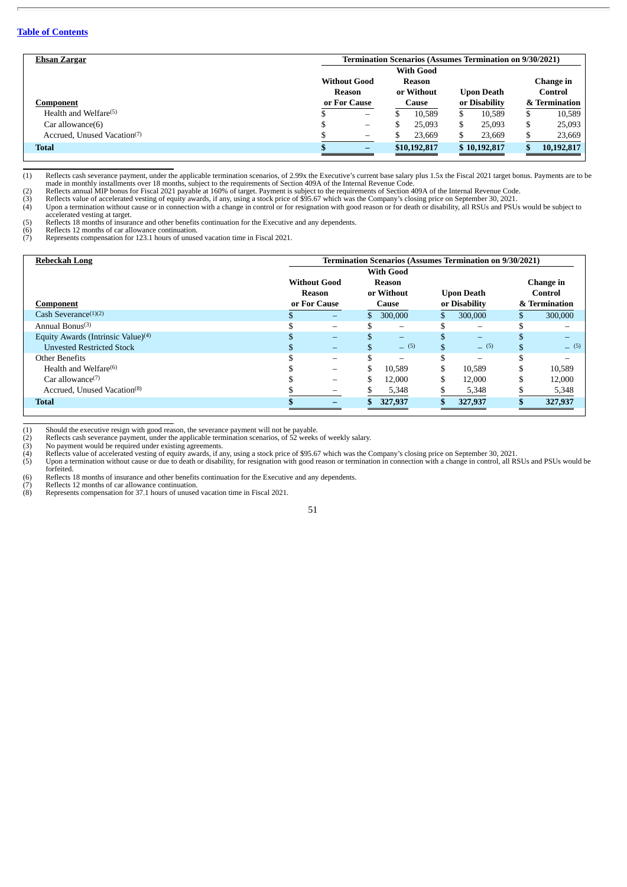| Ehsan Zargar                            |                                | Termination Scenarios (Assumes Termination on 9/30/2021) |               |               |  |  |  |  |  |  |
|-----------------------------------------|--------------------------------|----------------------------------------------------------|---------------|---------------|--|--|--|--|--|--|
|                                         |                                | <b>With Good</b>                                         |               |               |  |  |  |  |  |  |
|                                         | <b>Without Good</b>            | Reason                                                   |               | Change in     |  |  |  |  |  |  |
|                                         | Reason                         | or Without<br><b>Upon Death</b>                          |               |               |  |  |  |  |  |  |
| Component                               | or For Cause                   | Cause                                                    | or Disability | & Termination |  |  |  |  |  |  |
| Health and Welfare $(5)$                | $\qquad \qquad$                | 10.589                                                   | 10.589<br>S   | 10,589<br>ъ   |  |  |  |  |  |  |
| Car allowance(6)                        | $\qquad \qquad \longleftarrow$ | 25,093                                                   | 25,093<br>S   | 25,093<br>S   |  |  |  |  |  |  |
| Accrued. Unused Vacation <sup>(7)</sup> | -                              | 23,669                                                   | 23,669        | 23,669        |  |  |  |  |  |  |
| <b>Total</b>                            | -                              | \$10,192,817                                             | \$10,192,817  | 10,192,817    |  |  |  |  |  |  |

(1) Reflects cash severance payment, under the applicable termination scenarios, of 2.99x the Executive's current base salary plus 1.5x the Fiscal 2021 target bonus. Payments are to be<br>made in monthly installments over 18

(2) Reflects annual MIP bonus for Fiscal 2021 payable at 160% of target. Payment is subject to the requirements of Section 409A of the Internal Revenue Code.<br>(3) Reflects value of accelerated vesting of equity awards, if a accelerated vesting at target. (5) Reflects 18 months of insurance and other benefits continuation for the Executive and any dependents.

(6) Reflects 12 months of car allowance continuation. (7) Represents compensation for 123.1 hours of unused vacation time in Fiscal 2021.

| Rebeckah Long                                  | <b>Termination Scenarios (Assumes Termination on 9/30/2021)</b> |                             |                          |                   |               |           |  |  |  |
|------------------------------------------------|-----------------------------------------------------------------|-----------------------------|--------------------------|-------------------|---------------|-----------|--|--|--|
|                                                | <b>With Good</b>                                                |                             |                          |                   |               |           |  |  |  |
|                                                |                                                                 | <b>Without Good</b>         | Reason                   |                   |               | Change in |  |  |  |
|                                                |                                                                 | or Without<br><b>Reason</b> |                          | <b>Upon Death</b> |               | Control   |  |  |  |
| <b>Component</b>                               |                                                                 | or For Cause                | Cause                    | or Disability     | & Termination |           |  |  |  |
| Cash Severance $(1)(2)$                        |                                                                 | $\qquad \qquad -$           | 300,000                  | 300,000           |               | 300,000   |  |  |  |
| Annual Bonus $(3)$                             |                                                                 | $\overline{\phantom{0}}$    | $\overline{\phantom{0}}$ |                   |               |           |  |  |  |
| Equity Awards (Intrinsic Value) <sup>(4)</sup> |                                                                 | $\equiv$                    | $-$                      |                   |               |           |  |  |  |
| <b>Unvested Restricted Stock</b>               |                                                                 | $\overline{\phantom{0}}$    | (5)                      | $-$ (5)<br>\$     |               | (5)       |  |  |  |
| Other Benefits                                 |                                                                 | $\overline{\phantom{0}}$    | $\overline{\phantom{0}}$ |                   |               |           |  |  |  |
| Health and Welfare $(6)$                       |                                                                 | -                           | 10.589                   | 10,589            |               | 10,589    |  |  |  |
| Car allowance $(7)$                            |                                                                 |                             | 12,000                   | 12,000            |               | 12,000    |  |  |  |
| Accrued, Unused Vacation <sup>(8)</sup>        |                                                                 |                             | 5,348                    | 5,348             |               | 5,348     |  |  |  |
| <b>Total</b>                                   |                                                                 |                             | 327,937                  | 327,937           |               | 327,937   |  |  |  |
|                                                |                                                                 |                             |                          |                   |               |           |  |  |  |

(1) Should the executive resign with good reason, the severance payment will not be payable. (2) Reflects cash severance payment, under the applicable termination scenarios, of 52 weeks of weekly salary.

(3) No payment would be required under existing agreements.<br>(4) Reflects value of accelerated vesting of equity awards, if any, using a stock price of \$95.67 which was the Company's closing price on September 30, 2021.<br>(5) forfeited. (6) Reflects 18 months of insurance and other benefits continuation for the Executive and any dependents.

(7) Reflects 12 months of car allowance continuation. (8) Represents compensation for 37.1 hours of unused vacation time in Fiscal 2021.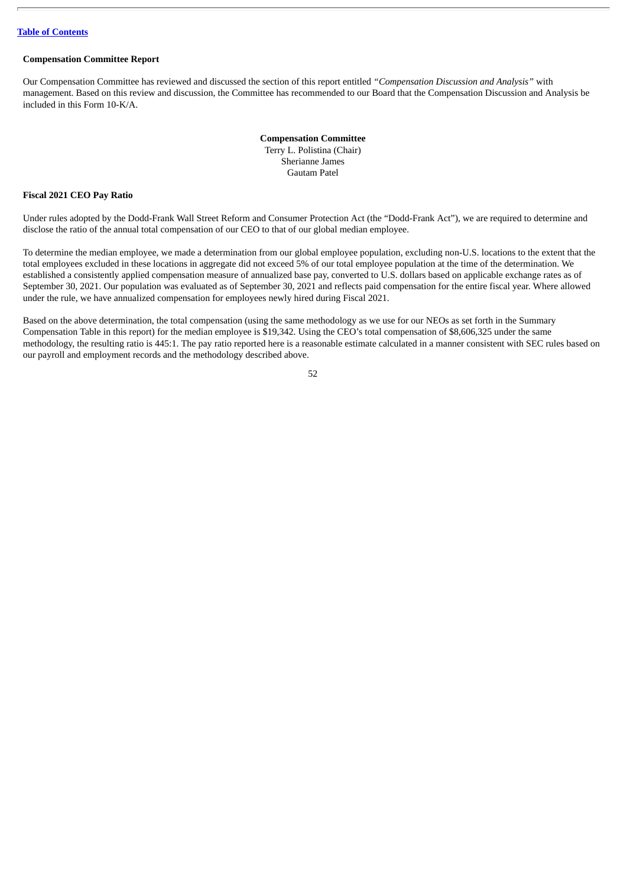# **Compensation Committee Report**

Our Compensation Committee has reviewed and discussed the section of this report entitled *"Compensation Discussion and Analysis"* with management. Based on this review and discussion, the Committee has recommended to our Board that the Compensation Discussion and Analysis be included in this Form 10-K/A.

> **Compensation Committee** Terry L. Polistina (Chair) Sherianne James Gautam Patel

#### **Fiscal 2021 CEO Pay Ratio**

Under rules adopted by the Dodd-Frank Wall Street Reform and Consumer Protection Act (the "Dodd-Frank Act"), we are required to determine and disclose the ratio of the annual total compensation of our CEO to that of our global median employee.

To determine the median employee, we made a determination from our global employee population, excluding non-U.S. locations to the extent that the total employees excluded in these locations in aggregate did not exceed 5% of our total employee population at the time of the determination. We established a consistently applied compensation measure of annualized base pay, converted to U.S. dollars based on applicable exchange rates as of September 30, 2021. Our population was evaluated as of September 30, 2021 and reflects paid compensation for the entire fiscal year. Where allowed under the rule, we have annualized compensation for employees newly hired during Fiscal 2021.

Based on the above determination, the total compensation (using the same methodology as we use for our NEOs as set forth in the Summary Compensation Table in this report) for the median employee is \$19,342. Using the CEO's total compensation of \$8,606,325 under the same methodology, the resulting ratio is 445:1. The pay ratio reported here is a reasonable estimate calculated in a manner consistent with SEC rules based on our payroll and employment records and the methodology described above.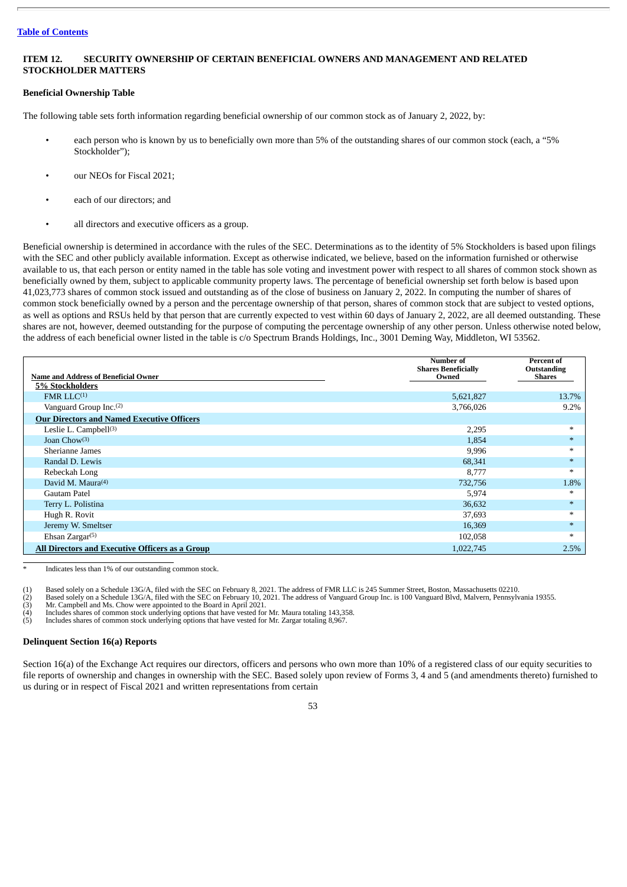# <span id="page-52-0"></span>**ITEM 12. SECURITY OWNERSHIP OF CERTAIN BENEFICIAL OWNERS AND MANAGEMENT AND RELATED STOCKHOLDER MATTERS**

# **Beneficial Ownership Table**

The following table sets forth information regarding beneficial ownership of our common stock as of January 2, 2022, by:

- each person who is known by us to beneficially own more than 5% of the outstanding shares of our common stock (each, a "5% Stockholder");
- our NEOs for Fiscal 2021:
- each of our directors; and
- all directors and executive officers as a group.

Beneficial ownership is determined in accordance with the rules of the SEC. Determinations as to the identity of 5% Stockholders is based upon filings with the SEC and other publicly available information. Except as otherwise indicated, we believe, based on the information furnished or otherwise available to us, that each person or entity named in the table has sole voting and investment power with respect to all shares of common stock shown as beneficially owned by them, subject to applicable community property laws. The percentage of beneficial ownership set forth below is based upon 41,023,773 shares of common stock issued and outstanding as of the close of business on January 2, 2022. In computing the number of shares of common stock beneficially owned by a person and the percentage ownership of that person, shares of common stock that are subject to vested options, as well as options and RSUs held by that person that are currently expected to vest within 60 days of January 2, 2022, are all deemed outstanding. These shares are not, however, deemed outstanding for the purpose of computing the percentage ownership of any other person. Unless otherwise noted below, the address of each beneficial owner listed in the table is c/o Spectrum Brands Holdings, Inc., 3001 Deming Way, Middleton, WI 53562.

|                                                   | <b>Number</b> of<br><b>Shares Beneficially</b> | Percent of<br>Outstanding |
|---------------------------------------------------|------------------------------------------------|---------------------------|
| <b>Name and Address of Beneficial Owner</b>       | Owned                                          | <b>Shares</b>             |
| <b>5% Stockholders</b>                            |                                                |                           |
| FMR LLC <sup>(1)</sup>                            | 5,621,827                                      | 13.7%                     |
| Vanguard Group Inc. <sup>(2)</sup>                | 3,766,026                                      | 9.2%                      |
| <b>Our Directors and Named Executive Officers</b> |                                                |                           |
| Leslie L. Campbell <sup>(3)</sup>                 | 2,295                                          | $*$                       |
| Joan Cho $w^{(3)}$                                | 1,854                                          |                           |
| Sherianne James                                   | 9,996                                          |                           |
| Randal D. Lewis                                   | 68,341                                         |                           |
| Rebeckah Long                                     | 8,777                                          | $\ast$                    |
| David M. Maura $(4)$                              | 732,756                                        | 1.8%                      |
| Gautam Patel                                      | 5,974                                          |                           |
| Terry L. Polistina                                | 36,632                                         |                           |
| Hugh R. Rovit                                     | 37,693                                         |                           |
| Jeremy W. Smeltser                                | 16,369                                         |                           |
| Ehsan Zargar $(5)$                                | 102,058                                        |                           |
| All Directors and Executive Officers as a Group   | 1,022,745                                      | 2.5%                      |

Indicates less than 1% of our outstanding common stock.

(1) Based solely on a Schedule 13G/A, filed with the SEC on February 8, 2021. The address of FMR LLC is 245 Summer Street, Boston, Massachusetts 02210.<br>
(2) Based solely on a Schedule 13G/A, filed with the SEC on February

(2) Based solely on a Schedule 13G/A, filed with the SEC on February 10, 2021. The address of Vanguard Group Inc. is 100 Vanguard Blvd, Malvern, Pennsylvania 19355.

Mr. Campbell and Ms. Chow were appointed to the Board in April 2021.

Includes shares of common stock underlying options that have vested for Mr. Maura totaling 143,358.

(5) Includes shares of common stock underlying options that have vested for Mr. Zargar totaling 8,967.

# **Delinquent Section 16(a) Reports**

Section 16(a) of the Exchange Act requires our directors, officers and persons who own more than 10% of a registered class of our equity securities to file reports of ownership and changes in ownership with the SEC. Based solely upon review of Forms 3, 4 and 5 (and amendments thereto) furnished to us during or in respect of Fiscal 2021 and written representations from certain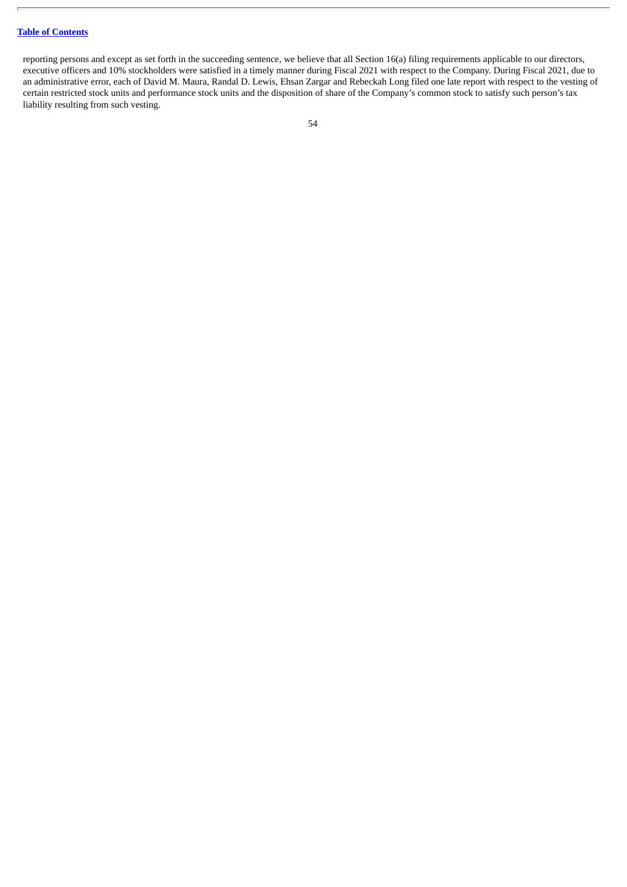reporting persons and except as set forth in the succeeding sentence, we believe that all Section 16(a) filing requirements applicable to our directors, executive officers and 10% stockholders were satisfied in a timely manner during Fiscal 2021 with respect to the Company. During Fiscal 2021, due to an administrative error, each of David M. Maura, Randal D. Lewis, Ehsan Zargar and Rebeckah Long filed one late report with respect to the vesting of certain restricted stock units and performance stock units and the disposition of share of the Company's common stock to satisfy such person's tax liability resulting from such vesting.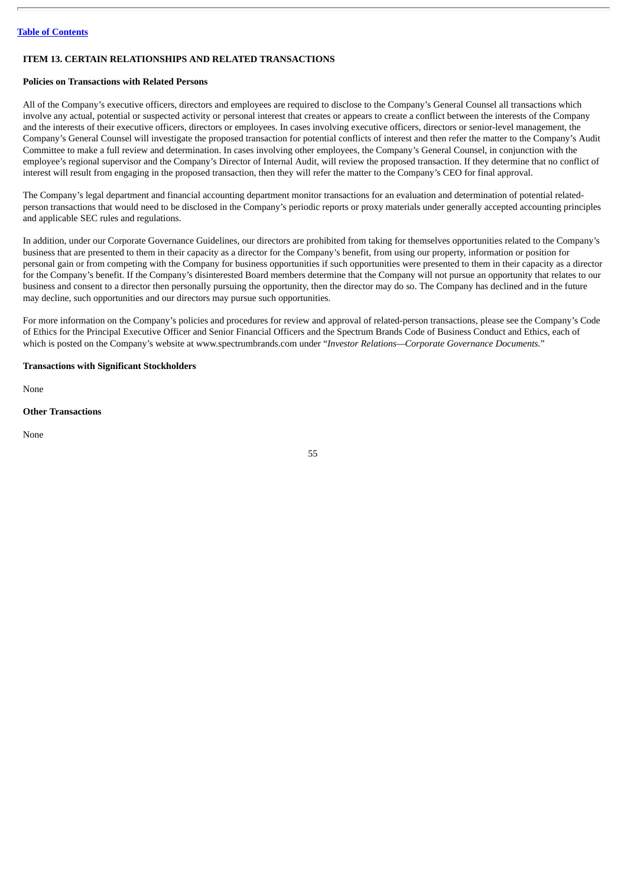# <span id="page-54-0"></span>**ITEM 13. CERTAIN RELATIONSHIPS AND RELATED TRANSACTIONS**

#### **Policies on Transactions with Related Persons**

All of the Company's executive officers, directors and employees are required to disclose to the Company's General Counsel all transactions which involve any actual, potential or suspected activity or personal interest that creates or appears to create a conflict between the interests of the Company and the interests of their executive officers, directors or employees. In cases involving executive officers, directors or senior-level management, the Company's General Counsel will investigate the proposed transaction for potential conflicts of interest and then refer the matter to the Company's Audit Committee to make a full review and determination. In cases involving other employees, the Company's General Counsel, in conjunction with the employee's regional supervisor and the Company's Director of Internal Audit, will review the proposed transaction. If they determine that no conflict of interest will result from engaging in the proposed transaction, then they will refer the matter to the Company's CEO for final approval.

The Company's legal department and financial accounting department monitor transactions for an evaluation and determination of potential relatedperson transactions that would need to be disclosed in the Company's periodic reports or proxy materials under generally accepted accounting principles and applicable SEC rules and regulations.

In addition, under our Corporate Governance Guidelines, our directors are prohibited from taking for themselves opportunities related to the Company's business that are presented to them in their capacity as a director for the Company's benefit, from using our property, information or position for personal gain or from competing with the Company for business opportunities if such opportunities were presented to them in their capacity as a director for the Company's benefit. If the Company's disinterested Board members determine that the Company will not pursue an opportunity that relates to our business and consent to a director then personally pursuing the opportunity, then the director may do so. The Company has declined and in the future may decline, such opportunities and our directors may pursue such opportunities.

For more information on the Company's policies and procedures for review and approval of related-person transactions, please see the Company's Code of Ethics for the Principal Executive Officer and Senior Financial Officers and the Spectrum Brands Code of Business Conduct and Ethics, each of which is posted on the Company's website at www.spectrumbrands.com under "*Investor Relations—Corporate Governance Documents.*"

## **Transactions with Significant Stockholders**

None

#### **Other Transactions**

None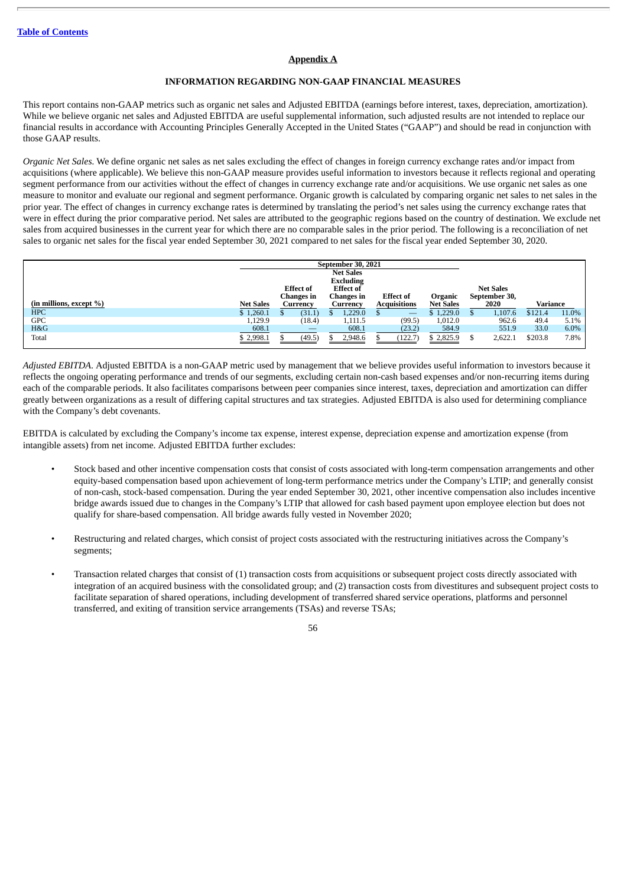# **Appendix A**

## **INFORMATION REGARDING NON-GAAP FINANCIAL MEASURES**

This report contains non-GAAP metrics such as organic net sales and Adjusted EBITDA (earnings before interest, taxes, depreciation, amortization). While we believe organic net sales and Adjusted EBITDA are useful supplemental information, such adjusted results are not intended to replace our financial results in accordance with Accounting Principles Generally Accepted in the United States ("GAAP") and should be read in conjunction with those GAAP results.

*Organic Net Sales.* We define organic net sales as net sales excluding the effect of changes in foreign currency exchange rates and/or impact from acquisitions (where applicable). We believe this non-GAAP measure provides useful information to investors because it reflects regional and operating segment performance from our activities without the effect of changes in currency exchange rate and/or acquisitions. We use organic net sales as one measure to monitor and evaluate our regional and segment performance. Organic growth is calculated by comparing organic net sales to net sales in the prior year. The effect of changes in currency exchange rates is determined by translating the period's net sales using the currency exchange rates that were in effect during the prior comparative period. Net sales are attributed to the geographic regions based on the country of destination. We exclude net sales from acquired businesses in the current year for which there are no comparable sales in the prior period. The following is a reconciliation of net sales to organic net sales for the fiscal year ended September 30, 2021 compared to net sales for the fiscal year ended September 30, 2020.

|                         | <b>September 30, 2021</b> |                  |                                           |                                      |                     |                   |                  |                  |          |         |
|-------------------------|---------------------------|------------------|-------------------------------------------|--------------------------------------|---------------------|-------------------|------------------|------------------|----------|---------|
|                         |                           |                  |                                           | <b>Net Sales</b><br><b>Excluding</b> |                     |                   |                  |                  |          |         |
|                         |                           | <b>Effect</b> of |                                           | <b>Effect of</b>                     |                     |                   |                  | <b>Net Sales</b> |          |         |
|                         |                           | Changes in       |                                           | <b>Changes</b> in                    | <b>Effect of</b>    |                   | Organic          | September 30,    |          |         |
| (in millions, except %) | <b>Net Sales</b>          | Currency         |                                           | Currency                             | <b>Acquisitions</b> |                   | <b>Net Sales</b> | 2020             | Variance |         |
| <b>HPC</b>              | \$1,260.1                 | (31.1)           |                                           | 1,229.0                              |                     | $\hspace{0.05cm}$ | \$1,229.0        | 1,107.6          | \$121.4  | 11.0%   |
| <b>GPC</b>              | 1,129.9                   | (18.4)           |                                           | 1,111.5                              |                     | (99.5)            | 1,012.0          | 962.6            | 49.4     | 5.1%    |
| H&G                     | 608.1                     |                  | $\qquad \qquad \overline{\qquad \qquad }$ | 608.1                                |                     | (23.2)            | 584.9            | 551.9            | 33.0     | $6.0\%$ |
| Total                   | \$2,998.1                 | (49.5)           |                                           | 2,948.6                              |                     | (122.7)           | \$2,825.9        | 2,622.1          | \$203.8  | 7.8%    |

*Adjusted EBITDA*. Adjusted EBITDA is a non-GAAP metric used by management that we believe provides useful information to investors because it reflects the ongoing operating performance and trends of our segments, excluding certain non-cash based expenses and/or non-recurring items during each of the comparable periods. It also facilitates comparisons between peer companies since interest, taxes, depreciation and amortization can differ greatly between organizations as a result of differing capital structures and tax strategies. Adjusted EBITDA is also used for determining compliance with the Company's debt covenants.

EBITDA is calculated by excluding the Company's income tax expense, interest expense, depreciation expense and amortization expense (from intangible assets) from net income. Adjusted EBITDA further excludes:

- Stock based and other incentive compensation costs that consist of costs associated with long-term compensation arrangements and other equity-based compensation based upon achievement of long-term performance metrics under the Company's LTIP; and generally consist of non-cash, stock-based compensation. During the year ended September 30, 2021, other incentive compensation also includes incentive bridge awards issued due to changes in the Company's LTIP that allowed for cash based payment upon employee election but does not qualify for share-based compensation. All bridge awards fully vested in November 2020;
- Restructuring and related charges, which consist of project costs associated with the restructuring initiatives across the Company's segments;
- Transaction related charges that consist of (1) transaction costs from acquisitions or subsequent project costs directly associated with integration of an acquired business with the consolidated group; and (2) transaction costs from divestitures and subsequent project costs to facilitate separation of shared operations, including development of transferred shared service operations, platforms and personnel transferred, and exiting of transition service arrangements (TSAs) and reverse TSAs;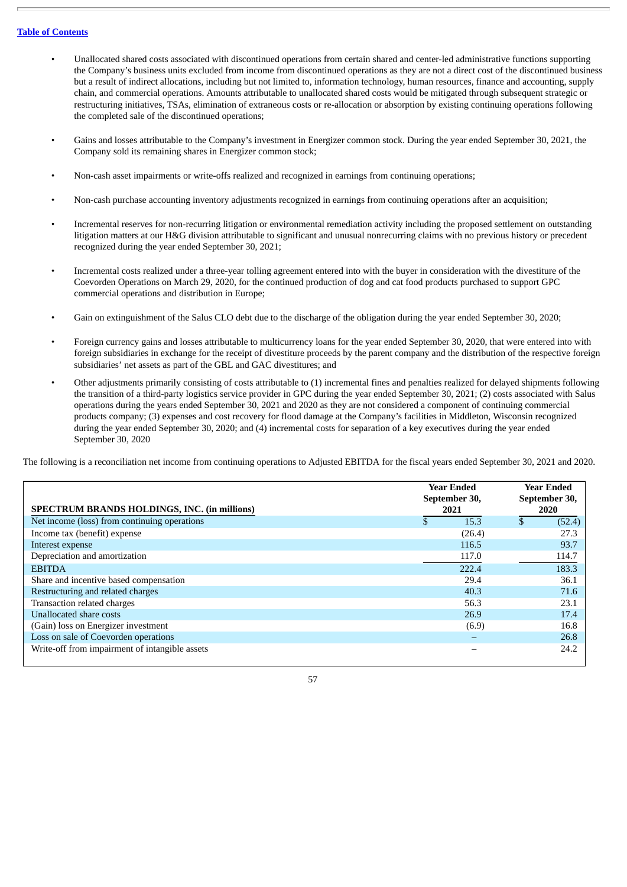- Unallocated shared costs associated with discontinued operations from certain shared and center-led administrative functions supporting the Company's business units excluded from income from discontinued operations as they are not a direct cost of the discontinued business but a result of indirect allocations, including but not limited to, information technology, human resources, finance and accounting, supply chain, and commercial operations. Amounts attributable to unallocated shared costs would be mitigated through subsequent strategic or restructuring initiatives, TSAs, elimination of extraneous costs or re-allocation or absorption by existing continuing operations following the completed sale of the discontinued operations;
- Gains and losses attributable to the Company's investment in Energizer common stock. During the year ended September 30, 2021, the Company sold its remaining shares in Energizer common stock;
- Non-cash asset impairments or write-offs realized and recognized in earnings from continuing operations;
- Non-cash purchase accounting inventory adjustments recognized in earnings from continuing operations after an acquisition;
- Incremental reserves for non-recurring litigation or environmental remediation activity including the proposed settlement on outstanding litigation matters at our H&G division attributable to significant and unusual nonrecurring claims with no previous history or precedent recognized during the year ended September 30, 2021;
- Incremental costs realized under a three-year tolling agreement entered into with the buyer in consideration with the divestiture of the Coevorden Operations on March 29, 2020, for the continued production of dog and cat food products purchased to support GPC commercial operations and distribution in Europe;
- Gain on extinguishment of the Salus CLO debt due to the discharge of the obligation during the year ended September 30, 2020;
- Foreign currency gains and losses attributable to multicurrency loans for the year ended September 30, 2020, that were entered into with foreign subsidiaries in exchange for the receipt of divestiture proceeds by the parent company and the distribution of the respective foreign subsidiaries' net assets as part of the GBL and GAC divestitures; and
- Other adjustments primarily consisting of costs attributable to (1) incremental fines and penalties realized for delayed shipments following the transition of a third-party logistics service provider in GPC during the year ended September 30, 2021; (2) costs associated with Salus operations during the years ended September 30, 2021 and 2020 as they are not considered a component of continuing commercial products company; (3) expenses and cost recovery for flood damage at the Company's facilities in Middleton, Wisconsin recognized during the year ended September 30, 2020; and (4) incremental costs for separation of a key executives during the year ended September 30, 2020

The following is a reconciliation net income from continuing operations to Adjusted EBITDA for the fiscal years ended September 30, 2021 and 2020.

| <b>SPECTRUM BRANDS HOLDINGS, INC. (in millions)</b> | <b>Year Ended</b><br>September 30,<br>2021 |        | <b>Year Ended</b><br>September 30,<br>2020 |
|-----------------------------------------------------|--------------------------------------------|--------|--------------------------------------------|
| Net income (loss) from continuing operations        |                                            | 15.3   | \$<br>(52.4)                               |
| Income tax (benefit) expense                        |                                            | (26.4) | 27.3                                       |
| Interest expense                                    |                                            | 116.5  | 93.7                                       |
| Depreciation and amortization                       |                                            | 117.0  | 114.7                                      |
| <b>EBITDA</b>                                       |                                            | 222.4  | 183.3                                      |
| Share and incentive based compensation              |                                            | 29.4   | 36.1                                       |
| Restructuring and related charges                   |                                            | 40.3   | 71.6                                       |
| Transaction related charges                         |                                            | 56.3   | 23.1                                       |
| <b>Unallocated share costs</b>                      |                                            | 26.9   | 17.4                                       |
| (Gain) loss on Energizer investment                 |                                            | (6.9)  | 16.8                                       |
| Loss on sale of Coevorden operations                |                                            |        | 26.8                                       |
| Write-off from impairment of intangible assets      |                                            |        | 24.2                                       |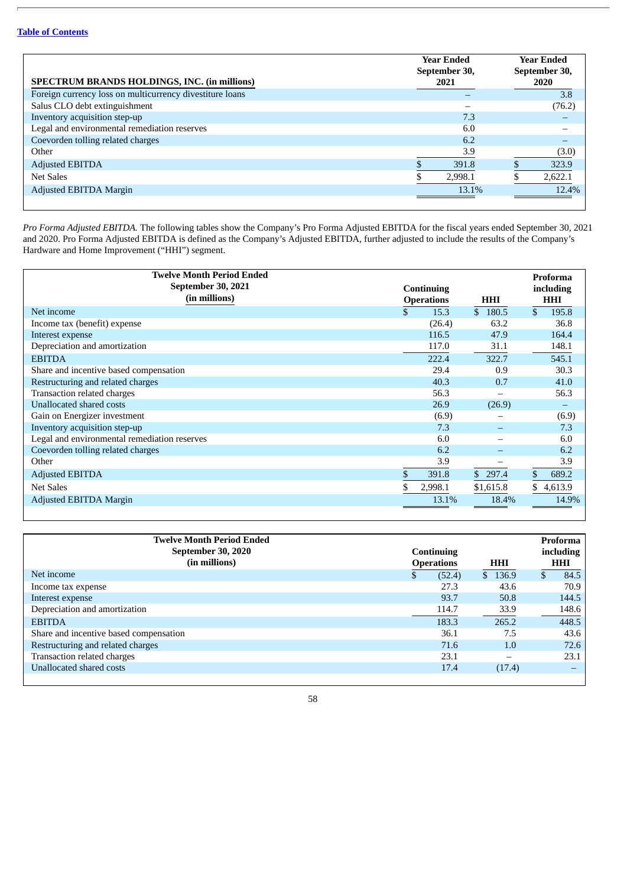|                                                          | <b>Year Ended</b><br>September 30, | <b>Year Ended</b><br>September 30, |
|----------------------------------------------------------|------------------------------------|------------------------------------|
| SPECTRUM BRANDS HOLDINGS, INC. (in millions)             | 2021                               | 2020                               |
| Foreign currency loss on multicurrency divestiture loans |                                    | 3.8                                |
| Salus CLO debt extinguishment                            |                                    | (76.2)                             |
| Inventory acquisition step-up                            | 7.3                                |                                    |
| Legal and environmental remediation reserves             | 6.0                                |                                    |
| Coevorden tolling related charges                        | 6.2                                |                                    |
| Other                                                    | 3.9                                | (3.0)                              |
| <b>Adjusted EBITDA</b>                                   | 391.8                              | 323.9                              |
| Net Sales                                                | 2,998.1                            | 2,622.1                            |
| Adjusted EBITDA Margin                                   | 13.1%                              | 12.4%                              |
|                                                          |                                    |                                    |

*Pro Forma Adjusted EBITDA.* The following tables show the Company's Pro Forma Adjusted EBITDA for the fiscal years ended September 30, 2021 and 2020. Pro Forma Adjusted EBITDA is defined as the Company's Adjusted EBITDA, further adjusted to include the results of the Company's Hardware and Home Improvement ("HHI") segment.

| <b>Twelve Month Period Ended</b><br><b>September 30, 2021</b><br>(in millions) | <b>Continuing</b> |                      |                          | HHI<br><b>Operations</b>            |       |  |  |  |  |
|--------------------------------------------------------------------------------|-------------------|----------------------|--------------------------|-------------------------------------|-------|--|--|--|--|
| Net income                                                                     |                   | 15.3                 | \$180.5                  | <b>HHI</b><br>$\mathbf{s}$<br>195.8 |       |  |  |  |  |
| Income tax (benefit) expense                                                   |                   | (26.4)               | 63.2                     | 36.8                                |       |  |  |  |  |
| Interest expense                                                               |                   | 116.5                | 47.9                     | 164.4                               |       |  |  |  |  |
| Depreciation and amortization                                                  |                   | 117.0                | 31.1                     | 148.1                               |       |  |  |  |  |
| <b>EBITDA</b>                                                                  |                   | 222.4                | 322.7                    | 545.1                               |       |  |  |  |  |
| Share and incentive based compensation                                         |                   | 29.4                 | 0.9                      | 30.3                                |       |  |  |  |  |
| Restructuring and related charges                                              |                   | 40.3                 | 0.7                      | 41.0                                |       |  |  |  |  |
| Transaction related charges                                                    |                   | 56.3                 | -                        | 56.3                                |       |  |  |  |  |
| Unallocated shared costs                                                       |                   | 26.9                 | (26.9)                   |                                     |       |  |  |  |  |
| Gain on Energizer investment                                                   |                   | (6.9)                |                          |                                     | (6.9) |  |  |  |  |
| Inventory acquisition step-up                                                  |                   | 7.3                  | $\overline{\phantom{0}}$ |                                     | 7.3   |  |  |  |  |
| Legal and environmental remediation reserves                                   |                   | 6.0                  |                          |                                     | 6.0   |  |  |  |  |
| Coevorden tolling related charges                                              |                   | 6.2                  | $\overline{\phantom{0}}$ |                                     | 6.2   |  |  |  |  |
| Other                                                                          |                   | 3.9<br>-             |                          |                                     | 3.9   |  |  |  |  |
| <b>Adjusted EBITDA</b>                                                         |                   | 391.8<br>\$297.4     |                          | 689.2<br>\$                         |       |  |  |  |  |
| <b>Net Sales</b>                                                               |                   | \$1,615.8<br>2,998.1 |                          | \$4,613.9                           |       |  |  |  |  |
| <b>Adjusted EBITDA Margin</b>                                                  |                   | 13.1%                | 18.4%                    |                                     | 14.9% |  |  |  |  |

| <b>Twelve Month Period Ended</b><br>September 30, 2020<br>(in millions) | Continuing<br><b>Operations</b> |        | <b>HHI</b> | Proforma<br>including<br><b>HHI</b> |
|-------------------------------------------------------------------------|---------------------------------|--------|------------|-------------------------------------|
| Net income                                                              | \$                              | (52.4) | \$136.9    | 84.5                                |
| Income tax expense                                                      |                                 | 27.3   | 43.6       | 70.9                                |
| Interest expense                                                        |                                 | 93.7   | 50.8       | 144.5                               |
| Depreciation and amortization                                           |                                 | 114.7  | 33.9       | 148.6                               |
| <b>EBITDA</b>                                                           |                                 | 183.3  | 265.2      | 448.5                               |
| Share and incentive based compensation                                  |                                 | 36.1   | 7.5        | 43.6                                |
| Restructuring and related charges                                       |                                 | 71.6   | 1.0        | 72.6                                |
| Transaction related charges                                             |                                 | 23.1   |            | 23.1                                |
| Unallocated shared costs                                                |                                 | 17.4   | (17.4)     |                                     |
|                                                                         |                                 |        |            |                                     |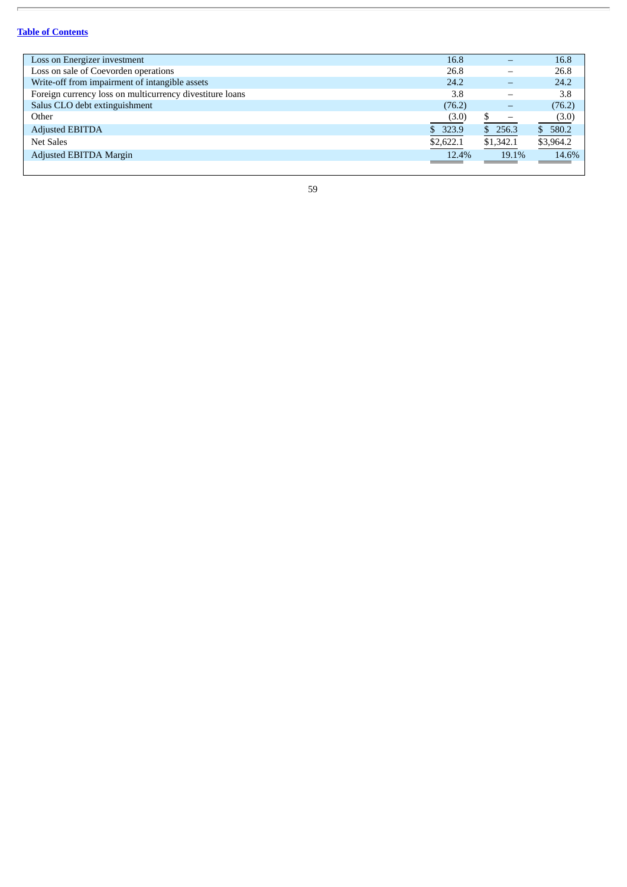r.

| Loss on Energizer investment                             | 16.8      |           | 16.8      |
|----------------------------------------------------------|-----------|-----------|-----------|
| Loss on sale of Coevorden operations                     | 26.8      |           | 26.8      |
| Write-off from impairment of intangible assets           | 24.2      |           | 24.2      |
| Foreign currency loss on multicurrency divestiture loans | 3.8       |           | 3.8       |
| Salus CLO debt extinguishment                            | (76.2)    |           | (76.2)    |
| Other                                                    | (3.0)     |           | (3.0)     |
| <b>Adjusted EBITDA</b>                                   | \$323.9   | \$256.3   | \$580.2   |
| <b>Net Sales</b>                                         | \$2,622.1 | \$1,342.1 | \$3,964.2 |
| Adjusted EBITDA Margin                                   | 12.4%     | 19.1%     | 14.6%     |
|                                                          |           |           |           |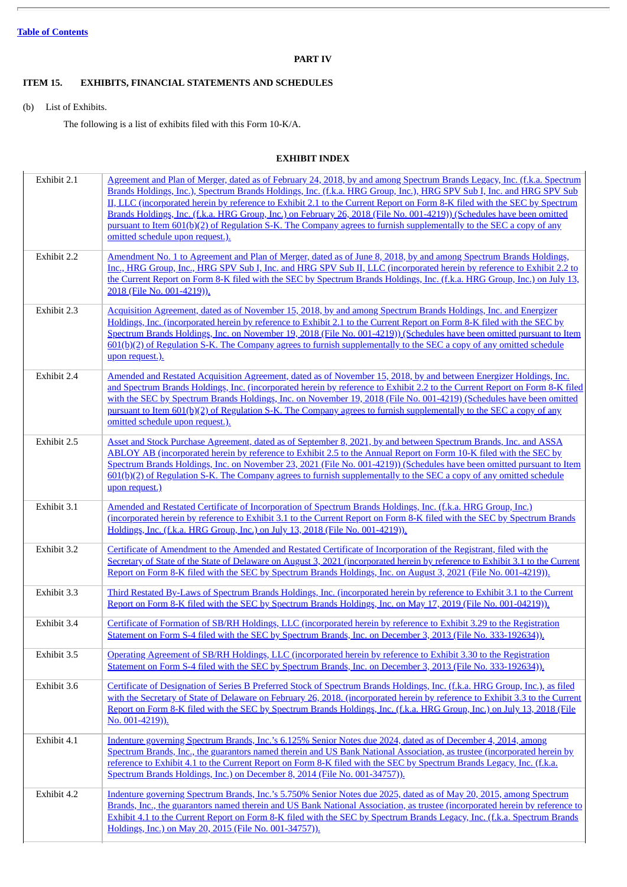# **PART IV**

# <span id="page-59-1"></span><span id="page-59-0"></span>**ITEM 15. EXHIBITS, FINANCIAL STATEMENTS AND SCHEDULES**

(b) List of Exhibits.

The following is a list of exhibits filed with this Form 10-K/A.

# **EXHIBIT INDEX**

<span id="page-59-2"></span>

| Exhibit 2.1 | Agreement and Plan of Merger, dated as of February 24, 2018, by and among Spectrum Brands Legacy, Inc. (f.k.a. Spectrum<br>Brands Holdings, Inc.), Spectrum Brands Holdings, Inc. (f.k.a. HRG Group, Inc.), HRG SPV Sub I, Inc. and HRG SPV Sub<br>II, LLC (incorporated herein by reference to Exhibit 2.1 to the Current Report on Form 8-K filed with the SEC by Spectrum<br>Brands Holdings, Inc. (f.k.a. HRG Group, Inc.) on February 26, 2018 (File No. 001-4219)) (Schedules have been omitted<br>pursuant to Item 601(b)(2) of Regulation S-K. The Company agrees to furnish supplementally to the SEC a copy of any<br>omitted schedule upon request.). |
|-------------|------------------------------------------------------------------------------------------------------------------------------------------------------------------------------------------------------------------------------------------------------------------------------------------------------------------------------------------------------------------------------------------------------------------------------------------------------------------------------------------------------------------------------------------------------------------------------------------------------------------------------------------------------------------|
| Exhibit 2.2 | Amendment No. 1 to Agreement and Plan of Merger, dated as of June 8, 2018, by and among Spectrum Brands Holdings,<br>Inc., HRG Group, Inc., HRG SPV Sub I, Inc. and HRG SPV Sub II, LLC (incorporated herein by reference to Exhibit 2.2 to<br>the Current Report on Form 8-K filed with the SEC by Spectrum Brands Holdings, Inc. (f.k.a. HRG Group, Inc.) on July 13,<br>2018 (File No. 001-4219)).                                                                                                                                                                                                                                                            |
| Exhibit 2.3 | Acquisition Agreement, dated as of November 15, 2018, by and among Spectrum Brands Holdings, Inc. and Energizer<br>Holdings, Inc. (incorporated herein by reference to Exhibit 2.1 to the Current Report on Form 8-K filed with the SEC by<br>Spectrum Brands Holdings, Inc. on November 19, 2018 (File No. 001-4219)) (Schedules have been omitted pursuant to Item<br>601(b)(2) of Regulation S-K. The Company agrees to furnish supplementally to the SEC a copy of any omitted schedule<br>upon request.).                                                                                                                                                   |
| Exhibit 2.4 | Amended and Restated Acquisition Agreement, dated as of November 15, 2018, by and between Energizer Holdings, Inc.<br>and Spectrum Brands Holdings, Inc. (incorporated herein by reference to Exhibit 2.2 to the Current Report on Form 8-K filed<br>with the SEC by Spectrum Brands Holdings, Inc. on November 19, 2018 (File No. 001-4219) (Schedules have been omitted<br>pursuant to Item 601(b)(2) of Regulation S-K. The Company agrees to furnish supplementally to the SEC a copy of any<br>omitted schedule upon request.).                                                                                                                             |
| Exhibit 2.5 | Asset and Stock Purchase Agreement, dated as of September 8, 2021, by and between Spectrum Brands, Inc. and ASSA<br>ABLOY AB (incorporated herein by reference to Exhibit 2.5 to the Annual Report on Form 10-K filed with the SEC by<br>Spectrum Brands Holdings, Inc. on November 23, 2021 (File No. 001-4219)) (Schedules have been omitted pursuant to Item<br>601(b)(2) of Regulation S-K. The Company agrees to furnish supplementally to the SEC a copy of any omitted schedule<br>upon request.)                                                                                                                                                         |
| Exhibit 3.1 | Amended and Restated Certificate of Incorporation of Spectrum Brands Holdings, Inc. (f.k.a. HRG Group, Inc.)<br>(incorporated herein by reference to Exhibit 3.1 to the Current Report on Form 8-K filed with the SEC by Spectrum Brands<br>Holdings, Inc. (f.k.a. HRG Group, Inc.) on July 13, 2018 (File No. 001-4219)).                                                                                                                                                                                                                                                                                                                                       |
| Exhibit 3.2 | Certificate of Amendment to the Amended and Restated Certificate of Incorporation of the Registrant, filed with the<br>Secretary of State of the State of Delaware on August 3, 2021 (incorporated herein by reference to Exhibit 3.1 to the Current<br>Report on Form 8-K filed with the SEC by Spectrum Brands Holdings, Inc. on August 3, 2021 (File No. 001-4219)).                                                                                                                                                                                                                                                                                          |
| Exhibit 3.3 | Third Restated By-Laws of Spectrum Brands Holdings, Inc. (incorporated herein by reference to Exhibit 3.1 to the Current<br>Report on Form 8-K filed with the SEC by Spectrum Brands Holdings, Inc. on May 17, 2019 (File No. 001-04219)).                                                                                                                                                                                                                                                                                                                                                                                                                       |
| Exhibit 3.4 | Certificate of Formation of SB/RH Holdings, LLC (incorporated herein by reference to Exhibit 3.29 to the Registration<br>Statement on Form S-4 filed with the SEC by Spectrum Brands, Inc. on December 3, 2013 (File No. 333-192634)).                                                                                                                                                                                                                                                                                                                                                                                                                           |
| Exhibit 3.5 | Operating Agreement of SB/RH Holdings, LLC (incorporated herein by reference to Exhibit 3.30 to the Registration<br>Statement on Form S-4 filed with the SEC by Spectrum Brands, Inc. on December 3, 2013 (File No. 333-192634)).                                                                                                                                                                                                                                                                                                                                                                                                                                |
| Exhibit 3.6 | Certificate of Designation of Series B Preferred Stock of Spectrum Brands Holdings, Inc. (f.k.a. HRG Group, Inc.), as filed<br>with the Secretary of State of Delaware on February 26, 2018. (incorporated herein by reference to Exhibit 3.3 to the Current<br>Report on Form 8-K filed with the SEC by Spectrum Brands Holdings, Inc. (f.k.a. HRG Group, Inc.) on July 13, 2018 (File<br>No. $001-4219$ ).                                                                                                                                                                                                                                                     |
| Exhibit 4.1 | Indenture governing Spectrum Brands, Inc.'s 6.125% Senior Notes due 2024, dated as of December 4, 2014, among<br>Spectrum Brands, Inc., the guarantors named therein and US Bank National Association, as trustee (incorporated herein by<br>reference to Exhibit 4.1 to the Current Report on Form 8-K filed with the SEC by Spectrum Brands Legacy, Inc. (f.k.a.<br>Spectrum Brands Holdings, Inc.) on December 8, 2014 (File No. 001-34757)).                                                                                                                                                                                                                 |
| Exhibit 4.2 | Indenture governing Spectrum Brands, Inc.'s 5.750% Senior Notes due 2025, dated as of May 20, 2015, among Spectrum<br>Brands, Inc., the guarantors named therein and US Bank National Association, as trustee (incorporated herein by reference to<br>Exhibit 4.1 to the Current Report on Form 8-K filed with the SEC by Spectrum Brands Legacy, Inc. (f.k.a. Spectrum Brands<br>Holdings, Inc.) on May 20, 2015 (File No. 001-34757)).                                                                                                                                                                                                                         |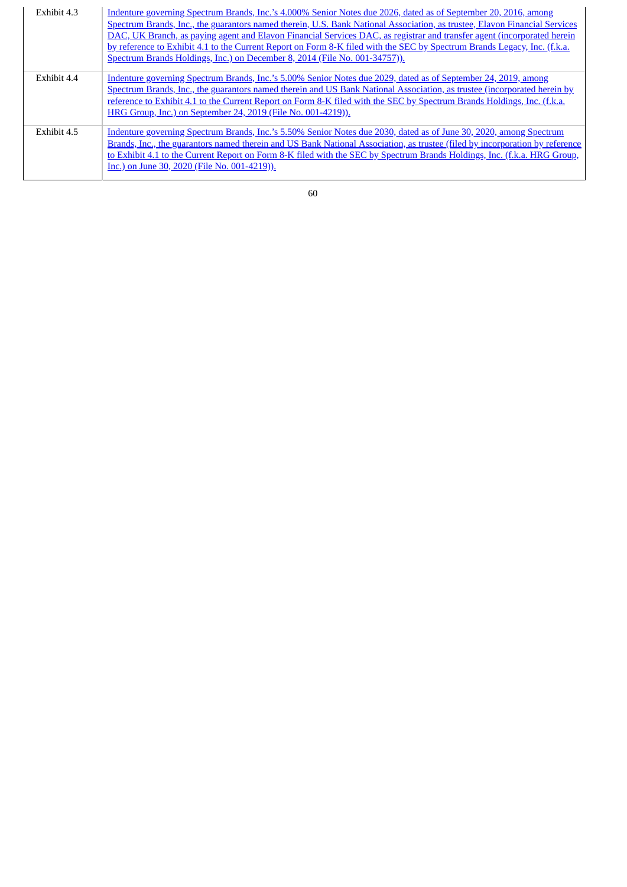| Exhibit 4.3 | Indenture governing Spectrum Brands, Inc.'s 4.000% Senior Notes due 2026, dated as of September 20, 2016, among<br>Spectrum Brands, Inc., the guarantors named therein, U.S. Bank National Association, as trustee, Elavon Financial Services<br>DAC, UK Branch, as paying agent and Elavon Financial Services DAC, as registrar and transfer agent (incorporated herein<br>by reference to Exhibit 4.1 to the Current Report on Form 8-K filed with the SEC by Spectrum Brands Legacy, Inc. (f.k.a.<br>Spectrum Brands Holdings, Inc.) on December 8, 2014 (File No. 001-34757)). |
|-------------|------------------------------------------------------------------------------------------------------------------------------------------------------------------------------------------------------------------------------------------------------------------------------------------------------------------------------------------------------------------------------------------------------------------------------------------------------------------------------------------------------------------------------------------------------------------------------------|
| Exhibit 4.4 | Indenture governing Spectrum Brands, Inc.'s 5.00% Senior Notes due 2029, dated as of September 24, 2019, among<br>Spectrum Brands, Inc., the guarantors named therein and US Bank National Association, as trustee (incorporated herein by<br>reference to Exhibit 4.1 to the Current Report on Form 8-K filed with the SEC by Spectrum Brands Holdings, Inc. (f.k.a.<br>HRG Group, Inc.) on September 24, 2019 (File No. 001-4219)).                                                                                                                                              |
| Exhibit 4.5 | Indenture governing Spectrum Brands, Inc.'s 5.50% Senior Notes due 2030, dated as of June 30, 2020, among Spectrum<br>Brands, Inc., the guarantors named therein and US Bank National Association, as trustee (filed by incorporation by reference<br>to Exhibit 4.1 to the Current Report on Form 8-K filed with the SEC by Spectrum Brands Holdings, Inc. (f.k.a. HRG Group,<br>Inc.) on June 30, 2020 (File No. 001-4219)).                                                                                                                                                     |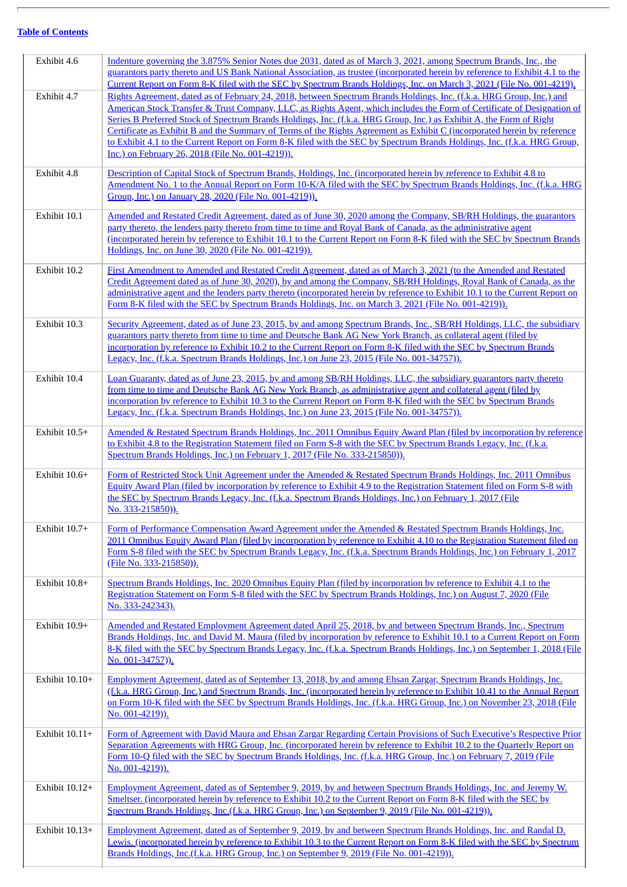| Exhibit 4.6    | Indenture governing the 3.875% Senior Notes due 2031, dated as of March 3, 2021, among Spectrum Brands, Inc., the<br>guarantors party thereto and US Bank National Association, as trustee (incorporated herein by reference to Exhibit 4.1 to the<br>Current Report on Form 8-K filed with the SEC by Spectrum Brands Holdings, Inc. on March 3, 2021 (File No. 001-4219).                                                                                                                                                                                                                                                                                                        |
|----------------|------------------------------------------------------------------------------------------------------------------------------------------------------------------------------------------------------------------------------------------------------------------------------------------------------------------------------------------------------------------------------------------------------------------------------------------------------------------------------------------------------------------------------------------------------------------------------------------------------------------------------------------------------------------------------------|
| Exhibit 4.7    | Rights Agreement, dated as of February 24, 2018, between Spectrum Brands Holdings, Inc. (f.k.a. HRG Group, Inc.) and<br>American Stock Transfer & Trust Company, LLC, as Rights Agent, which includes the Form of Certificate of Designation of<br>Series B Preferred Stock of Spectrum Brands Holdings, Inc. (f.k.a. HRG Group, Inc.) as Exhibit A, the Form of Right<br>Certificate as Exhibit B and the Summary of Terms of the Rights Agreement as Exhibit C (incorporated herein by reference<br>to Exhibit 4.1 to the Current Report on Form 8-K filed with the SEC by Spectrum Brands Holdings, Inc. (f.k.a. HRG Group,<br>Inc.) on February 26, 2018 (File No. 001-4219)). |
| Exhibit 4.8    | Description of Capital Stock of Spectrum Brands, Holdings, Inc. (incorporated herein by reference to Exhibit 4.8 to<br>Amendment No. 1 to the Annual Report on Form 10-K/A filed with the SEC by Spectrum Brands Holdings, Inc. (f.k.a. HRG<br>Group, Inc.) on January 28, 2020 (File No. 001-4219)).                                                                                                                                                                                                                                                                                                                                                                              |
| Exhibit 10.1   | Amended and Restated Credit Agreement, dated as of June 30, 2020 among the Company, SB/RH Holdings, the guarantors<br>party thereto, the lenders party thereto from time to time and Royal Bank of Canada, as the administrative agent<br>(incorporated herein by reference to Exhibit 10.1 to the Current Report on Form 8-K filed with the SEC by Spectrum Brands<br>Holdings, Inc. on June 30, 2020 (File No. 001-4219)).                                                                                                                                                                                                                                                       |
| Exhibit 10.2   | First Amendment to Amended and Restated Credit Agreement, dated as of March 3, 2021 (to the Amended and Restated<br>Credit Agreement dated as of June 30, 2020), by and among the Company, SB/RH Holdings, Royal Bank of Canada, as the<br>administrative agent and the lenders party thereto (incorporated herein by reference to Exhibit 10.1 to the Current Report on<br>Form 8-K filed with the SEC by Spectrum Brands Holdings, Inc. on March 3, 2021 (File No. 001-4219)).                                                                                                                                                                                                   |
| Exhibit 10.3   | Security Agreement, dated as of June 23, 2015, by and among Spectrum Brands, Inc., SB/RH Holdings, LLC, the subsidiary<br>guarantors party thereto from time to time and Deutsche Bank AG New York Branch, as collateral agent (filed by<br>incorporation by reference to Exhibit 10.2 to the Current Report on Form 8-K filed with the SEC by Spectrum Brands<br>Legacy, Inc. (f.k.a. Spectrum Brands Holdings, Inc.) on June 23, 2015 (File No. 001-34757)).                                                                                                                                                                                                                     |
| Exhibit 10.4   | Loan Guaranty, dated as of June 23, 2015, by and among SB/RH Holdings, LLC, the subsidiary guarantors party thereto<br>from time to time and Deutsche Bank AG New York Branch, as administrative agent and collateral agent (filed by<br>incorporation by reference to Exhibit 10.3 to the Current Report on Form 8-K filed with the SEC by Spectrum Brands<br>Legacy, Inc. (f.k.a. Spectrum Brands Holdings, Inc.) on June 23, 2015 (File No. 001-34757)).                                                                                                                                                                                                                        |
| Exhibit 10.5+  | Amended & Restated Spectrum Brands Holdings, Inc. 2011 Omnibus Equity Award Plan (filed by incorporation by reference<br>to Exhibit 4.8 to the Registration Statement filed on Form S-8 with the SEC by Spectrum Brands Legacy, Inc. (f.k.a.<br>Spectrum Brands Holdings, Inc.) on February 1, 2017 (File No. 333-215850)).                                                                                                                                                                                                                                                                                                                                                        |
| Exhibit 10.6+  | Form of Restricted Stock Unit Agreement under the Amended & Restated Spectrum Brands Holdings, Inc. 2011 Omnibus<br>Equity Award Plan (filed by incorporation by reference to Exhibit 4.9 to the Registration Statement filed on Form S-8 with<br>the SEC by Spectrum Brands Legacy, Inc. (f.k.a. Spectrum Brands Holdings, Inc.) on February 1, 2017 (File<br>No. 333-215850)).                                                                                                                                                                                                                                                                                                   |
| Exhibit 10.7+  | Form of Performance Compensation Award Agreement under the Amended & Restated Spectrum Brands Holdings, Inc.<br>2011 Omnibus Equity Award Plan (filed by incorporation by reference to Exhibit 4.10 to the Registration Statement filed on<br>Form S-8 filed with the SEC by Spectrum Brands Legacy, Inc. (f.k.a. Spectrum Brands Holdings, Inc.) on February 1, 2017<br>(File No. 333-215850)).                                                                                                                                                                                                                                                                                   |
| Exhibit 10.8+  | Spectrum Brands Holdings, Inc. 2020 Omnibus Equity Plan (filed by incorporation by reference to Exhibit 4.1 to the<br>Registration Statement on Form S-8 filed with the SEC by Spectrum Brands Holdings, Inc.) on August 7, 2020 (File<br>No. 333-242343).                                                                                                                                                                                                                                                                                                                                                                                                                         |
| Exhibit 10.9+  | Amended and Restated Employment Agreement dated April 25, 2018, by and between Spectrum Brands, Inc., Spectrum<br>Brands Holdings, Inc. and David M. Maura (filed by incorporation by reference to Exhibit 10.1 to a Current Report on Form<br>8-K filed with the SEC by Spectrum Brands Legacy, Inc. (f.k.a. Spectrum Brands Holdings, Inc.) on September 1, 2018 (File<br>No. 001-34757)).                                                                                                                                                                                                                                                                                       |
| Exhibit 10.10+ | Employment Agreement, dated as of September 13, 2018, by and among Ehsan Zargar, Spectrum Brands Holdings, Inc.<br>(f.k.a. HRG Group, Inc.) and Spectrum Brands, Inc. (incorporated herein by reference to Exhibit 10.41 to the Annual Report<br>on Form 10-K filed with the SEC by Spectrum Brands Holdings, Inc. (f.k.a. HRG Group, Inc.) on November 23, 2018 (File<br>No. 001-4219)).                                                                                                                                                                                                                                                                                          |
| Exhibit 10.11+ | Form of Agreement with David Maura and Ehsan Zargar Regarding Certain Provisions of Such Executive's Respective Prior<br>Separation Agreements with HRG Group, Inc. (incorporated herein by reference to Exhibit 10.2 to the Quarterly Report on<br>Form 10-Q filed with the SEC by Spectrum Brands Holdings, Inc. (f.k.a. HRG Group, Inc.) on February 7, 2019 (File<br>No. 001-4219)).                                                                                                                                                                                                                                                                                           |
| Exhibit 10.12+ | Employment Agreement, dated as of September 9, 2019, by and between Spectrum Brands Holdings, Inc. and Jeremy W.<br>Smeltser. (incorporated herein by reference to Exhibit 10.2 to the Current Report on Form 8-K filed with the SEC by<br>Spectrum Brands Holdings, Inc.(f.k.a. HRG Group, Inc.) on September 9, 2019 (File No. 001-4219)).                                                                                                                                                                                                                                                                                                                                       |
| Exhibit 10.13+ | Employment Agreement, dated as of September 9, 2019, by and between Spectrum Brands Holdings, Inc. and Randal D.<br>Lewis. (incorporated herein by reference to Exhibit 10.3 to the Current Report on Form 8-K filed with the SEC by Spectrum<br>Brands Holdings, Inc.(f.k.a. HRG Group, Inc.) on September 9, 2019 (File No. 001-4219)).                                                                                                                                                                                                                                                                                                                                          |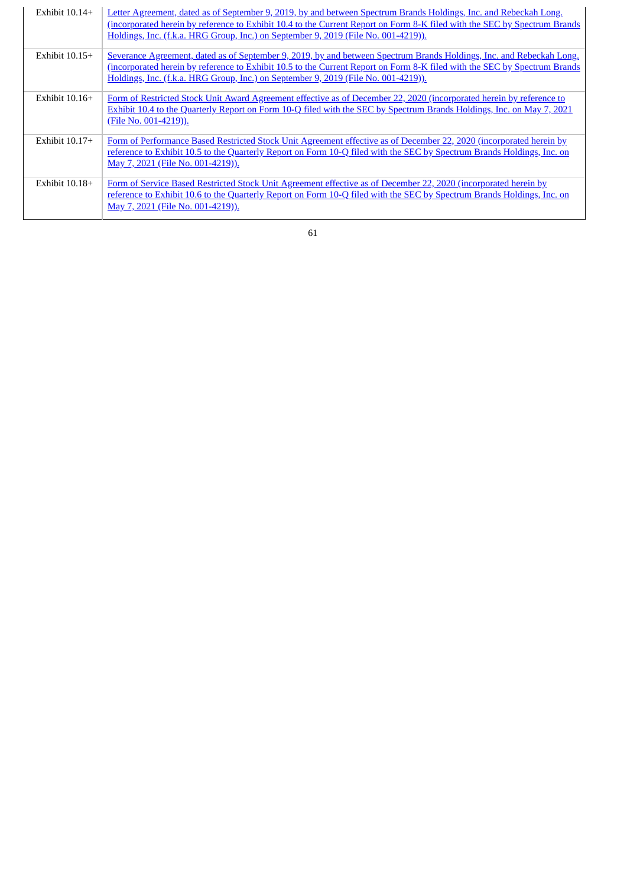| Exhibit $10.14+$ | Letter Agreement, dated as of September 9, 2019, by and between Spectrum Brands Holdings, Inc. and Rebeckah Long,<br>(incorporated herein by reference to Exhibit 10.4 to the Current Report on Form 8-K filed with the SEC by Spectrum Brands<br>Holdings, Inc. (f.k.a. HRG Group, Inc.) on September 9, 2019 (File No. 001-4219)).    |
|------------------|-----------------------------------------------------------------------------------------------------------------------------------------------------------------------------------------------------------------------------------------------------------------------------------------------------------------------------------------|
| Exhibit $10.15+$ | Severance Agreement, dated as of September 9, 2019, by and between Spectrum Brands Holdings, Inc. and Rebeckah Long,<br>(incorporated herein by reference to Exhibit 10.5 to the Current Report on Form 8-K filed with the SEC by Spectrum Brands<br>Holdings, Inc. (f.k.a. HRG Group, Inc.) on September 9, 2019 (File No. 001-4219)). |
| Exhibit $10.16+$ | Form of Restricted Stock Unit Award Agreement effective as of December 22, 2020 (incorporated herein by reference to<br>Exhibit 10.4 to the Quarterly Report on Form 10-Q filed with the SEC by Spectrum Brands Holdings, Inc. on May 7, 2021<br>(File No. 001-4219)).                                                                  |
| Exhibit $10.17+$ | Form of Performance Based Restricted Stock Unit Agreement effective as of December 22, 2020 (incorporated herein by<br>reference to Exhibit 10.5 to the Quarterly Report on Form 10-Q filed with the SEC by Spectrum Brands Holdings, Inc. on<br>May 7, 2021 (File No. 001-4219)).                                                      |
| Exhibit $10.18+$ | Form of Service Based Restricted Stock Unit Agreement effective as of December 22, 2020 (incorporated herein by<br>reference to Exhibit 10.6 to the Quarterly Report on Form 10-Q filed with the SEC by Spectrum Brands Holdings, Inc. on<br>May 7, 2021 (File No. 001-4219)).                                                          |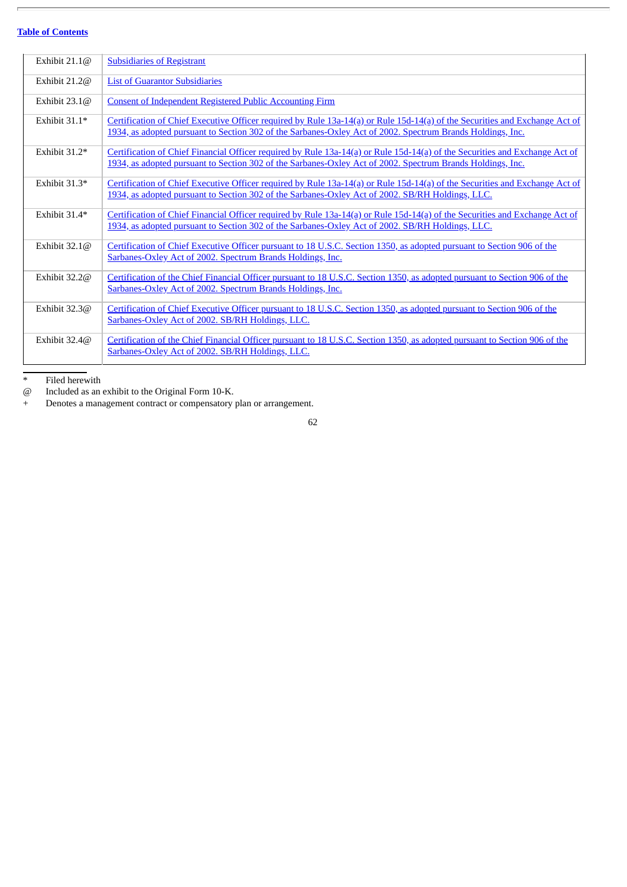| Exhibit $21.1@$ | <b>Subsidiaries of Registrant</b>                                                                                                                                                                                                         |
|-----------------|-------------------------------------------------------------------------------------------------------------------------------------------------------------------------------------------------------------------------------------------|
| Exhibit 21.2@   | <b>List of Guarantor Subsidiaries</b>                                                                                                                                                                                                     |
| Exhibit $23.1@$ | <b>Consent of Independent Registered Public Accounting Firm</b>                                                                                                                                                                           |
| Exhibit 31.1*   | Certification of Chief Executive Officer required by Rule 13a-14(a) or Rule 15d-14(a) of the Securities and Exchange Act of<br>1934, as adopted pursuant to Section 302 of the Sarbanes-Oxley Act of 2002. Spectrum Brands Holdings, Inc. |
| Exhibit $31.2*$ | Certification of Chief Financial Officer required by Rule 13a-14(a) or Rule 15d-14(a) of the Securities and Exchange Act of<br>1934, as adopted pursuant to Section 302 of the Sarbanes-Oxley Act of 2002. Spectrum Brands Holdings, Inc. |
| Exhibit 31.3*   | Certification of Chief Executive Officer required by Rule 13a-14(a) or Rule 15d-14(a) of the Securities and Exchange Act of<br>1934, as adopted pursuant to Section 302 of the Sarbanes-Oxley Act of 2002. SB/RH Holdings, LLC.           |
| Exhibit 31.4*   | Certification of Chief Financial Officer required by Rule 13a-14(a) or Rule 15d-14(a) of the Securities and Exchange Act of<br>1934, as adopted pursuant to Section 302 of the Sarbanes-Oxley Act of 2002. SB/RH Holdings, LLC.           |
| Exhibit $32.1@$ | Certification of Chief Executive Officer pursuant to 18 U.S.C. Section 1350, as adopted pursuant to Section 906 of the<br>Sarbanes-Oxley Act of 2002. Spectrum Brands Holdings, Inc.                                                      |
| Exhibit $32.2@$ | Certification of the Chief Financial Officer pursuant to 18 U.S.C. Section 1350, as adopted pursuant to Section 906 of the<br>Sarbanes-Oxley Act of 2002. Spectrum Brands Holdings, Inc.                                                  |
| Exhibit 32.3@   | Certification of Chief Executive Officer pursuant to 18 U.S.C. Section 1350, as adopted pursuant to Section 906 of the<br>Sarbanes-Oxley Act of 2002. SB/RH Holdings, LLC.                                                                |
| Exhibit $32.4@$ | Certification of the Chief Financial Officer pursuant to 18 U.S.C. Section 1350, as adopted pursuant to Section 906 of the<br>Sarbanes-Oxley Act of 2002. SB/RH Holdings, LLC.                                                            |

@ Included as an exhibit to the Original Form 10-K.

\* Filed herewith  $@$  Included as an  $+$  Denotes a mana + Denotes a management contract or compensatory plan or arrangement.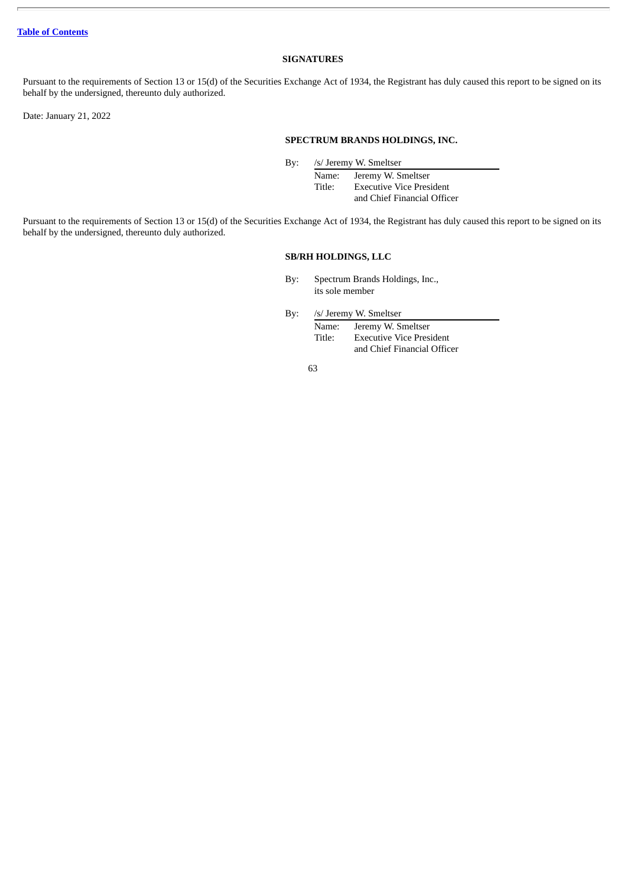## **SIGNATURES**

<span id="page-64-0"></span>Pursuant to the requirements of Section 13 or 15(d) of the Securities Exchange Act of 1934, the Registrant has duly caused this report to be signed on its behalf by the undersigned, thereunto duly authorized.

Date: January 21, 2022

# **SPECTRUM BRANDS HOLDINGS, INC.**

By: /s/ Jeremy W. Smeltser

Name: Jeremy W. Smeltser Title: Executive Vice President and Chief Financial Officer

Pursuant to the requirements of Section 13 or 15(d) of the Securities Exchange Act of 1934, the Registrant has duly caused this report to be signed on its behalf by the undersigned, thereunto duly authorized.

# **SB/RH HOLDINGS, LLC**

By: Spectrum Brands Holdings, Inc., its sole member

By: /s/ Jeremy W. Smeltser

Name: Jeremy W. Smeltser Title: Executive Vice President and Chief Financial Officer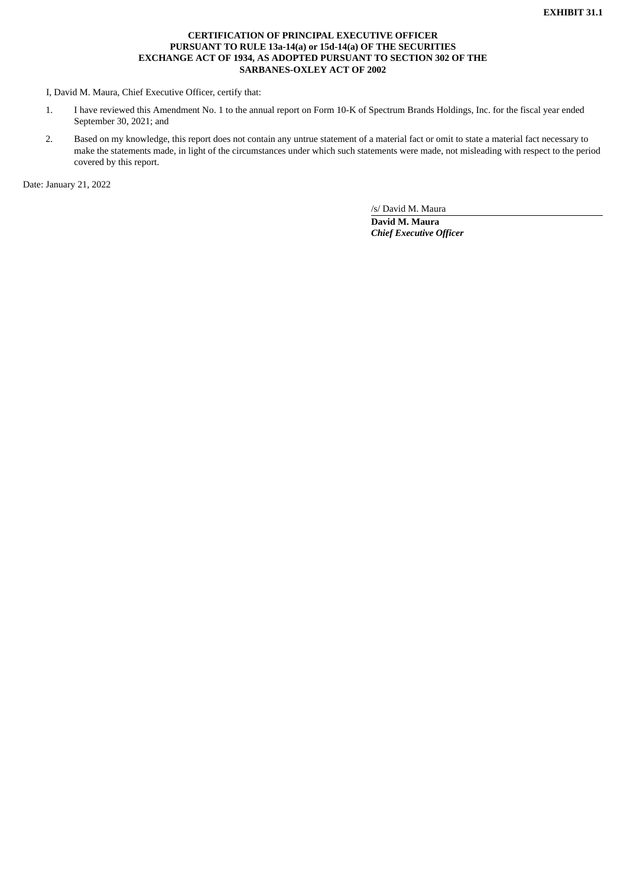# **CERTIFICATION OF PRINCIPAL EXECUTIVE OFFICER PURSUANT TO RULE 13a-14(a) or 15d-14(a) OF THE SECURITIES EXCHANGE ACT OF 1934, AS ADOPTED PURSUANT TO SECTION 302 OF THE SARBANES-OXLEY ACT OF 2002**

<span id="page-65-0"></span>I, David M. Maura, Chief Executive Officer, certify that:

- 1. I have reviewed this Amendment No. 1 to the annual report on Form 10-K of Spectrum Brands Holdings, Inc. for the fiscal year ended September 30, 2021; and
- 2. Based on my knowledge, this report does not contain any untrue statement of a material fact or omit to state a material fact necessary to make the statements made, in light of the circumstances under which such statements were made, not misleading with respect to the period covered by this report.

Date: January 21, 2022

/s/ David M. Maura **David M. Maura**

*Chief Executive Officer*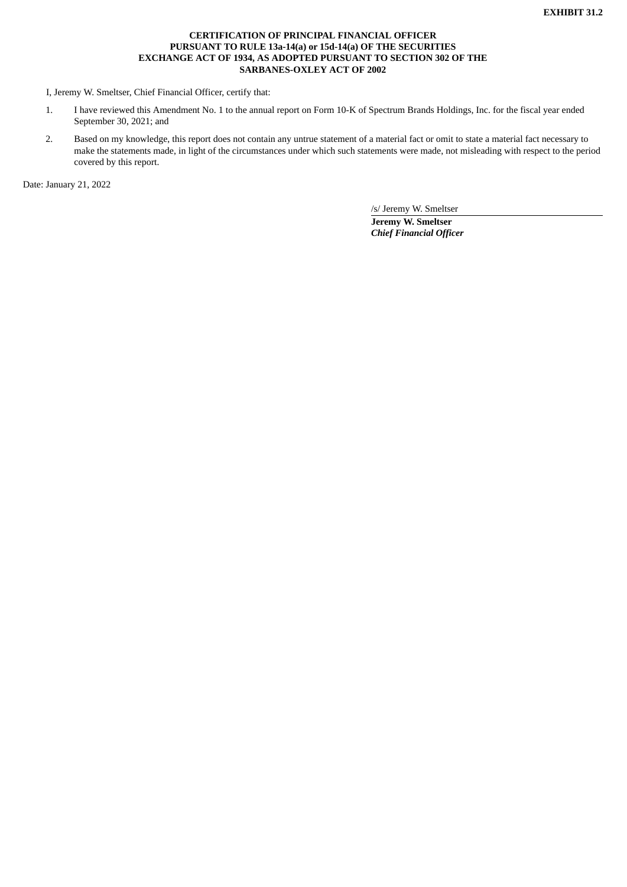# **CERTIFICATION OF PRINCIPAL FINANCIAL OFFICER PURSUANT TO RULE 13a-14(a) or 15d-14(a) OF THE SECURITIES EXCHANGE ACT OF 1934, AS ADOPTED PURSUANT TO SECTION 302 OF THE SARBANES-OXLEY ACT OF 2002**

<span id="page-66-0"></span>I, Jeremy W. Smeltser, Chief Financial Officer, certify that:

- 1. I have reviewed this Amendment No. 1 to the annual report on Form 10-K of Spectrum Brands Holdings, Inc. for the fiscal year ended September 30, 2021; and
- 2. Based on my knowledge, this report does not contain any untrue statement of a material fact or omit to state a material fact necessary to make the statements made, in light of the circumstances under which such statements were made, not misleading with respect to the period covered by this report.

Date: January 21, 2022

/s/ Jeremy W. Smeltser

**Jeremy W. Smeltser** *Chief Financial Officer*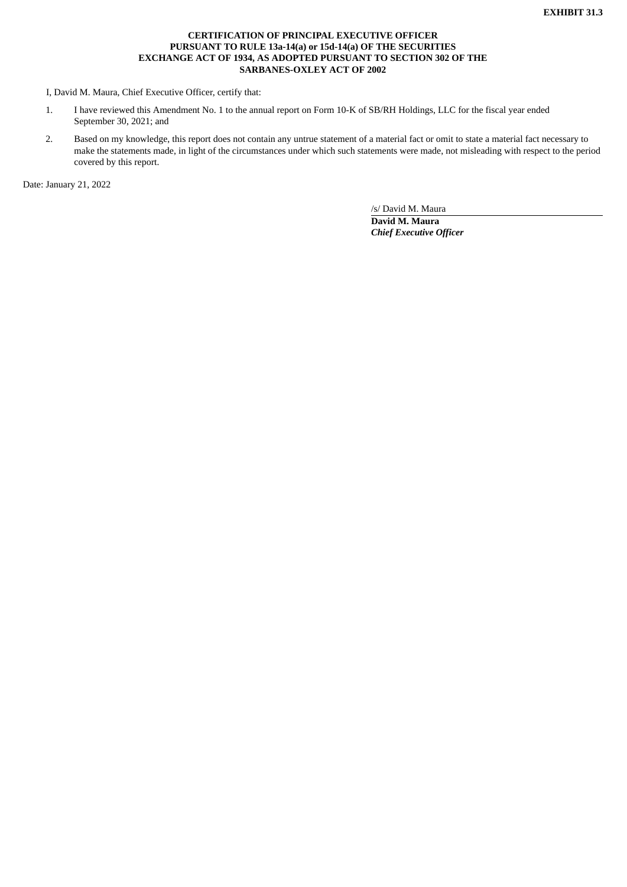# **CERTIFICATION OF PRINCIPAL EXECUTIVE OFFICER PURSUANT TO RULE 13a-14(a) or 15d-14(a) OF THE SECURITIES EXCHANGE ACT OF 1934, AS ADOPTED PURSUANT TO SECTION 302 OF THE SARBANES-OXLEY ACT OF 2002**

<span id="page-67-0"></span>I, David M. Maura, Chief Executive Officer, certify that:

- 1. I have reviewed this Amendment No. 1 to the annual report on Form 10-K of SB/RH Holdings, LLC for the fiscal year ended September 30, 2021; and
- 2. Based on my knowledge, this report does not contain any untrue statement of a material fact or omit to state a material fact necessary to make the statements made, in light of the circumstances under which such statements were made, not misleading with respect to the period covered by this report.

Date: January 21, 2022

/s/ David M. Maura **David M. Maura** *Chief Executive Officer*